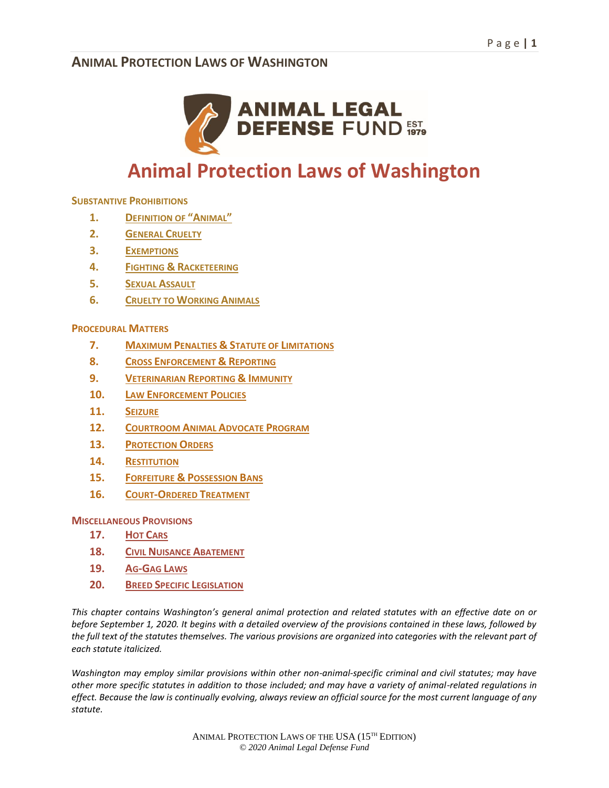

# **Animal Protection Laws of Washington**

#### **SUBSTANTIVE PROHIBITIONS**

- **1. DEFINITION OF "ANIMAL"**
- **2. GENERAL CRUELTY**
- **3. EXEMPTIONS**
- **4. FIGHTING & RACKETEERING**
- **5. SEXUAL ASSAULT**
- **6. CRUELTY TO WORKING ANIMALS**

#### **PROCEDURAL MATTERS**

- **7. MAXIMUM PENALTIES & STATUTE OF LIMITATIONS**
- **8. CROSS ENFORCEMENT & REPORTING**
- **9. VETERINARIAN REPORTING & IMMUNITY**
- **10. LAW ENFORCEMENT POLICIES**
- **11. SEIZURE**
- **12. COURTROOM ANIMAL ADVOCATE PROGRAM**
- **13. PROTECTION ORDERS**
- **14. RESTITUTION**
- **15. FORFEITURE & POSSESSION BANS**
- **16. COURT-ORDERED TREATMENT**

#### **MISCELLANEOUS PROVISIONS**

- **17. HOT CARS**
- **18. CIVIL NUISANCE ABATEMENT**
- **19. AG-GAG LAWS**
- **20. BREED SPECIFIC LEGISLATION**

*This chapter contains Washington's general animal protection and related statutes with an effective date on or before September 1, 2020. It begins with a detailed overview of the provisions contained in these laws, followed by the full text of the statutes themselves. The various provisions are organized into categories with the relevant part of each statute italicized.* 

*Washington may employ similar provisions within other non-animal-specific criminal and civil statutes; may have other more specific statutes in addition to those included; and may have a variety of animal-related regulations in effect. Because the law is continually evolving, always review an official source for the most current language of any statute.*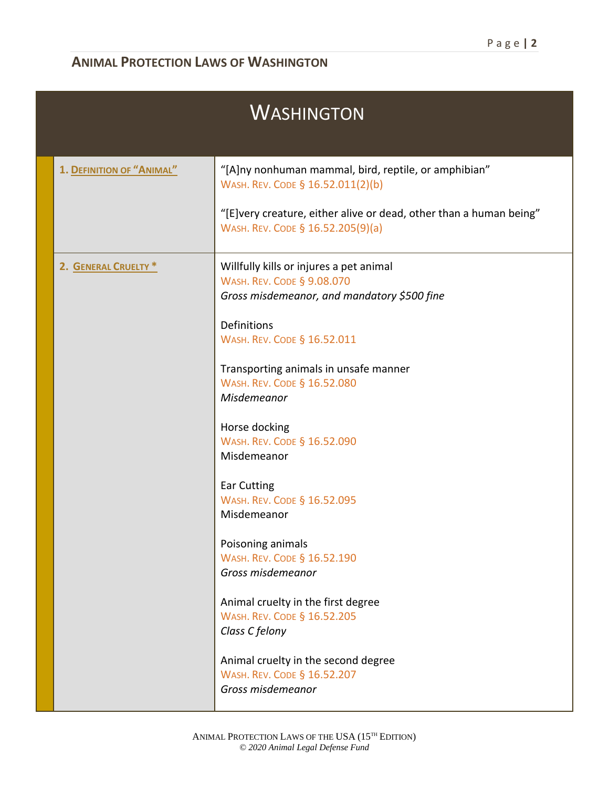| <b>WASHINGTON</b>         |                                                                                                                             |  |
|---------------------------|-----------------------------------------------------------------------------------------------------------------------------|--|
| 1. DEFINITION OF "ANIMAL" | "[A]ny nonhuman mammal, bird, reptile, or amphibian"<br>WASH. REV. CODE § 16.52.011(2)(b)                                   |  |
|                           | "[E]very creature, either alive or dead, other than a human being"<br>WASH. REV. CODE § 16.52.205(9)(a)                     |  |
| 2. GENERAL CRUELTY *      | Willfully kills or injures a pet animal<br><b>WASH. REV. CODE § 9.08.070</b><br>Gross misdemeanor, and mandatory \$500 fine |  |
|                           | <b>Definitions</b><br>WASH. REV. CODE § 16.52.011                                                                           |  |
|                           | Transporting animals in unsafe manner<br>WASH. REV. CODE § 16.52.080<br>Misdemeanor                                         |  |
|                           | Horse docking<br>WASH. REV. CODE § 16.52.090<br>Misdemeanor                                                                 |  |
|                           | <b>Ear Cutting</b><br>WASH. REV. CODE § 16.52.095<br>Misdemeanor                                                            |  |
|                           | Poisoning animals<br>WASH. REV. CODE § 16.52.190<br>Gross misdemeanor                                                       |  |
|                           | Animal cruelty in the first degree<br>WASH. REV. CODE § 16.52.205<br>Class C felony                                         |  |
|                           | Animal cruelty in the second degree<br>WASH. REV. CODE § 16.52.207<br>Gross misdemeanor                                     |  |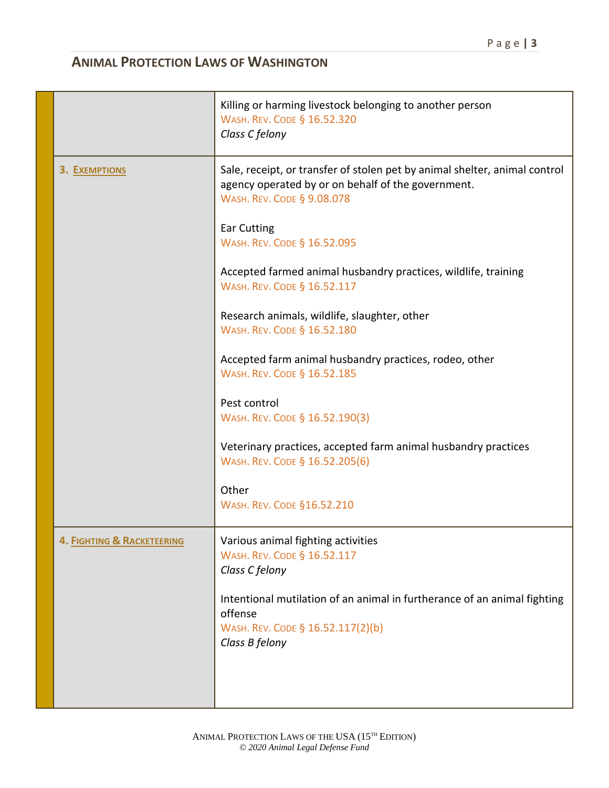|                                       | Killing or harming livestock belonging to another person<br>WASH. REV. CODE § 16.52.320<br>Class C felony                                                             |
|---------------------------------------|-----------------------------------------------------------------------------------------------------------------------------------------------------------------------|
| 3. EXEMPTIONS                         | Sale, receipt, or transfer of stolen pet by animal shelter, animal control<br>agency operated by or on behalf of the government.<br><b>WASH. REV. CODE § 9.08.078</b> |
|                                       | <b>Ear Cutting</b><br>WASH. REV. CODE § 16.52.095                                                                                                                     |
|                                       | Accepted farmed animal husbandry practices, wildlife, training<br>WASH. REV. CODE § 16.52.117                                                                         |
|                                       | Research animals, wildlife, slaughter, other<br>WASH. REV. CODE § 16.52.180                                                                                           |
|                                       | Accepted farm animal husbandry practices, rodeo, other<br>WASH. REV. CODE § 16.52.185                                                                                 |
|                                       | Pest control<br>WASH. REV. CODE § 16.52.190(3)                                                                                                                        |
|                                       | Veterinary practices, accepted farm animal husbandry practices<br>WASH. REV. CODE § 16.52.205(6)                                                                      |
|                                       | Other<br><b>WASH. REV. CODE §16.52.210</b>                                                                                                                            |
| <b>4. FIGHTING &amp; RACKETEERING</b> | Various animal fighting activities<br>WASH. REV. CODE § 16.52.117<br>Class C felony                                                                                   |
|                                       | Intentional mutilation of an animal in furtherance of an animal fighting<br>offense<br>WASH. REV. CODE § 16.52.117(2)(b)<br>Class B felony                            |
|                                       |                                                                                                                                                                       |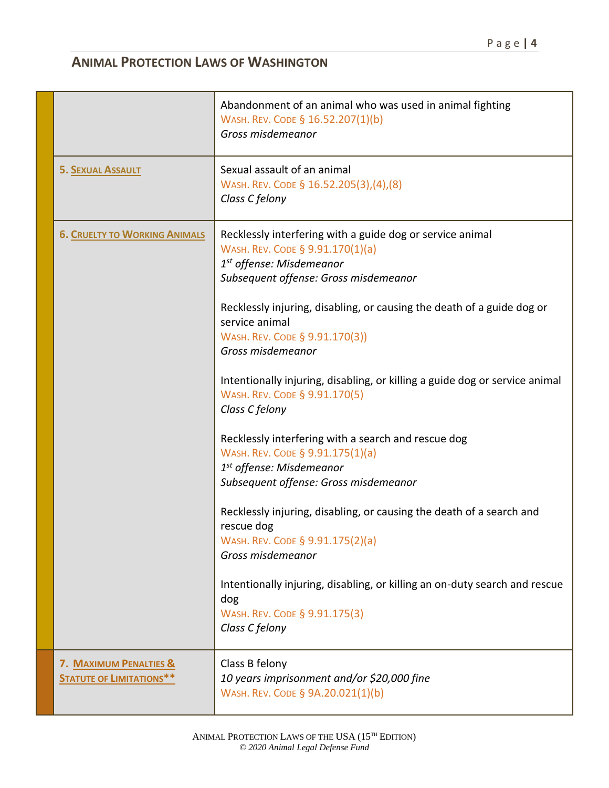|                                                           | Abandonment of an animal who was used in animal fighting<br>WASH. REV. CODE § 16.52.207(1)(b)<br>Gross misdemeanor                                                                                                                                                                                                                                                                                                                                                                                                                                                                                                                                                                                                                                                                                                                                                                                                                     |
|-----------------------------------------------------------|----------------------------------------------------------------------------------------------------------------------------------------------------------------------------------------------------------------------------------------------------------------------------------------------------------------------------------------------------------------------------------------------------------------------------------------------------------------------------------------------------------------------------------------------------------------------------------------------------------------------------------------------------------------------------------------------------------------------------------------------------------------------------------------------------------------------------------------------------------------------------------------------------------------------------------------|
| <b>5. SEXUAL ASSAULT</b>                                  | Sexual assault of an animal<br>WASH. REV. CODE § 16.52.205(3),(4),(8)<br>Class C felony                                                                                                                                                                                                                                                                                                                                                                                                                                                                                                                                                                                                                                                                                                                                                                                                                                                |
| <b>6. CRUELTY TO WORKING ANIMALS</b>                      | Recklessly interfering with a guide dog or service animal<br>WASH. REV. CODE § 9.91.170(1)(a)<br>1 <sup>st</sup> offense: Misdemeanor<br>Subsequent offense: Gross misdemeanor<br>Recklessly injuring, disabling, or causing the death of a guide dog or<br>service animal<br>WASH. REV. CODE § 9.91.170(3))<br>Gross misdemeanor<br>Intentionally injuring, disabling, or killing a guide dog or service animal<br>WASH. REV. CODE § 9.91.170(5)<br>Class C felony<br>Recklessly interfering with a search and rescue dog<br>WASH. REV. CODE § 9.91.175(1)(a)<br>1 <sup>st</sup> offense: Misdemeanor<br>Subsequent offense: Gross misdemeanor<br>Recklessly injuring, disabling, or causing the death of a search and<br>rescue dog<br>WASH. REV. CODE § 9.91.175(2)(a)<br>Gross misdemeanor<br>Intentionally injuring, disabling, or killing an on-duty search and rescue<br>dog<br>WASH. REV. CODE § 9.91.175(3)<br>Class C felony |
| 7. MAXIMUM PENALTIES &<br><b>STATUTE OF LIMITATIONS**</b> | Class B felony<br>10 years imprisonment and/or \$20,000 fine<br>WASH. REV. CODE § 9A.20.021(1)(b)                                                                                                                                                                                                                                                                                                                                                                                                                                                                                                                                                                                                                                                                                                                                                                                                                                      |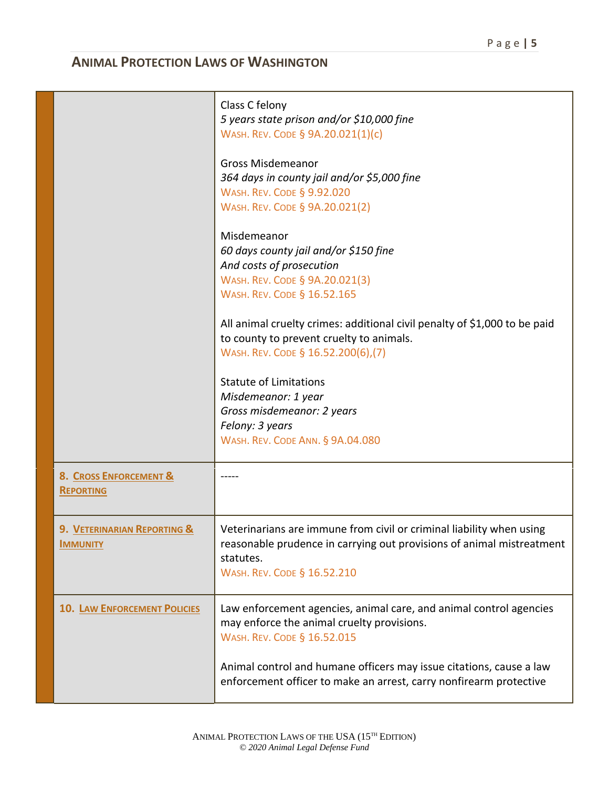|                                                | Class C felony<br>5 years state prison and/or \$10,000 fine<br>WASH. REV. CODE § 9A.20.021(1)(c)                                                                                          |
|------------------------------------------------|-------------------------------------------------------------------------------------------------------------------------------------------------------------------------------------------|
|                                                | <b>Gross Misdemeanor</b><br>364 days in county jail and/or \$5,000 fine<br><b>WASH. REV. CODE § 9.92.020</b><br>WASH. REV. CODE § 9A.20.021(2)                                            |
|                                                | Misdemeanor<br>60 days county jail and/or \$150 fine<br>And costs of prosecution<br>WASH. REV. CODE § 9A.20.021(3)<br>WASH. REV. CODE § 16.52.165                                         |
|                                                | All animal cruelty crimes: additional civil penalty of \$1,000 to be paid<br>to county to prevent cruelty to animals.<br>WASH. REV. CODE § 16.52.200(6),(7)                               |
|                                                | <b>Statute of Limitations</b><br>Misdemeanor: 1 year<br>Gross misdemeanor: 2 years<br>Felony: 3 years<br><b>WASH. REV. CODE ANN. § 9A.04.080</b>                                          |
| 8. CROSS ENFORCEMENT &<br><b>REPORTING</b>     |                                                                                                                                                                                           |
| 9. VETERINARIAN REPORTING &<br><b>IMMUNITY</b> | Veterinarians are immune from civil or criminal liability when using<br>reasonable prudence in carrying out provisions of animal mistreatment<br>statutes.<br>WASH. REV. CODE § 16.52.210 |
| <b>10. LAW ENFORCEMENT POLICIES</b>            | Law enforcement agencies, animal care, and animal control agencies<br>may enforce the animal cruelty provisions.<br>WASH. REV. CODE § 16.52.015                                           |
|                                                | Animal control and humane officers may issue citations, cause a law<br>enforcement officer to make an arrest, carry nonfirearm protective                                                 |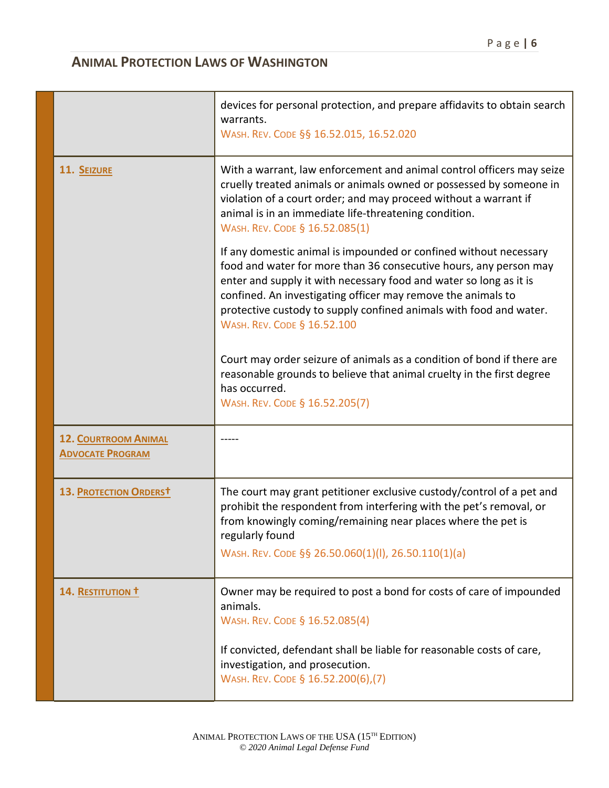|                                                        | devices for personal protection, and prepare affidavits to obtain search<br>warrants.<br>WASH. REV. CODE §§ 16.52.015, 16.52.020                                                                                                                                                                                                                                                  |
|--------------------------------------------------------|-----------------------------------------------------------------------------------------------------------------------------------------------------------------------------------------------------------------------------------------------------------------------------------------------------------------------------------------------------------------------------------|
| 11. SEIZURE                                            | With a warrant, law enforcement and animal control officers may seize<br>cruelly treated animals or animals owned or possessed by someone in<br>violation of a court order; and may proceed without a warrant if<br>animal is in an immediate life-threatening condition.<br>WASH. REV. CODE § 16.52.085(1)                                                                       |
|                                                        | If any domestic animal is impounded or confined without necessary<br>food and water for more than 36 consecutive hours, any person may<br>enter and supply it with necessary food and water so long as it is<br>confined. An investigating officer may remove the animals to<br>protective custody to supply confined animals with food and water.<br>WASH. REV. CODE § 16.52.100 |
|                                                        | Court may order seizure of animals as a condition of bond if there are<br>reasonable grounds to believe that animal cruelty in the first degree<br>has occurred.<br>WASH. REV. CODE § 16.52.205(7)                                                                                                                                                                                |
| <b>12. COURTROOM ANIMAL</b><br><b>ADVOCATE PROGRAM</b> |                                                                                                                                                                                                                                                                                                                                                                                   |
| 13. PROTECTION ORDERST                                 | The court may grant petitioner exclusive custody/control of a pet and<br>prohibit the respondent from interfering with the pet's removal, or<br>from knowingly coming/remaining near places where the pet is<br>regularly found<br>WASH. REV. CODE §§ 26.50.060(1)(I), 26.50.110(1)(a)                                                                                            |
| 14. RESTITUTION T                                      | Owner may be required to post a bond for costs of care of impounded<br>animals.<br>WASH. REV. CODE § 16.52.085(4)                                                                                                                                                                                                                                                                 |
|                                                        | If convicted, defendant shall be liable for reasonable costs of care,<br>investigation, and prosecution.<br>WASH. REV. CODE § 16.52.200(6),(7)                                                                                                                                                                                                                                    |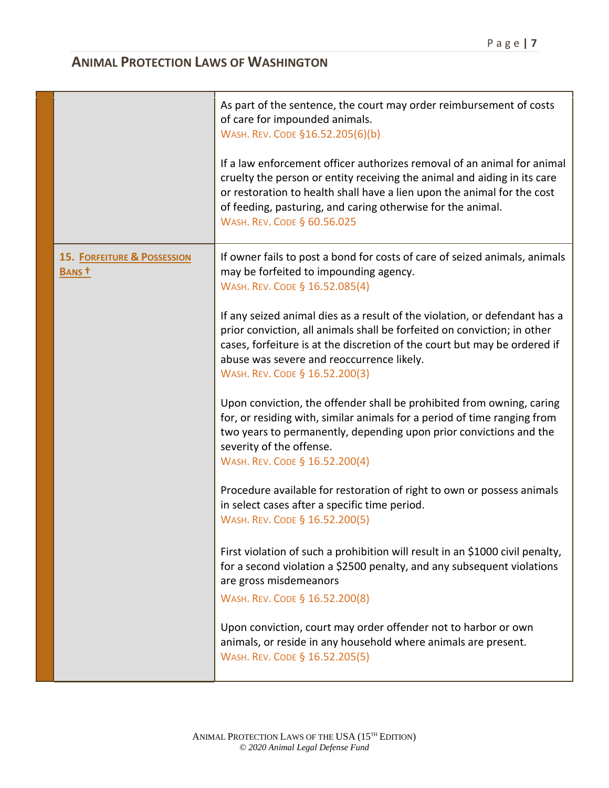|                                                  | As part of the sentence, the court may order reimbursement of costs<br>of care for impounded animals.<br>WASH. REV. CODE §16.52.205(6)(b)<br>If a law enforcement officer authorizes removal of an animal for animal<br>cruelty the person or entity receiving the animal and aiding in its care<br>or restoration to health shall have a lien upon the animal for the cost<br>of feeding, pasturing, and caring otherwise for the animal.<br>WASH. REV. CODE § 60.56.025 |
|--------------------------------------------------|---------------------------------------------------------------------------------------------------------------------------------------------------------------------------------------------------------------------------------------------------------------------------------------------------------------------------------------------------------------------------------------------------------------------------------------------------------------------------|
| <b>15. FORFEITURE &amp; POSSESSION</b><br>BANS t | If owner fails to post a bond for costs of care of seized animals, animals<br>may be forfeited to impounding agency.<br>WASH. REV. CODE § 16.52.085(4)<br>If any seized animal dies as a result of the violation, or defendant has a                                                                                                                                                                                                                                      |
|                                                  | prior conviction, all animals shall be forfeited on conviction; in other<br>cases, forfeiture is at the discretion of the court but may be ordered if<br>abuse was severe and reoccurrence likely.<br>WASH. REV. CODE § 16.52.200(3)                                                                                                                                                                                                                                      |
|                                                  | Upon conviction, the offender shall be prohibited from owning, caring<br>for, or residing with, similar animals for a period of time ranging from<br>two years to permanently, depending upon prior convictions and the<br>severity of the offense.<br>WASH. REV. CODE § 16.52.200(4)                                                                                                                                                                                     |
|                                                  | Procedure available for restoration of right to own or possess animals<br>in select cases after a specific time period.<br>WASH. REV. CODE § 16.52.200(5)                                                                                                                                                                                                                                                                                                                 |
|                                                  | First violation of such a prohibition will result in an \$1000 civil penalty,<br>for a second violation a \$2500 penalty, and any subsequent violations<br>are gross misdemeanors<br>WASH. REV. CODE § 16.52.200(8)                                                                                                                                                                                                                                                       |
|                                                  | Upon conviction, court may order offender not to harbor or own<br>animals, or reside in any household where animals are present.<br>WASH. REV. CODE § 16.52.205(5)                                                                                                                                                                                                                                                                                                        |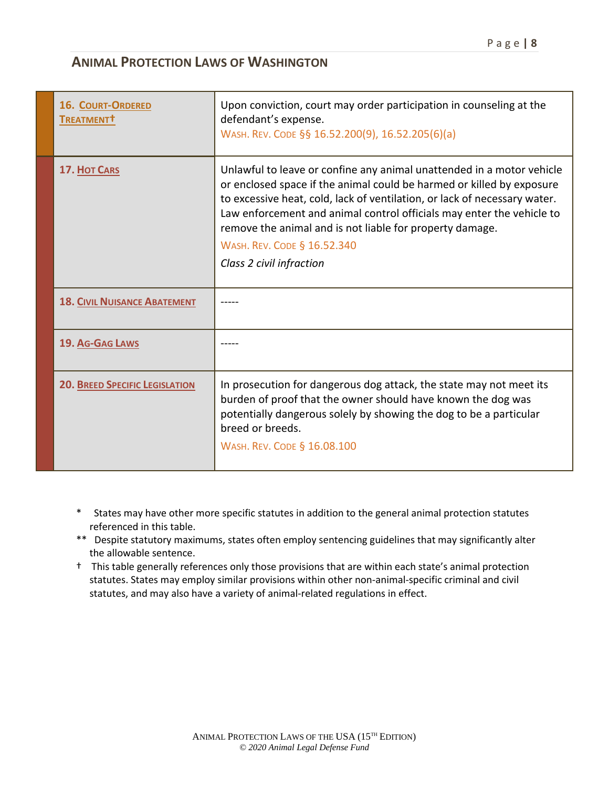| <b>16. COURT-ORDERED</b><br>TREATMENT <sup>†</sup> | Upon conviction, court may order participation in counseling at the<br>defendant's expense.<br>WASH. REV. CODE §§ 16.52.200(9), 16.52.205(6)(a)                                                                                                                                                                                                                                                                             |
|----------------------------------------------------|-----------------------------------------------------------------------------------------------------------------------------------------------------------------------------------------------------------------------------------------------------------------------------------------------------------------------------------------------------------------------------------------------------------------------------|
| 17. HOT CARS                                       | Unlawful to leave or confine any animal unattended in a motor vehicle<br>or enclosed space if the animal could be harmed or killed by exposure<br>to excessive heat, cold, lack of ventilation, or lack of necessary water.<br>Law enforcement and animal control officials may enter the vehicle to<br>remove the animal and is not liable for property damage.<br>WASH. REV. CODE § 16.52.340<br>Class 2 civil infraction |
| <b>18. CIVIL NUISANCE ABATEMENT</b>                |                                                                                                                                                                                                                                                                                                                                                                                                                             |
| 19. AG-GAG LAWS                                    |                                                                                                                                                                                                                                                                                                                                                                                                                             |
| <b>20. BREED SPECIFIC LEGISLATION</b>              | In prosecution for dangerous dog attack, the state may not meet its<br>burden of proof that the owner should have known the dog was<br>potentially dangerous solely by showing the dog to be a particular<br>breed or breeds.<br>WASH. REV. CODE § 16.08.100                                                                                                                                                                |

- \* States may have other more specific statutes in addition to the general animal protection statutes referenced in this table.
- \*\* Despite statutory maximums, states often employ sentencing guidelines that may significantly alter the allowable sentence.
- † This table generally references only those provisions that are within each state's animal protection statutes. States may employ similar provisions within other non-animal-specific criminal and civil statutes, and may also have a variety of animal-related regulations in effect.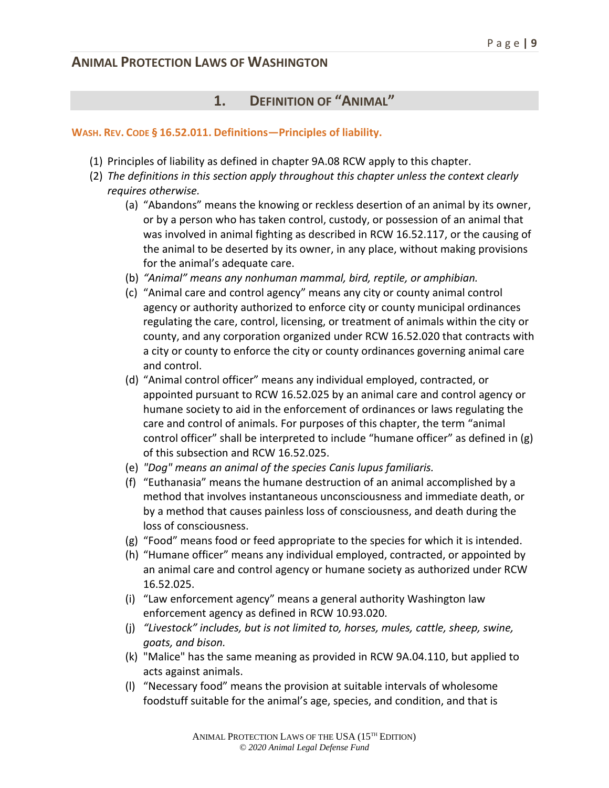## **1. DEFINITION OF "ANIMAL"**

#### **WASH. REV. CODE § 16.52.011. Definitions—Principles of liability.**

- (1) Principles of liability as defined in chapter 9A.08 RCW apply to this chapter.
- (2) *The definitions in this section apply throughout this chapter unless the context clearly requires otherwise.*
	- (a) "Abandons" means the knowing or reckless desertion of an animal by its owner, or by a person who has taken control, custody, or possession of an animal that was involved in animal fighting as described in RCW 16.52.117, or the causing of the animal to be deserted by its owner, in any place, without making provisions for the animal's adequate care.
	- (b) *"Animal" means any nonhuman mammal, bird, reptile, or amphibian.*
	- (c) "Animal care and control agency" means any city or county animal control agency or authority authorized to enforce city or county municipal ordinances regulating the care, control, licensing, or treatment of animals within the city or county, and any corporation organized under RCW 16.52.020 that contracts with a city or county to enforce the city or county ordinances governing animal care and control.
	- (d) "Animal control officer" means any individual employed, contracted, or appointed pursuant to RCW 16.52.025 by an animal care and control agency or humane society to aid in the enforcement of ordinances or laws regulating the care and control of animals. For purposes of this chapter, the term "animal control officer" shall be interpreted to include "humane officer" as defined in (g) of this subsection and RCW 16.52.025.
	- (e) *"Dog" means an animal of the species Canis lupus familiaris.*
	- (f) "Euthanasia" means the humane destruction of an animal accomplished by a method that involves instantaneous unconsciousness and immediate death, or by a method that causes painless loss of consciousness, and death during the loss of consciousness.
	- (g) "Food" means food or feed appropriate to the species for which it is intended.
	- (h) "Humane officer" means any individual employed, contracted, or appointed by an animal care and control agency or humane society as authorized under RCW 16.52.025.
	- (i) "Law enforcement agency" means a general authority Washington law enforcement agency as defined in RCW 10.93.020.
	- (j) *"Livestock" includes, but is not limited to, horses, mules, cattle, sheep, swine, goats, and bison.*
	- (k) "Malice" has the same meaning as provided in RCW 9A.04.110, but applied to acts against animals.
	- (l) "Necessary food" means the provision at suitable intervals of wholesome foodstuff suitable for the animal's age, species, and condition, and that is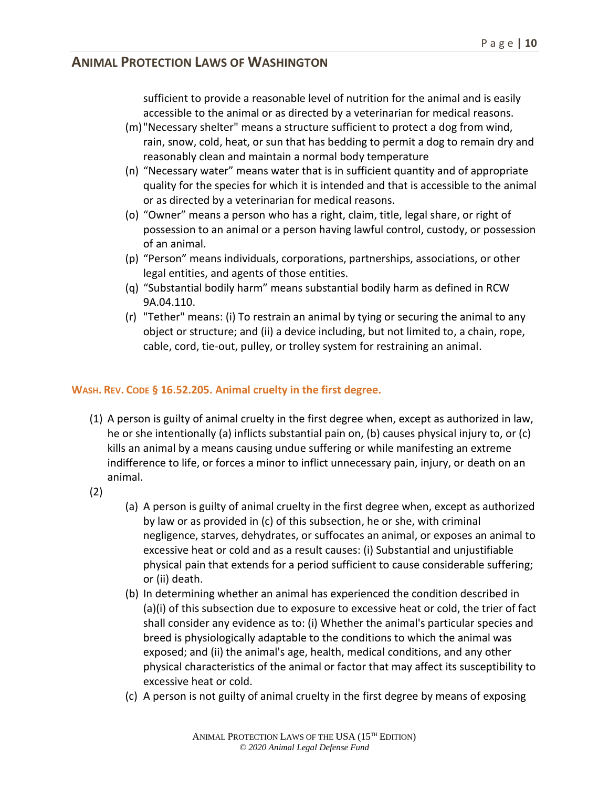sufficient to provide a reasonable level of nutrition for the animal and is easily accessible to the animal or as directed by a veterinarian for medical reasons.

- (m)"Necessary shelter" means a structure sufficient to protect a dog from wind, rain, snow, cold, heat, or sun that has bedding to permit a dog to remain dry and reasonably clean and maintain a normal body temperature
- (n) "Necessary water" means water that is in sufficient quantity and of appropriate quality for the species for which it is intended and that is accessible to the animal or as directed by a veterinarian for medical reasons.
- (o) "Owner" means a person who has a right, claim, title, legal share, or right of possession to an animal or a person having lawful control, custody, or possession of an animal.
- (p) "Person" means individuals, corporations, partnerships, associations, or other legal entities, and agents of those entities.
- (q) "Substantial bodily harm" means substantial bodily harm as defined in RCW 9A.04.110.
- (r) "Tether" means: (i) To restrain an animal by tying or securing the animal to any object or structure; and (ii) a device including, but not limited to, a chain, rope, cable, cord, tie-out, pulley, or trolley system for restraining an animal.

#### **WASH. REV. CODE § 16.52.205. Animal cruelty in the first degree.**

- (1) A person is guilty of animal cruelty in the first degree when, except as authorized in law, he or she intentionally (a) inflicts substantial pain on, (b) causes physical injury to, or (c) kills an animal by a means causing undue suffering or while manifesting an extreme indifference to life, or forces a minor to inflict unnecessary pain, injury, or death on an animal.
- (2)
- (a) A person is guilty of animal cruelty in the first degree when, except as authorized by law or as provided in (c) of this subsection, he or she, with criminal negligence, starves, dehydrates, or suffocates an animal, or exposes an animal to excessive heat or cold and as a result causes: (i) Substantial and unjustifiable physical pain that extends for a period sufficient to cause considerable suffering; or (ii) death.
- (b) In determining whether an animal has experienced the condition described in (a)(i) of this subsection due to exposure to excessive heat or cold, the trier of fact shall consider any evidence as to: (i) Whether the animal's particular species and breed is physiologically adaptable to the conditions to which the animal was exposed; and (ii) the animal's age, health, medical conditions, and any other physical characteristics of the animal or factor that may affect its susceptibility to excessive heat or cold.
- (c) A person is not guilty of animal cruelty in the first degree by means of exposing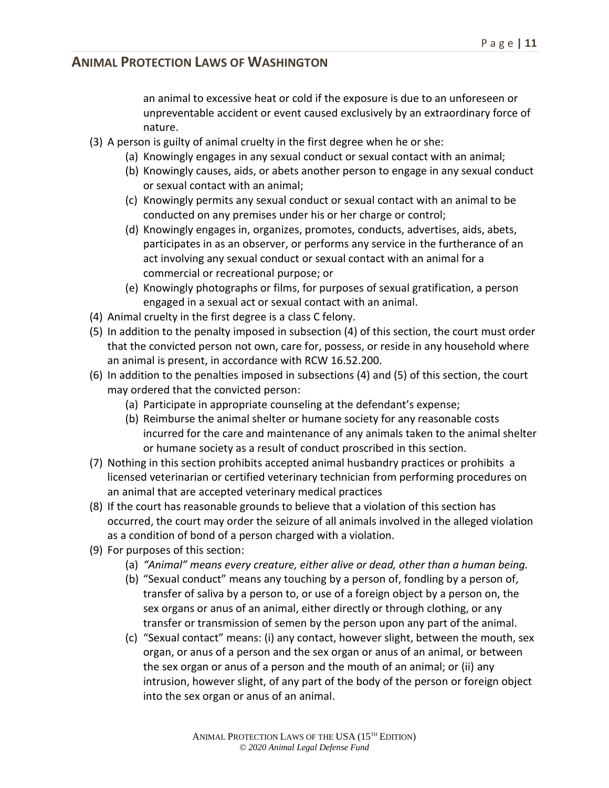an animal to excessive heat or cold if the exposure is due to an unforeseen or unpreventable accident or event caused exclusively by an extraordinary force of nature.

- (3) A person is guilty of animal cruelty in the first degree when he or she:
	- (a) Knowingly engages in any sexual conduct or sexual contact with an animal;
	- (b) Knowingly causes, aids, or abets another person to engage in any sexual conduct or sexual contact with an animal;
	- (c) Knowingly permits any sexual conduct or sexual contact with an animal to be conducted on any premises under his or her charge or control;
	- (d) Knowingly engages in, organizes, promotes, conducts, advertises, aids, abets, participates in as an observer, or performs any service in the furtherance of an act involving any sexual conduct or sexual contact with an animal for a commercial or recreational purpose; or
	- (e) Knowingly photographs or films, for purposes of sexual gratification, a person engaged in a sexual act or sexual contact with an animal.
- (4) Animal cruelty in the first degree is a class C felony.
- (5) In addition to the penalty imposed in subsection (4) of this section, the court must order that the convicted person not own, care for, possess, or reside in any household where an animal is present, in accordance with RCW 16.52.200.
- (6) In addition to the penalties imposed in subsections (4) and (5) of this section, the court may ordered that the convicted person:
	- (a) Participate in appropriate counseling at the defendant's expense;
	- (b) Reimburse the animal shelter or humane society for any reasonable costs incurred for the care and maintenance of any animals taken to the animal shelter or humane society as a result of conduct proscribed in this section.
- (7) Nothing in this section prohibits accepted animal husbandry practices or prohibits a licensed veterinarian or certified veterinary technician from performing procedures on an animal that are accepted veterinary medical practices
- (8) If the court has reasonable grounds to believe that a violation of this section has occurred, the court may order the seizure of all animals involved in the alleged violation as a condition of bond of a person charged with a violation.
- (9) For purposes of this section:
	- (a) *"Animal" means every creature, either alive or dead, other than a human being.*
	- (b) "Sexual conduct" means any touching by a person of, fondling by a person of, transfer of saliva by a person to, or use of a foreign object by a person on, the sex organs or anus of an animal, either directly or through clothing, or any transfer or transmission of semen by the person upon any part of the animal.
	- (c) "Sexual contact" means: (i) any contact, however slight, between the mouth, sex organ, or anus of a person and the sex organ or anus of an animal, or between the sex organ or anus of a person and the mouth of an animal; or (ii) any intrusion, however slight, of any part of the body of the person or foreign object into the sex organ or anus of an animal.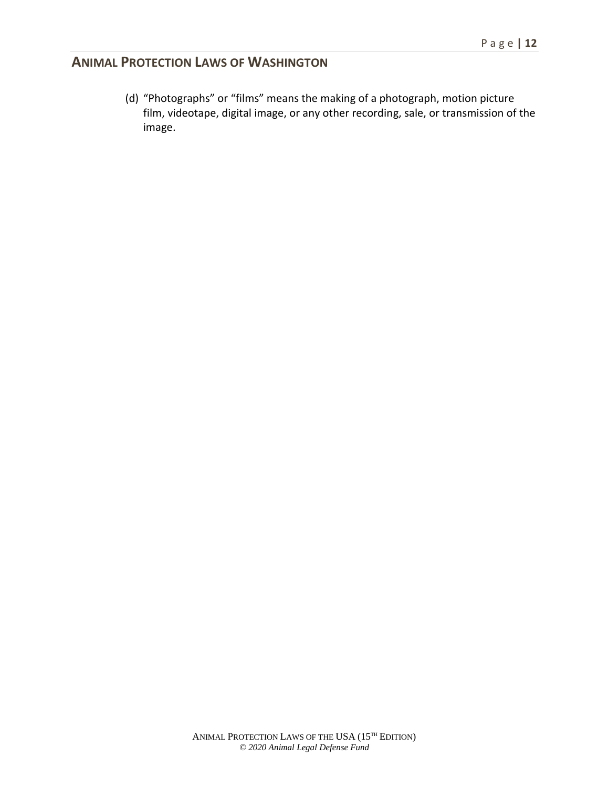(d) "Photographs" or "films" means the making of a photograph, motion picture film, videotape, digital image, or any other recording, sale, or transmission of the image.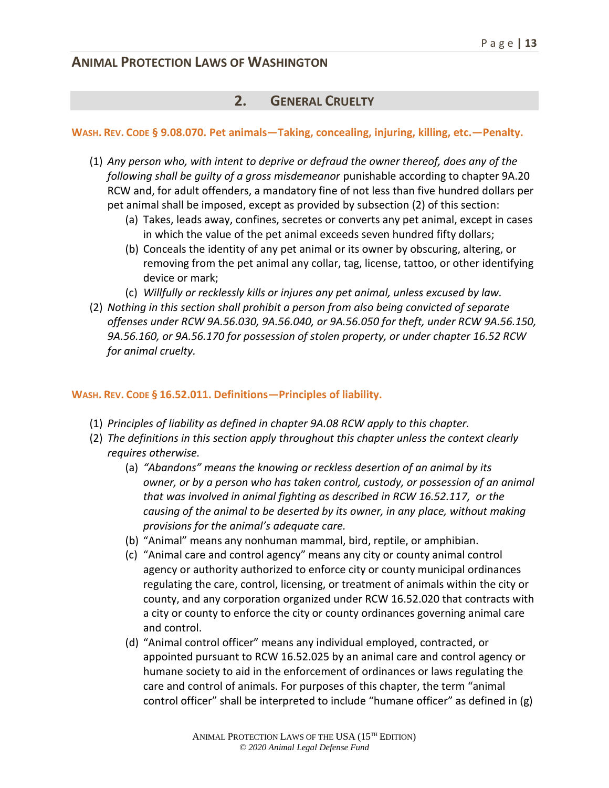#### **2. GENERAL CRUELTY**

#### **WASH. REV. CODE § 9.08.070. Pet animals—Taking, concealing, injuring, killing, etc.—Penalty.**

- (1) *Any person who, with intent to deprive or defraud the owner thereof, does any of the following shall be guilty of a gross misdemeanor* punishable according to chapter 9A.20 RCW and, for adult offenders, a mandatory fine of not less than five hundred dollars per pet animal shall be imposed, except as provided by subsection (2) of this section:
	- (a) Takes, leads away, confines, secretes or converts any pet animal, except in cases in which the value of the pet animal exceeds seven hundred fifty dollars;
	- (b) Conceals the identity of any pet animal or its owner by obscuring, altering, or removing from the pet animal any collar, tag, license, tattoo, or other identifying device or mark;
	- (c) *Willfully or recklessly kills or injures any pet animal, unless excused by law.*
- (2) *Nothing in this section shall prohibit a person from also being convicted of separate offenses under RCW 9A.56.030, 9A.56.040, or 9A.56.050 for theft, under RCW 9A.56.150, 9A.56.160, or 9A.56.170 for possession of stolen property, or under chapter 16.52 RCW for animal cruelty.*

#### **WASH. REV. CODE § 16.52.011. Definitions—Principles of liability.**

- (1) *Principles of liability as defined in chapter 9A.08 RCW apply to this chapter.*
- (2) *The definitions in this section apply throughout this chapter unless the context clearly requires otherwise.*
	- (a) *"Abandons" means the knowing or reckless desertion of an animal by its owner, or by a person who has taken control, custody, or possession of an animal that was involved in animal fighting as described in RCW 16.52.117, or the causing of the animal to be deserted by its owner, in any place, without making provisions for the animal's adequate care.*
	- (b) "Animal" means any nonhuman mammal, bird, reptile, or amphibian.
	- (c) "Animal care and control agency" means any city or county animal control agency or authority authorized to enforce city or county municipal ordinances regulating the care, control, licensing, or treatment of animals within the city or county, and any corporation organized under RCW 16.52.020 that contracts with a city or county to enforce the city or county ordinances governing animal care and control.
	- (d) "Animal control officer" means any individual employed, contracted, or appointed pursuant to RCW 16.52.025 by an animal care and control agency or humane society to aid in the enforcement of ordinances or laws regulating the care and control of animals. For purposes of this chapter, the term "animal control officer" shall be interpreted to include "humane officer" as defined in (g)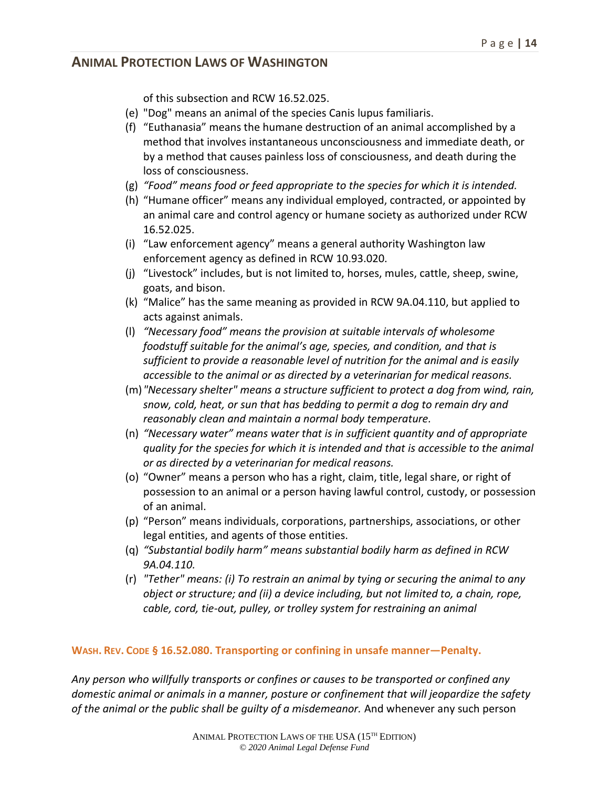of this subsection and RCW 16.52.025.

- (e) "Dog" means an animal of the species Canis lupus familiaris.
- (f) "Euthanasia" means the humane destruction of an animal accomplished by a method that involves instantaneous unconsciousness and immediate death, or by a method that causes painless loss of consciousness, and death during the loss of consciousness.
- (g) *"Food" means food or feed appropriate to the species for which it is intended.*
- (h) "Humane officer" means any individual employed, contracted, or appointed by an animal care and control agency or humane society as authorized under RCW 16.52.025.
- (i) "Law enforcement agency" means a general authority Washington law enforcement agency as defined in RCW 10.93.020.
- (j) "Livestock" includes, but is not limited to, horses, mules, cattle, sheep, swine, goats, and bison.
- (k) "Malice" has the same meaning as provided in RCW 9A.04.110, but applied to acts against animals.
- (l) *"Necessary food" means the provision at suitable intervals of wholesome foodstuff suitable for the animal's age, species, and condition, and that is sufficient to provide a reasonable level of nutrition for the animal and is easily accessible to the animal or as directed by a veterinarian for medical reasons.*
- (m)*"Necessary shelter" means a structure sufficient to protect a dog from wind, rain, snow, cold, heat, or sun that has bedding to permit a dog to remain dry and reasonably clean and maintain a normal body temperature.*
- (n) *"Necessary water" means water that is in sufficient quantity and of appropriate quality for the species for which it is intended and that is accessible to the animal or as directed by a veterinarian for medical reasons.*
- (o) "Owner" means a person who has a right, claim, title, legal share, or right of possession to an animal or a person having lawful control, custody, or possession of an animal.
- (p) "Person" means individuals, corporations, partnerships, associations, or other legal entities, and agents of those entities.
- (q) *"Substantial bodily harm" means substantial bodily harm as defined in RCW 9A.04.110.*
- (r) *"Tether" means: (i) To restrain an animal by tying or securing the animal to any object or structure; and (ii) a device including, but not limited to, a chain, rope, cable, cord, tie-out, pulley, or trolley system for restraining an animal*

#### **WASH. REV. CODE § 16.52.080. Transporting or confining in unsafe manner—Penalty.**

*Any person who willfully transports or confines or causes to be transported or confined any domestic animal or animals in a manner, posture or confinement that will jeopardize the safety of the animal or the public shall be guilty of a misdemeanor.* And whenever any such person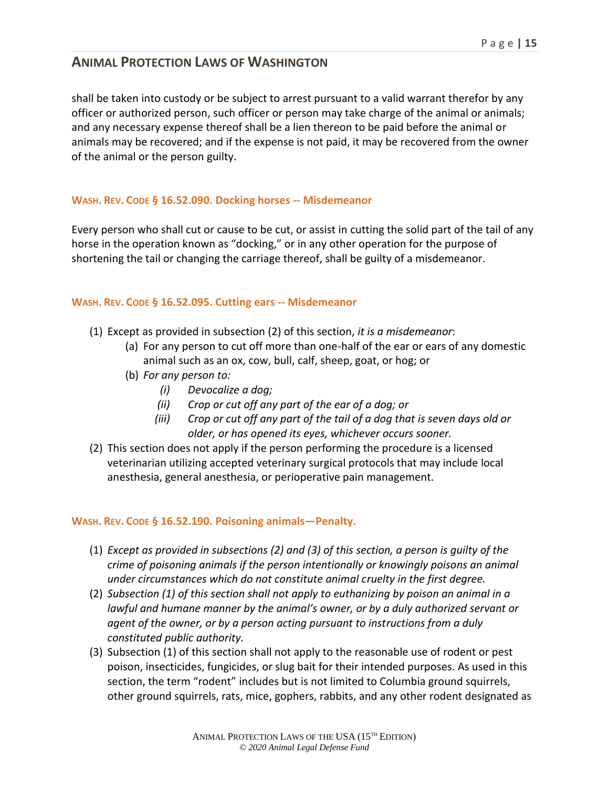shall be taken into custody or be subject to arrest pursuant to a valid warrant therefor by any officer or authorized person, such officer or person may take charge of the animal or animals; and any necessary expense thereof shall be a lien thereon to be paid before the animal or animals may be recovered; and if the expense is not paid, it may be recovered from the owner of the animal or the person guilty.

#### **WASH. REV. CODE § 16.52.090. Docking horses -- Misdemeanor**

Every person who shall cut or cause to be cut, or assist in cutting the solid part of the tail of any horse in the operation known as "docking," or in any other operation for the purpose of shortening the tail or changing the carriage thereof, shall be guilty of a misdemeanor.

#### **WASH. REV. CODE § 16.52.095. Cutting ears -- Misdemeanor**

- (1) Except as provided in subsection (2) of this section, *it is a misdemeanor*:
	- (a) For any person to cut off more than one-half of the ear or ears of any domestic animal such as an ox, cow, bull, calf, sheep, goat, or hog; or
	- (b) *For any person to:*
		- *(i) Devocalize a dog;*
		- *(ii) Crop or cut off any part of the ear of a dog; or*
		- *(iii) Crop or cut off any part of the tail of a dog that is seven days old or older, or has opened its eyes, whichever occurs sooner.*
- (2) This section does not apply if the person performing the procedure is a licensed veterinarian utilizing accepted veterinary surgical protocols that may include local anesthesia, general anesthesia, or perioperative pain management.

#### **WASH. REV. CODE § 16.52.190. Poisoning animals—Penalty.**

- (1) *Except as provided in subsections (2) and (3) of this section, a person is guilty of the crime of poisoning animals if the person intentionally or knowingly poisons an animal under circumstances which do not constitute animal cruelty in the first degree.*
- (2) *Subsection (1) of this section shall not apply to euthanizing by poison an animal in a*  lawful and humane manner by the animal's owner, or by a duly authorized servant or *agent of the owner, or by a person acting pursuant to instructions from a duly constituted public authority.*
- (3) Subsection (1) of this section shall not apply to the reasonable use of rodent or pest poison, insecticides, fungicides, or slug bait for their intended purposes. As used in this section, the term "rodent" includes but is not limited to Columbia ground squirrels, other ground squirrels, rats, mice, gophers, rabbits, and any other rodent designated as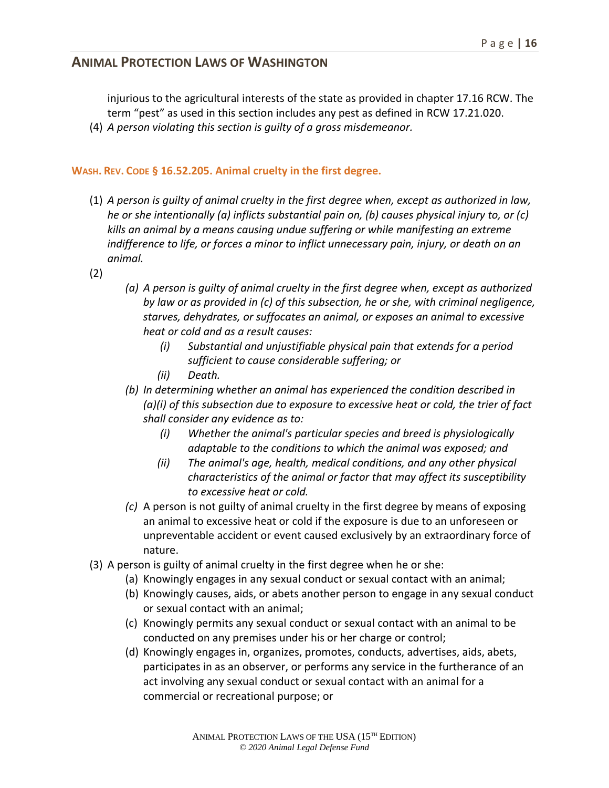injurious to the agricultural interests of the state as provided in chapter 17.16 RCW. The term "pest" as used in this section includes any pest as defined in RCW 17.21.020.

(4) *A person violating this section is guilty of a gross misdemeanor.*

#### **WASH. REV. CODE § 16.52.205. Animal cruelty in the first degree.**

- (1) *A person is guilty of animal cruelty in the first degree when, except as authorized in law, he or she intentionally (a) inflicts substantial pain on, (b) causes physical injury to, or (c) kills an animal by a means causing undue suffering or while manifesting an extreme indifference to life, or forces a minor to inflict unnecessary pain, injury, or death on an animal.*
- (2)
- *(a) A person is guilty of animal cruelty in the first degree when, except as authorized by law or as provided in (c) of this subsection, he or she, with criminal negligence, starves, dehydrates, or suffocates an animal, or exposes an animal to excessive heat or cold and as a result causes:* 
	- *(i) Substantial and unjustifiable physical pain that extends for a period sufficient to cause considerable suffering; or*
	- *(ii) Death.*
- *(b) In determining whether an animal has experienced the condition described in (a)(i) of this subsection due to exposure to excessive heat or cold, the trier of fact shall consider any evidence as to:*
	- *(i) Whether the animal's particular species and breed is physiologically adaptable to the conditions to which the animal was exposed; and*
	- *(ii) The animal's age, health, medical conditions, and any other physical characteristics of the animal or factor that may affect its susceptibility to excessive heat or cold.*
- *(c)* A person is not guilty of animal cruelty in the first degree by means of exposing an animal to excessive heat or cold if the exposure is due to an unforeseen or unpreventable accident or event caused exclusively by an extraordinary force of nature.
- (3) A person is guilty of animal cruelty in the first degree when he or she:
	- (a) Knowingly engages in any sexual conduct or sexual contact with an animal;
	- (b) Knowingly causes, aids, or abets another person to engage in any sexual conduct or sexual contact with an animal;
	- (c) Knowingly permits any sexual conduct or sexual contact with an animal to be conducted on any premises under his or her charge or control;
	- (d) Knowingly engages in, organizes, promotes, conducts, advertises, aids, abets, participates in as an observer, or performs any service in the furtherance of an act involving any sexual conduct or sexual contact with an animal for a commercial or recreational purpose; or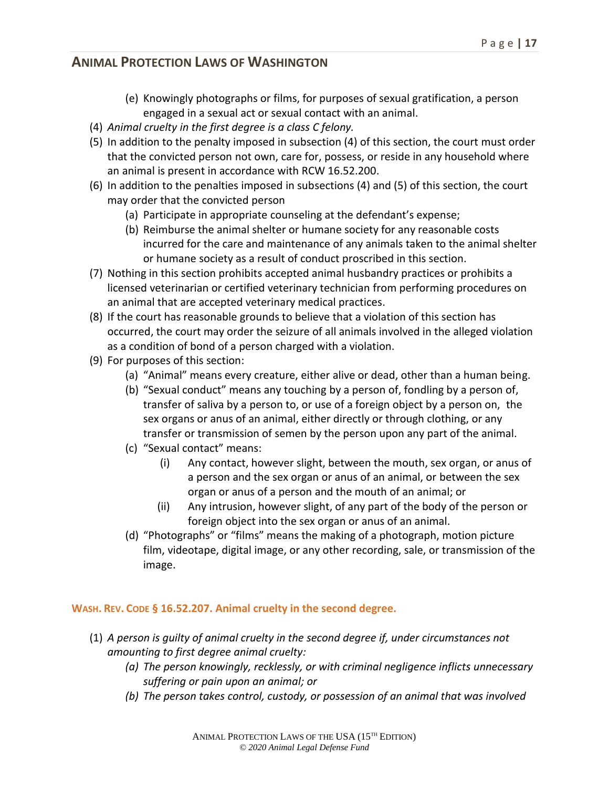- (e) Knowingly photographs or films, for purposes of sexual gratification, a person engaged in a sexual act or sexual contact with an animal.
- (4) *Animal cruelty in the first degree is a class C felony.*
- (5) In addition to the penalty imposed in subsection (4) of this section, the court must order that the convicted person not own, care for, possess, or reside in any household where an animal is present in accordance with RCW 16.52.200.
- (6) In addition to the penalties imposed in subsections (4) and (5) of this section, the court may order that the convicted person
	- (a) Participate in appropriate counseling at the defendant's expense;
	- (b) Reimburse the animal shelter or humane society for any reasonable costs incurred for the care and maintenance of any animals taken to the animal shelter or humane society as a result of conduct proscribed in this section.
- (7) Nothing in this section prohibits accepted animal husbandry practices or prohibits a licensed veterinarian or certified veterinary technician from performing procedures on an animal that are accepted veterinary medical practices.
- (8) If the court has reasonable grounds to believe that a violation of this section has occurred, the court may order the seizure of all animals involved in the alleged violation as a condition of bond of a person charged with a violation.
- (9) For purposes of this section:
	- (a) "Animal" means every creature, either alive or dead, other than a human being.
	- (b) "Sexual conduct" means any touching by a person of, fondling by a person of, transfer of saliva by a person to, or use of a foreign object by a person on, the sex organs or anus of an animal, either directly or through clothing, or any transfer or transmission of semen by the person upon any part of the animal.
	- (c) "Sexual contact" means:
		- (i) Any contact, however slight, between the mouth, sex organ, or anus of a person and the sex organ or anus of an animal, or between the sex organ or anus of a person and the mouth of an animal; or
		- (ii) Any intrusion, however slight, of any part of the body of the person or foreign object into the sex organ or anus of an animal.
	- (d) "Photographs" or "films" means the making of a photograph, motion picture film, videotape, digital image, or any other recording, sale, or transmission of the image.

#### **WASH. REV. CODE § 16.52.207. Animal cruelty in the second degree.**

- (1) *A person is guilty of animal cruelty in the second degree if, under circumstances not amounting to first degree animal cruelty:*
	- *(a) The person knowingly, recklessly, or with criminal negligence inflicts unnecessary suffering or pain upon an animal; or*
	- *(b) The person takes control, custody, or possession of an animal that was involved*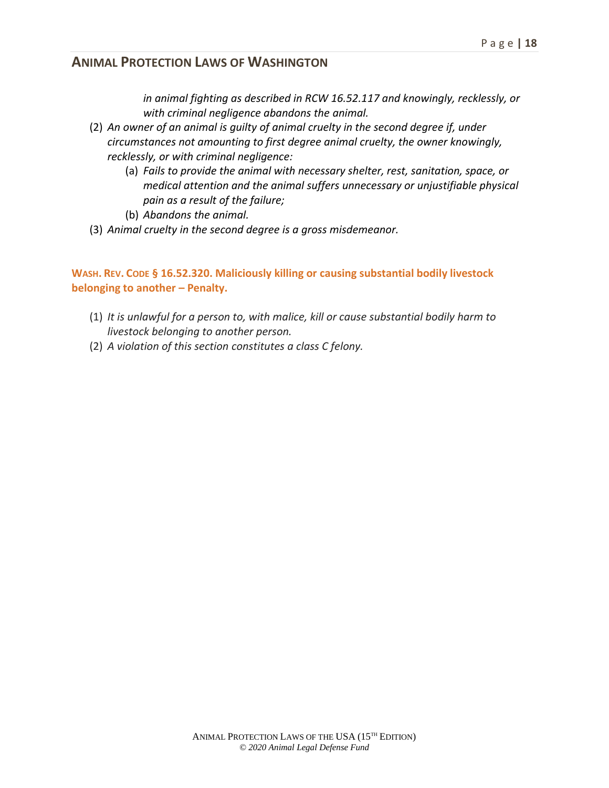*in animal fighting as described in RCW 16.52.117 and knowingly, recklessly, or with criminal negligence abandons the animal.*

- (2) *An owner of an animal is guilty of animal cruelty in the second degree if, under circumstances not amounting to first degree animal cruelty, the owner knowingly, recklessly, or with criminal negligence:*
	- (a) *Fails to provide the animal with necessary shelter, rest, sanitation, space, or medical attention and the animal suffers unnecessary or unjustifiable physical pain as a result of the failure;*
	- (b) *Abandons the animal.*
- (3) *Animal cruelty in the second degree is a gross misdemeanor.*

**WASH. REV. CODE § 16.52.320. Maliciously killing or causing substantial bodily livestock belonging to another – Penalty.**

- (1) *It is unlawful for a person to, with malice, kill or cause substantial bodily harm to livestock belonging to another person.*
- (2) *A violation of this section constitutes a class C felony.*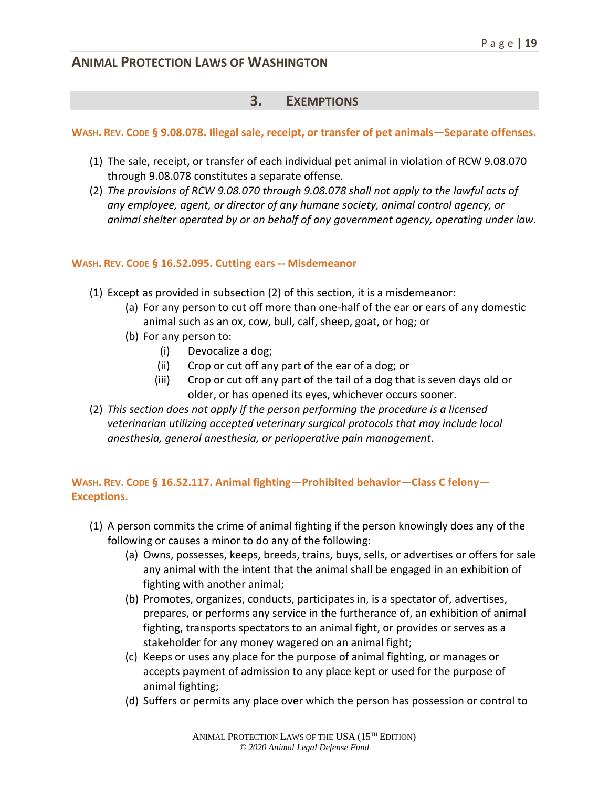#### **3. EXEMPTIONS**

#### **WASH. REV. CODE § 9.08.078. Illegal sale, receipt, or transfer of pet animals—Separate offenses.**

- (1) The sale, receipt, or transfer of each individual pet animal in violation of RCW 9.08.070 through 9.08.078 constitutes a separate offense.
- (2) *The provisions of RCW 9.08.070 through 9.08.078 shall not apply to the lawful acts of any employee, agent, or director of any humane society, animal control agency, or animal shelter operated by or on behalf of any government agency, operating under law.*

#### **WASH. REV. CODE § 16.52.095. Cutting ears -- Misdemeanor**

- (1) Except as provided in subsection (2) of this section, it is a misdemeanor:
	- (a) For any person to cut off more than one-half of the ear or ears of any domestic animal such as an ox, cow, bull, calf, sheep, goat, or hog; or
	- (b) For any person to:
		- (i) Devocalize a dog;
		- (ii) Crop or cut off any part of the ear of a dog; or
		- (iii) Crop or cut off any part of the tail of a dog that is seven days old or older, or has opened its eyes, whichever occurs sooner.
- (2) *This section does not apply if the person performing the procedure is a licensed veterinarian utilizing accepted veterinary surgical protocols that may include local anesthesia, general anesthesia, or perioperative pain management*.

#### **WASH. REV. CODE § 16.52.117. Animal fighting—Prohibited behavior—Class C felony— Exceptions.**

- (1) A person commits the crime of animal fighting if the person knowingly does any of the following or causes a minor to do any of the following:
	- (a) Owns, possesses, keeps, breeds, trains, buys, sells, or advertises or offers for sale any animal with the intent that the animal shall be engaged in an exhibition of fighting with another animal;
	- (b) Promotes, organizes, conducts, participates in, is a spectator of, advertises, prepares, or performs any service in the furtherance of, an exhibition of animal fighting, transports spectators to an animal fight, or provides or serves as a stakeholder for any money wagered on an animal fight;
	- (c) Keeps or uses any place for the purpose of animal fighting, or manages or accepts payment of admission to any place kept or used for the purpose of animal fighting;
	- (d) Suffers or permits any place over which the person has possession or control to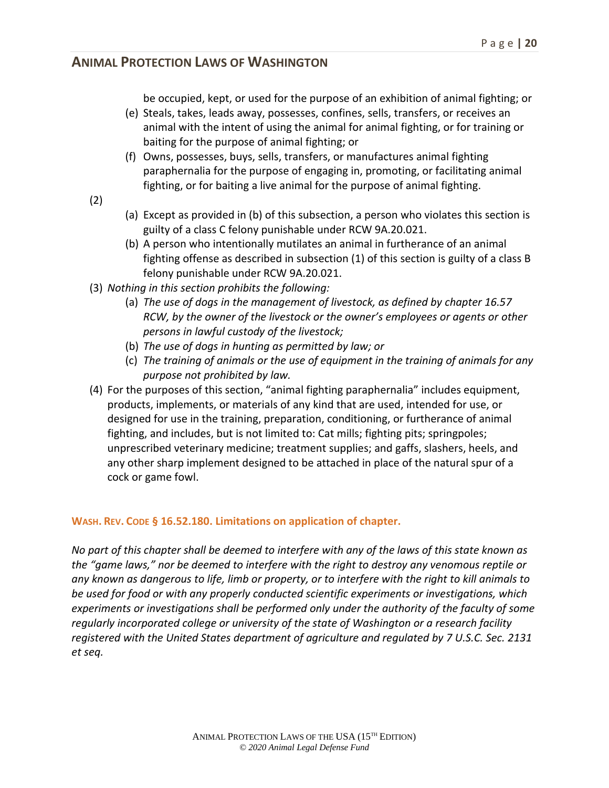be occupied, kept, or used for the purpose of an exhibition of animal fighting; or

- (e) Steals, takes, leads away, possesses, confines, sells, transfers, or receives an animal with the intent of using the animal for animal fighting, or for training or baiting for the purpose of animal fighting; or
- (f) Owns, possesses, buys, sells, transfers, or manufactures animal fighting paraphernalia for the purpose of engaging in, promoting, or facilitating animal fighting, or for baiting a live animal for the purpose of animal fighting.
- (2)
- (a) Except as provided in (b) of this subsection, a person who violates this section is guilty of a class C felony punishable under RCW 9A.20.021.
- (b) A person who intentionally mutilates an animal in furtherance of an animal fighting offense as described in subsection (1) of this section is guilty of a class B felony punishable under RCW 9A.20.021.
- (3) *Nothing in this section prohibits the following:*
	- (a) *The use of dogs in the management of livestock, as defined by chapter 16.57 RCW, by the owner of the livestock or the owner's employees or agents or other persons in lawful custody of the livestock;*
	- (b) *The use of dogs in hunting as permitted by law; or*
	- (c) *The training of animals or the use of equipment in the training of animals for any purpose not prohibited by law.*
- (4) For the purposes of this section, "animal fighting paraphernalia" includes equipment, products, implements, or materials of any kind that are used, intended for use, or designed for use in the training, preparation, conditioning, or furtherance of animal fighting, and includes, but is not limited to: Cat mills; fighting pits; springpoles; unprescribed veterinary medicine; treatment supplies; and gaffs, slashers, heels, and any other sharp implement designed to be attached in place of the natural spur of a cock or game fowl.

#### **WASH. REV. CODE § 16.52.180. Limitations on application of chapter.**

*No part of this chapter shall be deemed to interfere with any of the laws of this state known as the "game laws," nor be deemed to interfere with the right to destroy any venomous reptile or any known as dangerous to life, limb or property, or to interfere with the right to kill animals to be used for food or with any properly conducted scientific experiments or investigations, which experiments or investigations shall be performed only under the authority of the faculty of some regularly incorporated college or university of the state of Washington or a research facility registered with the United States department of agriculture and regulated by 7 U.S.C. Sec. 2131 et seq.*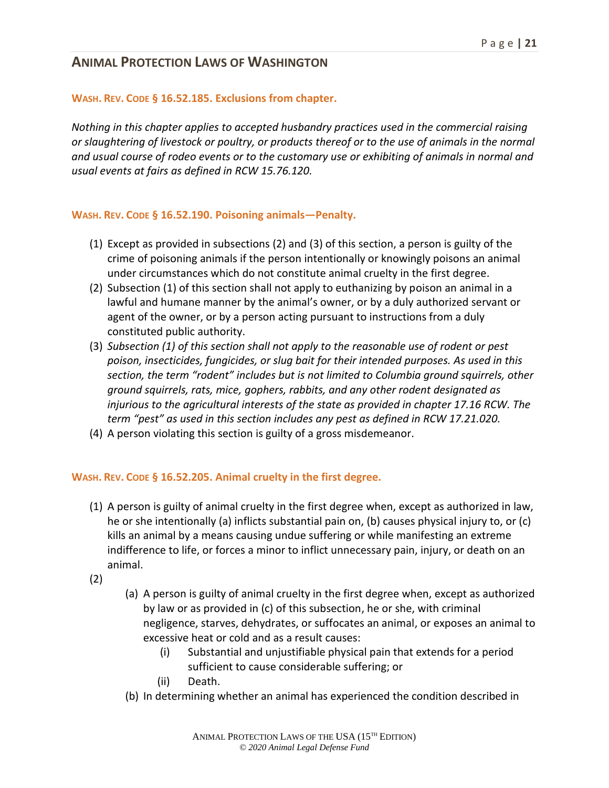#### **WASH. REV. CODE § 16.52.185. Exclusions from chapter.**

*Nothing in this chapter applies to accepted husbandry practices used in the commercial raising or slaughtering of livestock or poultry, or products thereof or to the use of animals in the normal and usual course of rodeo events or to the customary use or exhibiting of animals in normal and usual events at fairs as defined in RCW 15.76.120.*

#### **WASH. REV. CODE § 16.52.190. Poisoning animals—Penalty.**

- (1) Except as provided in subsections (2) and (3) of this section, a person is guilty of the crime of poisoning animals if the person intentionally or knowingly poisons an animal under circumstances which do not constitute animal cruelty in the first degree.
- (2) Subsection (1) of this section shall not apply to euthanizing by poison an animal in a lawful and humane manner by the animal's owner, or by a duly authorized servant or agent of the owner, or by a person acting pursuant to instructions from a duly constituted public authority.
- (3) *Subsection (1) of this section shall not apply to the reasonable use of rodent or pest poison, insecticides, fungicides, or slug bait for their intended purposes. As used in this section, the term "rodent" includes but is not limited to Columbia ground squirrels, other ground squirrels, rats, mice, gophers, rabbits, and any other rodent designated as injurious to the agricultural interests of the state as provided in chapter 17.16 RCW. The term "pest" as used in this section includes any pest as defined in RCW 17.21.020.*
- (4) A person violating this section is guilty of a gross misdemeanor.

#### **WASH. REV. CODE § 16.52.205. Animal cruelty in the first degree.**

- (1) A person is guilty of animal cruelty in the first degree when, except as authorized in law, he or she intentionally (a) inflicts substantial pain on, (b) causes physical injury to, or (c) kills an animal by a means causing undue suffering or while manifesting an extreme indifference to life, or forces a minor to inflict unnecessary pain, injury, or death on an animal.
- (2)
- (a) A person is guilty of animal cruelty in the first degree when, except as authorized by law or as provided in (c) of this subsection, he or she, with criminal negligence, starves, dehydrates, or suffocates an animal, or exposes an animal to excessive heat or cold and as a result causes:
	- (i) Substantial and unjustifiable physical pain that extends for a period sufficient to cause considerable suffering; or
	- (ii) Death.
- (b) In determining whether an animal has experienced the condition described in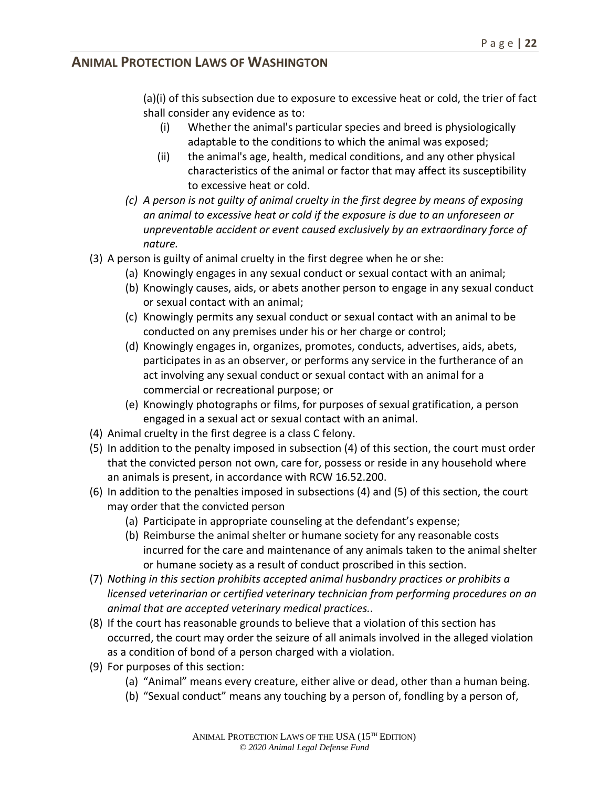(a)(i) of this subsection due to exposure to excessive heat or cold, the trier of fact shall consider any evidence as to:

- (i) Whether the animal's particular species and breed is physiologically adaptable to the conditions to which the animal was exposed;
- (ii) the animal's age, health, medical conditions, and any other physical characteristics of the animal or factor that may affect its susceptibility to excessive heat or cold.
- *(c) A person is not guilty of animal cruelty in the first degree by means of exposing an animal to excessive heat or cold if the exposure is due to an unforeseen or unpreventable accident or event caused exclusively by an extraordinary force of nature.*
- (3) A person is guilty of animal cruelty in the first degree when he or she:
	- (a) Knowingly engages in any sexual conduct or sexual contact with an animal;
		- (b) Knowingly causes, aids, or abets another person to engage in any sexual conduct or sexual contact with an animal;
		- (c) Knowingly permits any sexual conduct or sexual contact with an animal to be conducted on any premises under his or her charge or control;
		- (d) Knowingly engages in, organizes, promotes, conducts, advertises, aids, abets, participates in as an observer, or performs any service in the furtherance of an act involving any sexual conduct or sexual contact with an animal for a commercial or recreational purpose; or
		- (e) Knowingly photographs or films, for purposes of sexual gratification, a person engaged in a sexual act or sexual contact with an animal.
- (4) Animal cruelty in the first degree is a class C felony.
- (5) In addition to the penalty imposed in subsection (4) of this section, the court must order that the convicted person not own, care for, possess or reside in any household where an animals is present, in accordance with RCW 16.52.200.
- (6) In addition to the penalties imposed in subsections (4) and (5) of this section, the court may order that the convicted person
	- (a) Participate in appropriate counseling at the defendant's expense;
	- (b) Reimburse the animal shelter or humane society for any reasonable costs incurred for the care and maintenance of any animals taken to the animal shelter or humane society as a result of conduct proscribed in this section.
- (7) *Nothing in this section prohibits accepted animal husbandry practices or prohibits a licensed veterinarian or certified veterinary technician from performing procedures on an animal that are accepted veterinary medical practices..*
- (8) If the court has reasonable grounds to believe that a violation of this section has occurred, the court may order the seizure of all animals involved in the alleged violation as a condition of bond of a person charged with a violation.
- (9) For purposes of this section:
	- (a) "Animal" means every creature, either alive or dead, other than a human being.
	- (b) "Sexual conduct" means any touching by a person of, fondling by a person of,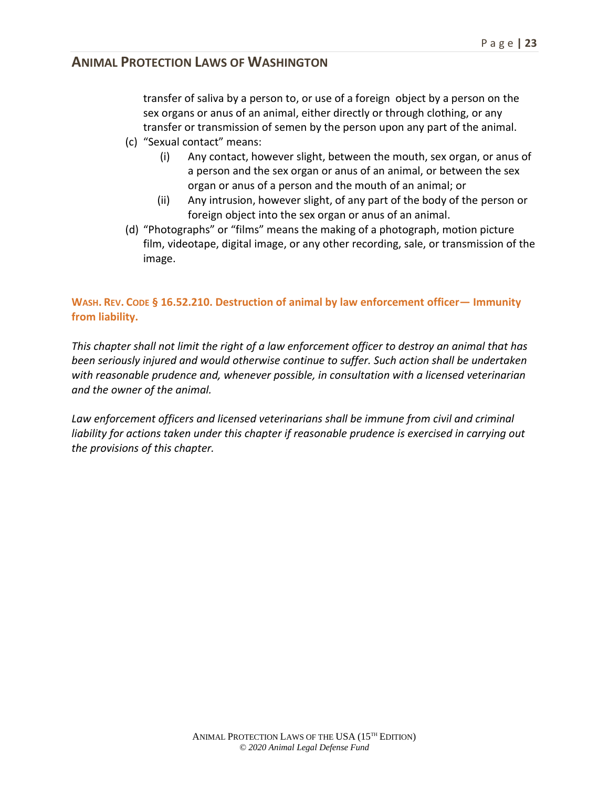transfer of saliva by a person to, or use of a foreign object by a person on the sex organs or anus of an animal, either directly or through clothing, or any transfer or transmission of semen by the person upon any part of the animal.

- (c) "Sexual contact" means:
	- (i) Any contact, however slight, between the mouth, sex organ, or anus of a person and the sex organ or anus of an animal, or between the sex organ or anus of a person and the mouth of an animal; or
	- (ii) Any intrusion, however slight, of any part of the body of the person or foreign object into the sex organ or anus of an animal.
- (d) "Photographs" or "films" means the making of a photograph, motion picture film, videotape, digital image, or any other recording, sale, or transmission of the image.

#### **WASH. REV. CODE § 16.52.210. Destruction of animal by law enforcement officer— Immunity from liability.**

*This chapter shall not limit the right of a law enforcement officer to destroy an animal that has been seriously injured and would otherwise continue to suffer. Such action shall be undertaken with reasonable prudence and, whenever possible, in consultation with a licensed veterinarian and the owner of the animal.* 

Law enforcement officers and licensed veterinarians shall be immune from civil and criminal liability for actions taken under this chapter if reasonable prudence is exercised in carrying out *the provisions of this chapter.*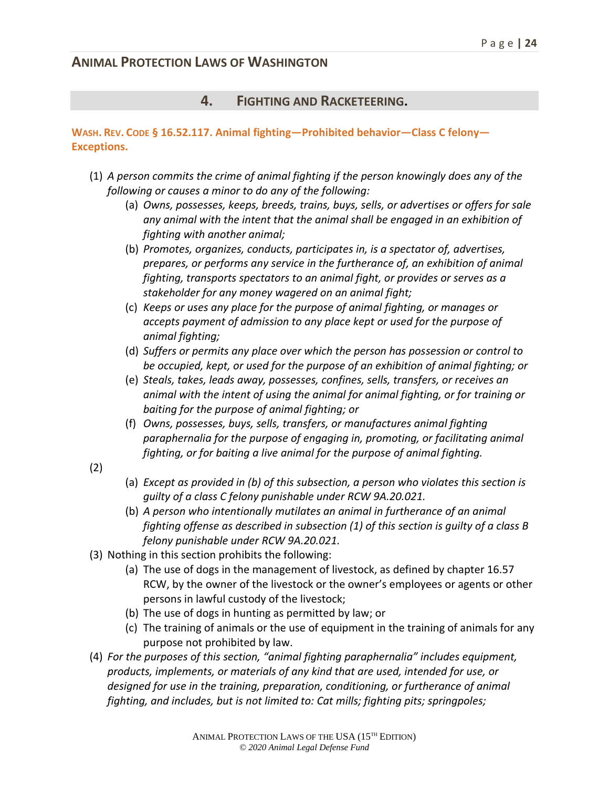#### **4. FIGHTING AND RACKETEERING.**

#### **WASH. REV. CODE § 16.52.117. Animal fighting—Prohibited behavior—Class C felony— Exceptions.**

- (1) *A person commits the crime of animal fighting if the person knowingly does any of the following or causes a minor to do any of the following:*
	- (a) *Owns, possesses, keeps, breeds, trains, buys, sells, or advertises or offers for sale any animal with the intent that the animal shall be engaged in an exhibition of fighting with another animal;*
	- (b) *Promotes, organizes, conducts, participates in, is a spectator of, advertises, prepares, or performs any service in the furtherance of, an exhibition of animal fighting, transports spectators to an animal fight, or provides or serves as a stakeholder for any money wagered on an animal fight;*
	- (c) *Keeps or uses any place for the purpose of animal fighting, or manages or accepts payment of admission to any place kept or used for the purpose of animal fighting;*
	- (d) *Suffers or permits any place over which the person has possession or control to be occupied, kept, or used for the purpose of an exhibition of animal fighting; or*
	- (e) *Steals, takes, leads away, possesses, confines, sells, transfers, or receives an animal with the intent of using the animal for animal fighting, or for training or baiting for the purpose of animal fighting; or*
	- (f) *Owns, possesses, buys, sells, transfers, or manufactures animal fighting paraphernalia for the purpose of engaging in, promoting, or facilitating animal fighting, or for baiting a live animal for the purpose of animal fighting.*
- (2)
- (a) *Except as provided in (b) of this subsection, a person who violates this section is guilty of a class C felony punishable under RCW 9A.20.021.*
- (b) *A person who intentionally mutilates an animal in furtherance of an animal fighting offense as described in subsection (1) of this section is guilty of a class B felony punishable under RCW 9A.20.021.*
- (3) Nothing in this section prohibits the following:
	- (a) The use of dogs in the management of livestock, as defined by chapter 16.57 RCW, by the owner of the livestock or the owner's employees or agents or other persons in lawful custody of the livestock;
	- (b) The use of dogs in hunting as permitted by law; or
	- (c) The training of animals or the use of equipment in the training of animals for any purpose not prohibited by law.
- (4) *For the purposes of this section, "animal fighting paraphernalia" includes equipment, products, implements, or materials of any kind that are used, intended for use, or designed for use in the training, preparation, conditioning, or furtherance of animal fighting, and includes, but is not limited to: Cat mills; fighting pits; springpoles;*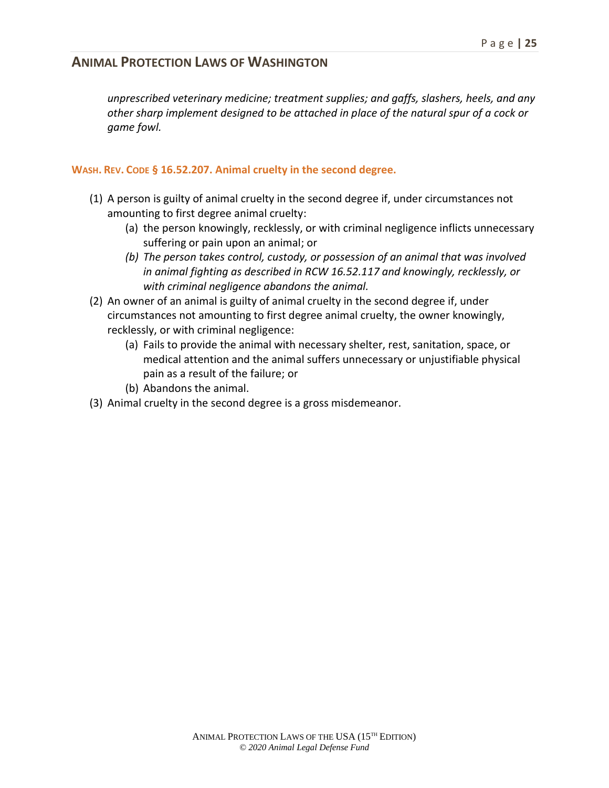*unprescribed veterinary medicine; treatment supplies; and gaffs, slashers, heels, and any other sharp implement designed to be attached in place of the natural spur of a cock or game fowl.*

#### **WASH. REV. CODE § 16.52.207. Animal cruelty in the second degree.**

- (1) A person is guilty of animal cruelty in the second degree if, under circumstances not amounting to first degree animal cruelty:
	- (a) the person knowingly, recklessly, or with criminal negligence inflicts unnecessary suffering or pain upon an animal; or
	- *(b) The person takes control, custody, or possession of an animal that was involved in animal fighting as described in RCW 16.52.117 and knowingly, recklessly, or with criminal negligence abandons the animal.*
- (2) An owner of an animal is guilty of animal cruelty in the second degree if, under circumstances not amounting to first degree animal cruelty, the owner knowingly, recklessly, or with criminal negligence:
	- (a) Fails to provide the animal with necessary shelter, rest, sanitation, space, or medical attention and the animal suffers unnecessary or unjustifiable physical pain as a result of the failure; or
	- (b) Abandons the animal.
- (3) Animal cruelty in the second degree is a gross misdemeanor.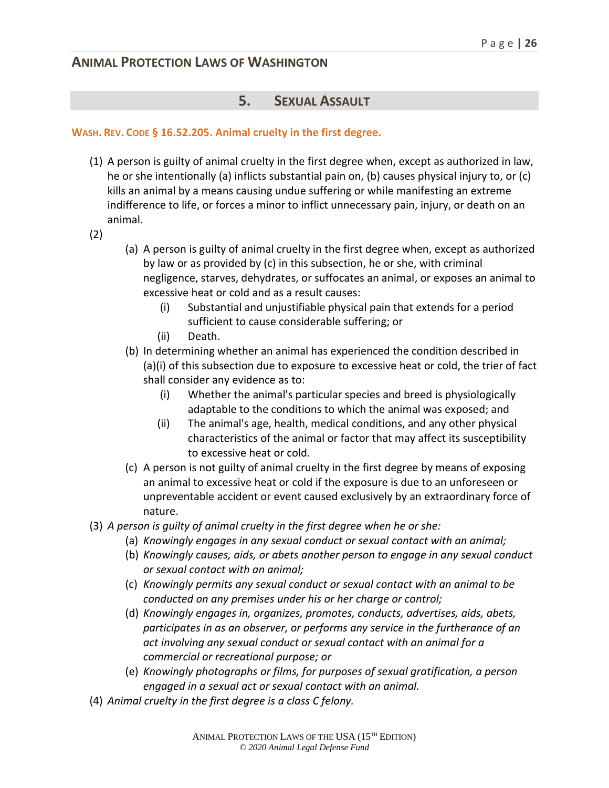#### **5. SEXUAL ASSAULT**

#### **WASH. REV. CODE § 16.52.205. Animal cruelty in the first degree.**

- (1) A person is guilty of animal cruelty in the first degree when, except as authorized in law, he or she intentionally (a) inflicts substantial pain on, (b) causes physical injury to, or (c) kills an animal by a means causing undue suffering or while manifesting an extreme indifference to life, or forces a minor to inflict unnecessary pain, injury, or death on an animal.
- (2)
- (a) A person is guilty of animal cruelty in the first degree when, except as authorized by law or as provided by (c) in this subsection, he or she, with criminal negligence, starves, dehydrates, or suffocates an animal, or exposes an animal to excessive heat or cold and as a result causes:
	- (i) Substantial and unjustifiable physical pain that extends for a period sufficient to cause considerable suffering; or
	- (ii) Death.
- (b) In determining whether an animal has experienced the condition described in (a)(i) of this subsection due to exposure to excessive heat or cold, the trier of fact shall consider any evidence as to:
	- (i) Whether the animal's particular species and breed is physiologically adaptable to the conditions to which the animal was exposed; and
	- (ii) The animal's age, health, medical conditions, and any other physical characteristics of the animal or factor that may affect its susceptibility to excessive heat or cold.
- (c) A person is not guilty of animal cruelty in the first degree by means of exposing an animal to excessive heat or cold if the exposure is due to an unforeseen or unpreventable accident or event caused exclusively by an extraordinary force of nature.
- (3) *A person is guilty of animal cruelty in the first degree when he or she:*
	- (a) *Knowingly engages in any sexual conduct or sexual contact with an animal;*
	- (b) *Knowingly causes, aids, or abets another person to engage in any sexual conduct or sexual contact with an animal;*
	- (c) *Knowingly permits any sexual conduct or sexual contact with an animal to be conducted on any premises under his or her charge or control;*
	- (d) *Knowingly engages in, organizes, promotes, conducts, advertises, aids, abets, participates in as an observer, or performs any service in the furtherance of an act involving any sexual conduct or sexual contact with an animal for a commercial or recreational purpose; or*
	- (e) *Knowingly photographs or films, for purposes of sexual gratification, a person engaged in a sexual act or sexual contact with an animal.*
- (4) *Animal cruelty in the first degree is a class C felony.*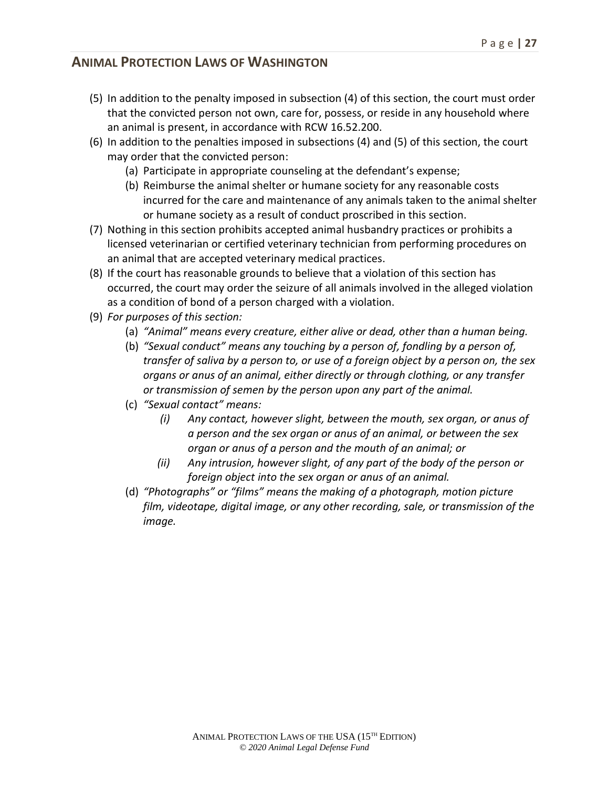- (5) In addition to the penalty imposed in subsection (4) of this section, the court must order that the convicted person not own, care for, possess, or reside in any household where an animal is present, in accordance with RCW 16.52.200.
- (6) In addition to the penalties imposed in subsections (4) and (5) of this section, the court may order that the convicted person:
	- (a) Participate in appropriate counseling at the defendant's expense;
	- (b) Reimburse the animal shelter or humane society for any reasonable costs incurred for the care and maintenance of any animals taken to the animal shelter or humane society as a result of conduct proscribed in this section.
- (7) Nothing in this section prohibits accepted animal husbandry practices or prohibits a licensed veterinarian or certified veterinary technician from performing procedures on an animal that are accepted veterinary medical practices.
- (8) If the court has reasonable grounds to believe that a violation of this section has occurred, the court may order the seizure of all animals involved in the alleged violation as a condition of bond of a person charged with a violation.
- (9) *For purposes of this section:*
	- (a) *"Animal" means every creature, either alive or dead, other than a human being.*
	- (b) *"Sexual conduct" means any touching by a person of, fondling by a person of, transfer of saliva by a person to, or use of a foreign object by a person on, the sex organs or anus of an animal, either directly or through clothing, or any transfer or transmission of semen by the person upon any part of the animal.*
	- (c) *"Sexual contact" means:*
		- *(i) Any contact, however slight, between the mouth, sex organ, or anus of a person and the sex organ or anus of an animal, or between the sex organ or anus of a person and the mouth of an animal; or*
		- *(ii) Any intrusion, however slight, of any part of the body of the person or foreign object into the sex organ or anus of an animal.*
	- (d) *"Photographs" or "films" means the making of a photograph, motion picture film, videotape, digital image, or any other recording, sale, or transmission of the image.*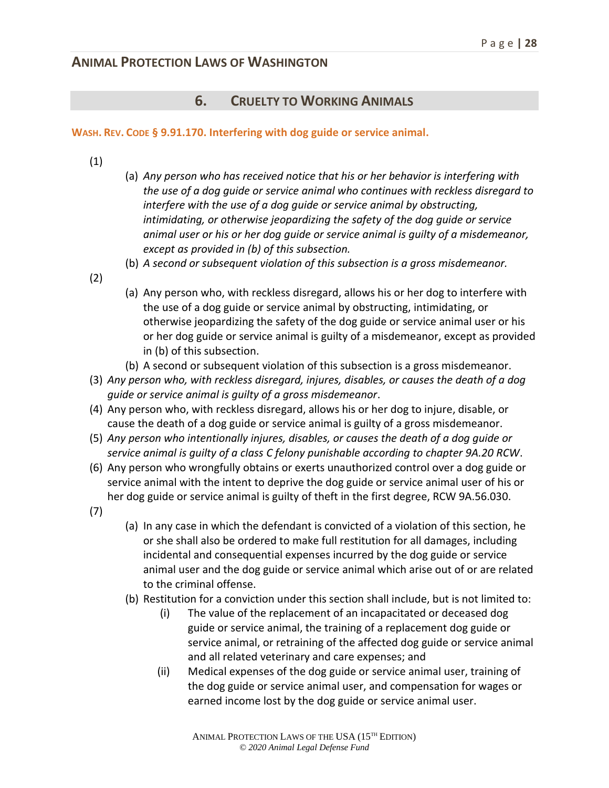#### **6. CRUELTY TO WORKING ANIMALS**

#### **WASH. REV. CODE § 9.91.170. Interfering with dog guide or service animal.**

- (1)
- (a) *Any person who has received notice that his or her behavior is interfering with the use of a dog guide or service animal who continues with reckless disregard to interfere with the use of a dog guide or service animal by obstructing, intimidating, or otherwise jeopardizing the safety of the dog guide or service animal user or his or her dog guide or service animal is guilty of a misdemeanor, except as provided in (b) of this subsection.*
- (b) *A second or subsequent violation of this subsection is a gross misdemeanor.*
- (2)
- (a) Any person who, with reckless disregard, allows his or her dog to interfere with the use of a dog guide or service animal by obstructing, intimidating, or otherwise jeopardizing the safety of the dog guide or service animal user or his or her dog guide or service animal is guilty of a misdemeanor, except as provided in (b) of this subsection.
- (b) A second or subsequent violation of this subsection is a gross misdemeanor.
- (3) *Any person who, with reckless disregard, injures, disables, or causes the death of a dog guide or service animal is guilty of a gross misdemeanor*.
- (4) Any person who, with reckless disregard, allows his or her dog to injure, disable, or cause the death of a dog guide or service animal is guilty of a gross misdemeanor.
- (5) *Any person who intentionally injures, disables, or causes the death of a dog guide or service animal is guilty of a class C felony punishable according to chapter 9A.20 RCW*.
- (6) Any person who wrongfully obtains or exerts unauthorized control over a dog guide or service animal with the intent to deprive the dog guide or service animal user of his or her dog guide or service animal is guilty of theft in the first degree, RCW 9A.56.030.
- (7)
- (a) In any case in which the defendant is convicted of a violation of this section, he or she shall also be ordered to make full restitution for all damages, including incidental and consequential expenses incurred by the dog guide or service animal user and the dog guide or service animal which arise out of or are related to the criminal offense.
- (b) Restitution for a conviction under this section shall include, but is not limited to:
	- (i) The value of the replacement of an incapacitated or deceased dog guide or service animal, the training of a replacement dog guide or service animal, or retraining of the affected dog guide or service animal and all related veterinary and care expenses; and
	- (ii) Medical expenses of the dog guide or service animal user, training of the dog guide or service animal user, and compensation for wages or earned income lost by the dog guide or service animal user.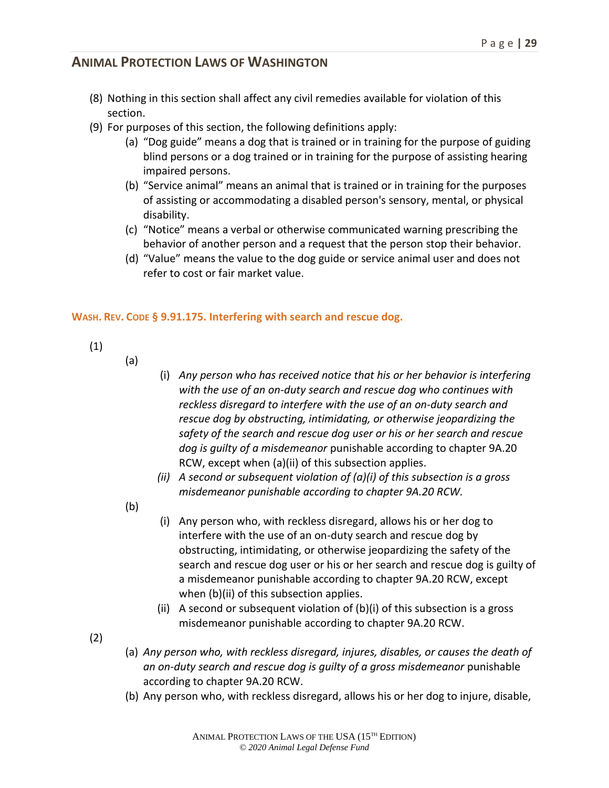- (8) Nothing in this section shall affect any civil remedies available for violation of this section.
- (9) For purposes of this section, the following definitions apply:
	- (a) "Dog guide" means a dog that is trained or in training for the purpose of guiding blind persons or a dog trained or in training for the purpose of assisting hearing impaired persons.
	- (b) "Service animal" means an animal that is trained or in training for the purposes of assisting or accommodating a disabled person's sensory, mental, or physical disability.
	- (c) "Notice" means a verbal or otherwise communicated warning prescribing the behavior of another person and a request that the person stop their behavior.
	- (d) "Value" means the value to the dog guide or service animal user and does not refer to cost or fair market value.

#### **WASH. REV. CODE § 9.91.175. Interfering with search and rescue dog.**

- (1)
- (a)
- (i) *Any person who has received notice that his or her behavior is interfering with the use of an on-duty search and rescue dog who continues with reckless disregard to interfere with the use of an on-duty search and rescue dog by obstructing, intimidating, or otherwise jeopardizing the safety of the search and rescue dog user or his or her search and rescue dog is guilty of a misdemeanor* punishable according to chapter 9A.20 RCW, except when (a)(ii) of this subsection applies.
- *(ii) A second or subsequent violation of (a)(i) of this subsection is a gross misdemeanor punishable according to chapter 9A.20 RCW.*
- (b)
- (i) Any person who, with reckless disregard, allows his or her dog to interfere with the use of an on-duty search and rescue dog by obstructing, intimidating, or otherwise jeopardizing the safety of the search and rescue dog user or his or her search and rescue dog is guilty of a misdemeanor punishable according to chapter 9A.20 RCW, except when (b)(ii) of this subsection applies.
- (ii) A second or subsequent violation of (b)(i) of this subsection is a gross misdemeanor punishable according to chapter 9A.20 RCW.
- (2)
- (a) *Any person who, with reckless disregard, injures, disables, or causes the death of an on-duty search and rescue dog is guilty of a gross misdemeanor* punishable according to chapter 9A.20 RCW.
- (b) Any person who, with reckless disregard, allows his or her dog to injure, disable,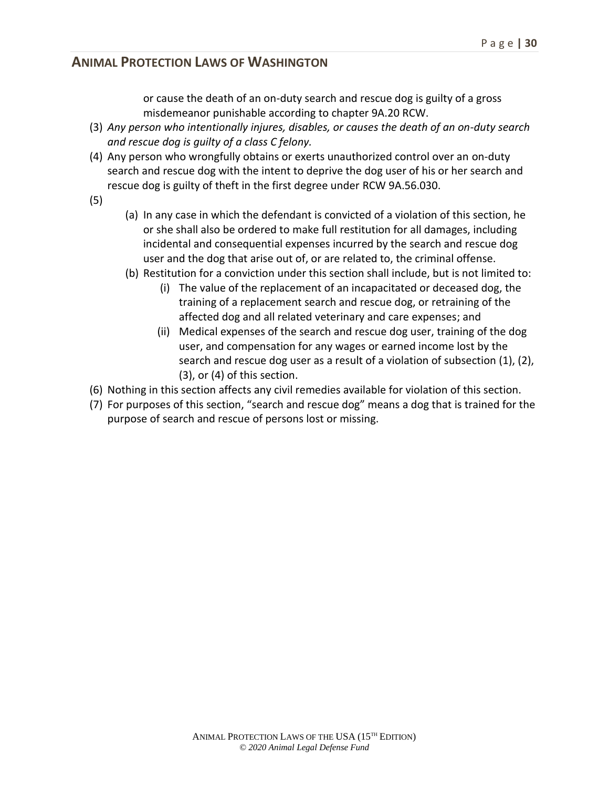or cause the death of an on-duty search and rescue dog is guilty of a gross misdemeanor punishable according to chapter 9A.20 RCW.

- (3) *Any person who intentionally injures, disables, or causes the death of an on-duty search and rescue dog is guilty of a class C felony.*
- (4) Any person who wrongfully obtains or exerts unauthorized control over an on-duty search and rescue dog with the intent to deprive the dog user of his or her search and rescue dog is guilty of theft in the first degree under RCW 9A.56.030.
- (5)
- (a) In any case in which the defendant is convicted of a violation of this section, he or she shall also be ordered to make full restitution for all damages, including incidental and consequential expenses incurred by the search and rescue dog user and the dog that arise out of, or are related to, the criminal offense.
- (b) Restitution for a conviction under this section shall include, but is not limited to:
	- (i) The value of the replacement of an incapacitated or deceased dog, the training of a replacement search and rescue dog, or retraining of the affected dog and all related veterinary and care expenses; and
	- (ii) Medical expenses of the search and rescue dog user, training of the dog user, and compensation for any wages or earned income lost by the search and rescue dog user as a result of a violation of subsection (1), (2), (3), or (4) of this section.
- (6) Nothing in this section affects any civil remedies available for violation of this section.
- (7) For purposes of this section, "search and rescue dog" means a dog that is trained for the purpose of search and rescue of persons lost or missing.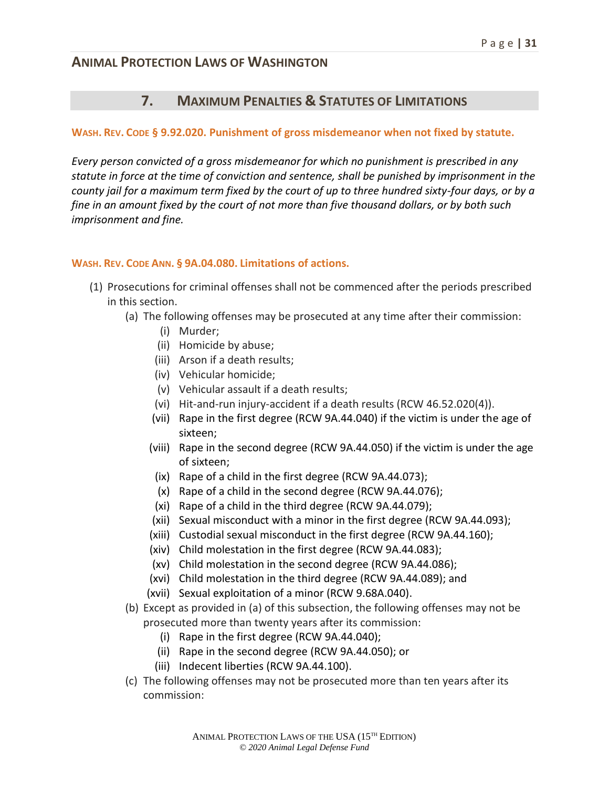### **7. MAXIMUM PENALTIES & STATUTES OF LIMITATIONS**

#### **WASH. REV. CODE § 9.92.020. Punishment of gross misdemeanor when not fixed by statute.**

*Every person convicted of a gross misdemeanor for which no punishment is prescribed in any statute in force at the time of conviction and sentence, shall be punished by imprisonment in the county jail for a maximum term fixed by the court of up to three hundred sixty-four days, or by a fine in an amount fixed by the court of not more than five thousand dollars, or by both such imprisonment and fine.*

#### **WASH. REV. CODE ANN. § 9A.04.080. Limitations of actions.**

- (1) Prosecutions for criminal offenses shall not be commenced after the periods prescribed in this section.
	- (a) The following offenses may be prosecuted at any time after their commission:
		- (i) Murder;
		- (ii) Homicide by abuse;
		- (iii) Arson if a death results;
		- (iv) Vehicular homicide;
		- (v) Vehicular assault if a death results;
		- (vi) Hit-and-run injury-accident if a death results (RCW 46.52.020(4)).
		- (vii) Rape in the first degree (RCW 9A.44.040) if the victim is under the age of sixteen;
		- (viii) Rape in the second degree (RCW 9A.44.050) if the victim is under the age of sixteen;
		- (ix) Rape of a child in the first degree (RCW 9A.44.073);
		- (x) Rape of a child in the second degree (RCW 9A.44.076);
		- (xi) Rape of a child in the third degree (RCW 9A.44.079);
		- (xii) Sexual misconduct with a minor in the first degree (RCW 9A.44.093);
		- (xiii) Custodial sexual misconduct in the first degree (RCW 9A.44.160);
		- (xiv) Child molestation in the first degree (RCW 9A.44.083);
		- (xv) Child molestation in the second degree (RCW 9A.44.086);
		- (xvi) Child molestation in the third degree (RCW 9A.44.089); and
		- (xvii) Sexual exploitation of a minor (RCW 9.68A.040).
	- (b) Except as provided in (a) of this subsection, the following offenses may not be prosecuted more than twenty years after its commission:
		- (i) Rape in the first degree (RCW 9A.44.040);
		- (ii) Rape in the second degree (RCW 9A.44.050); or
		- (iii) Indecent liberties (RCW 9A.44.100).
	- (c) The following offenses may not be prosecuted more than ten years after its commission: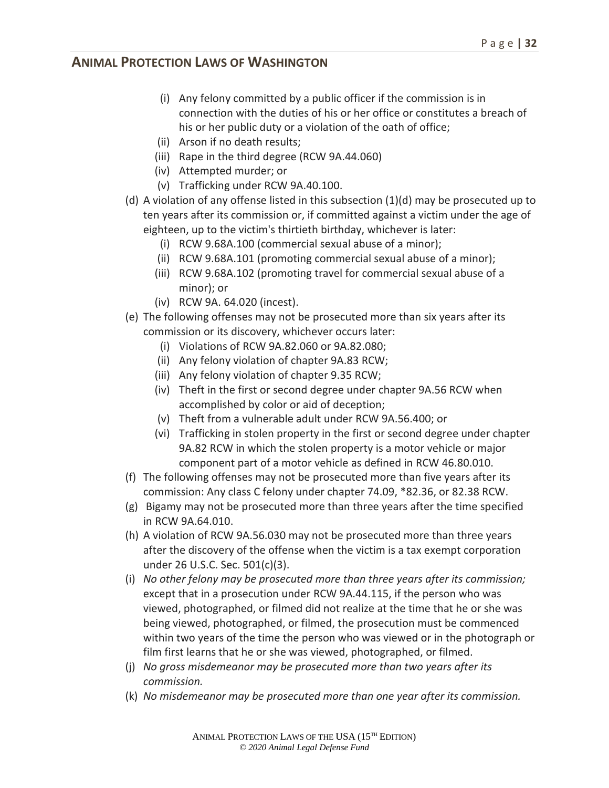- (i) Any felony committed by a public officer if the commission is in connection with the duties of his or her office or constitutes a breach of his or her public duty or a violation of the oath of office;
- (ii) Arson if no death results;
- (iii) Rape in the third degree (RCW 9A.44.060)
- (iv) Attempted murder; or
- (v) Trafficking under RCW 9A.40.100.
- (d) A violation of any offense listed in this subsection (1)(d) may be prosecuted up to ten years after its commission or, if committed against a victim under the age of eighteen, up to the victim's thirtieth birthday, whichever is later:
	- (i) RCW 9.68A.100 (commercial sexual abuse of a minor);
	- (ii) RCW 9.68A.101 (promoting commercial sexual abuse of a minor);
	- (iii) RCW 9.68A.102 (promoting travel for commercial sexual abuse of a minor); or
	- (iv) RCW 9A. 64.020 (incest).
- (e) The following offenses may not be prosecuted more than six years after its commission or its discovery, whichever occurs later:
	- (i) Violations of RCW 9A.82.060 or 9A.82.080;
	- (ii) Any felony violation of chapter 9A.83 RCW;
	- (iii) Any felony violation of chapter 9.35 RCW;
	- (iv) Theft in the first or second degree under chapter 9A.56 RCW when accomplished by color or aid of deception;
	- (v) Theft from a vulnerable adult under RCW 9A.56.400; or
	- (vi) Trafficking in stolen property in the first or second degree under chapter 9A.82 RCW in which the stolen property is a motor vehicle or major component part of a motor vehicle as defined in RCW 46.80.010.
- (f) The following offenses may not be prosecuted more than five years after its commission: Any class C felony under chapter 74.09, \*82.36, or 82.38 RCW.
- (g) Bigamy may not be prosecuted more than three years after the time specified in RCW 9A.64.010.
- (h) A violation of RCW 9A.56.030 may not be prosecuted more than three years after the discovery of the offense when the victim is a tax exempt corporation under 26 U.S.C. Sec. 501(c)(3).
- (i) *No other felony may be prosecuted more than three years after its commission;* except that in a prosecution under RCW 9A.44.115, if the person who was viewed, photographed, or filmed did not realize at the time that he or she was being viewed, photographed, or filmed, the prosecution must be commenced within two years of the time the person who was viewed or in the photograph or film first learns that he or she was viewed, photographed, or filmed.
- (j) *No gross misdemeanor may be prosecuted more than two years after its commission.*
- (k) *No misdemeanor may be prosecuted more than one year after its commission.*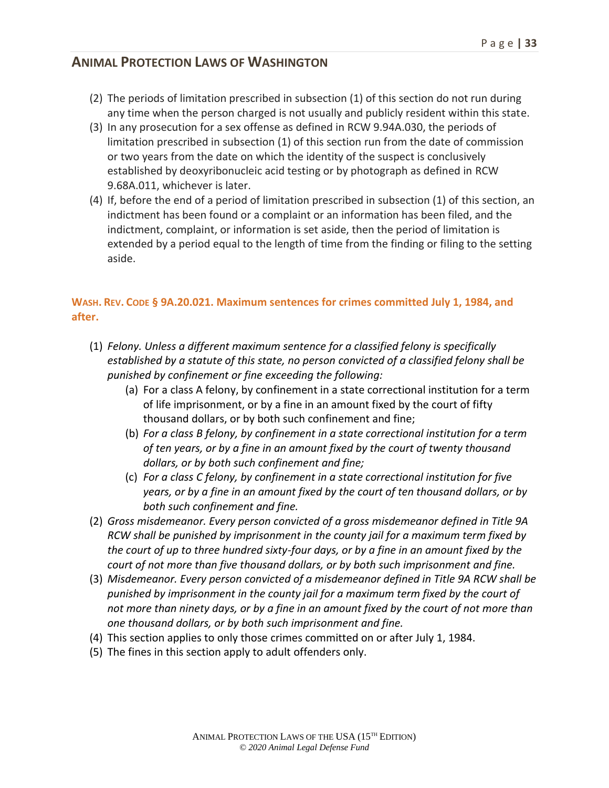- (2) The periods of limitation prescribed in subsection (1) of this section do not run during any time when the person charged is not usually and publicly resident within this state.
- (3) In any prosecution for a sex offense as defined in RCW 9.94A.030, the periods of limitation prescribed in subsection (1) of this section run from the date of commission or two years from the date on which the identity of the suspect is conclusively established by deoxyribonucleic acid testing or by photograph as defined in RCW 9.68A.011, whichever is later.
- (4) If, before the end of a period of limitation prescribed in subsection (1) of this section, an indictment has been found or a complaint or an information has been filed, and the indictment, complaint, or information is set aside, then the period of limitation is extended by a period equal to the length of time from the finding or filing to the setting aside.

## **WASH. REV. CODE § 9A.20.021. Maximum sentences for crimes committed July 1, 1984, and after.**

- (1) *Felony. Unless a different maximum sentence for a classified felony is specifically established by a statute of this state, no person convicted of a classified felony shall be punished by confinement or fine exceeding the following:*
	- (a) For a class A felony, by confinement in a state correctional institution for a term of life imprisonment, or by a fine in an amount fixed by the court of fifty thousand dollars, or by both such confinement and fine;
	- (b) *For a class B felony, by confinement in a state correctional institution for a term of ten years, or by a fine in an amount fixed by the court of twenty thousand dollars, or by both such confinement and fine;*
	- (c) *For a class C felony, by confinement in a state correctional institution for five years, or by a fine in an amount fixed by the court of ten thousand dollars, or by both such confinement and fine.*
- (2) *Gross misdemeanor. Every person convicted of a gross misdemeanor defined in Title 9A RCW shall be punished by imprisonment in the county jail for a maximum term fixed by the court of up to three hundred sixty-four days, or by a fine in an amount fixed by the court of not more than five thousand dollars, or by both such imprisonment and fine.*
- (3) *Misdemeanor. Every person convicted of a misdemeanor defined in Title 9A RCW shall be punished by imprisonment in the county jail for a maximum term fixed by the court of not more than ninety days, or by a fine in an amount fixed by the court of not more than one thousand dollars, or by both such imprisonment and fine.*
- (4) This section applies to only those crimes committed on or after July 1, 1984.
- (5) The fines in this section apply to adult offenders only.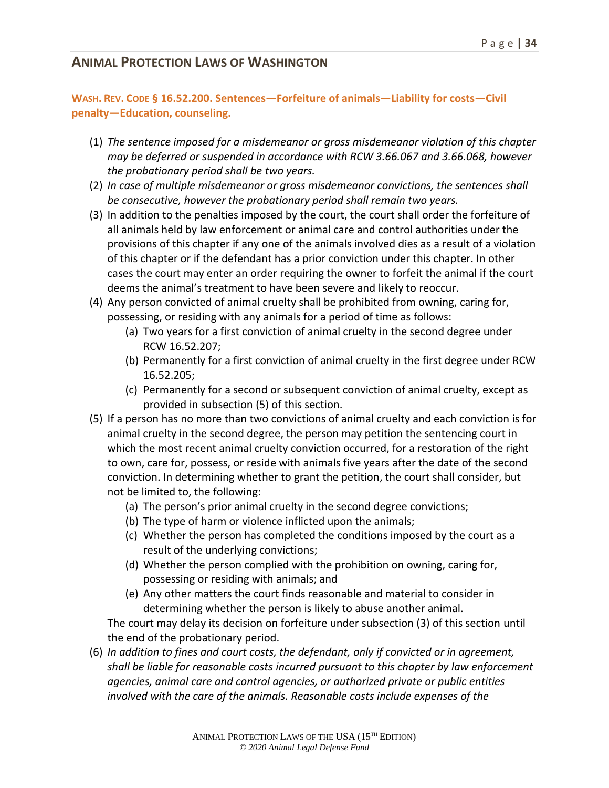#### **WASH. REV. CODE § 16.52.200. Sentences—Forfeiture of animals—Liability for costs—Civil penalty—Education, counseling.**

- (1) *The sentence imposed for a misdemeanor or gross misdemeanor violation of this chapter may be deferred or suspended in accordance with RCW 3.66.067 and 3.66.068, however the probationary period shall be two years.*
- (2) *In case of multiple misdemeanor or gross misdemeanor convictions, the sentences shall be consecutive, however the probationary period shall remain two years.*
- (3) In addition to the penalties imposed by the court, the court shall order the forfeiture of all animals held by law enforcement or animal care and control authorities under the provisions of this chapter if any one of the animals involved dies as a result of a violation of this chapter or if the defendant has a prior conviction under this chapter. In other cases the court may enter an order requiring the owner to forfeit the animal if the court deems the animal's treatment to have been severe and likely to reoccur.
- (4) Any person convicted of animal cruelty shall be prohibited from owning, caring for, possessing, or residing with any animals for a period of time as follows:
	- (a) Two years for a first conviction of animal cruelty in the second degree under RCW 16.52.207;
	- (b) Permanently for a first conviction of animal cruelty in the first degree under RCW 16.52.205;
	- (c) Permanently for a second or subsequent conviction of animal cruelty, except as provided in subsection (5) of this section.
- (5) If a person has no more than two convictions of animal cruelty and each conviction is for animal cruelty in the second degree, the person may petition the sentencing court in which the most recent animal cruelty conviction occurred, for a restoration of the right to own, care for, possess, or reside with animals five years after the date of the second conviction. In determining whether to grant the petition, the court shall consider, but not be limited to, the following:
	- (a) The person's prior animal cruelty in the second degree convictions;
	- (b) The type of harm or violence inflicted upon the animals;
	- (c) Whether the person has completed the conditions imposed by the court as a result of the underlying convictions;
	- (d) Whether the person complied with the prohibition on owning, caring for, possessing or residing with animals; and
	- (e) Any other matters the court finds reasonable and material to consider in determining whether the person is likely to abuse another animal.

The court may delay its decision on forfeiture under subsection (3) of this section until the end of the probationary period.

(6) *In addition to fines and court costs, the defendant, only if convicted or in agreement, shall be liable for reasonable costs incurred pursuant to this chapter by law enforcement agencies, animal care and control agencies, or authorized private or public entities involved with the care of the animals. Reasonable costs include expenses of the*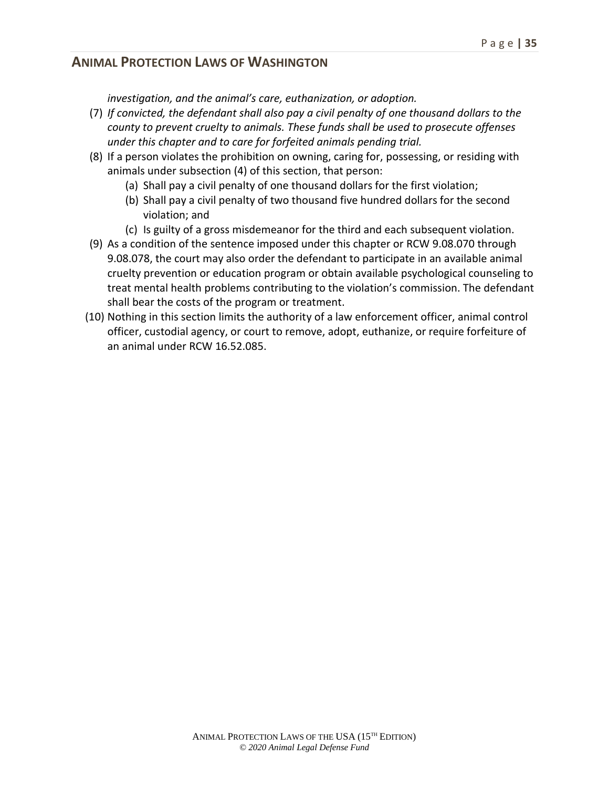*investigation, and the animal's care, euthanization, or adoption.*

- (7) *If convicted, the defendant shall also pay a civil penalty of one thousand dollars to the county to prevent cruelty to animals. These funds shall be used to prosecute offenses under this chapter and to care for forfeited animals pending trial.*
- (8) If a person violates the prohibition on owning, caring for, possessing, or residing with animals under subsection (4) of this section, that person:
	- (a) Shall pay a civil penalty of one thousand dollars for the first violation;
	- (b) Shall pay a civil penalty of two thousand five hundred dollars for the second violation; and
	- (c) Is guilty of a gross misdemeanor for the third and each subsequent violation.
- (9) As a condition of the sentence imposed under this chapter or RCW 9.08.070 through 9.08.078, the court may also order the defendant to participate in an available animal cruelty prevention or education program or obtain available psychological counseling to treat mental health problems contributing to the violation's commission. The defendant shall bear the costs of the program or treatment.
- (10) Nothing in this section limits the authority of a law enforcement officer, animal control officer, custodial agency, or court to remove, adopt, euthanize, or require forfeiture of an animal under RCW 16.52.085.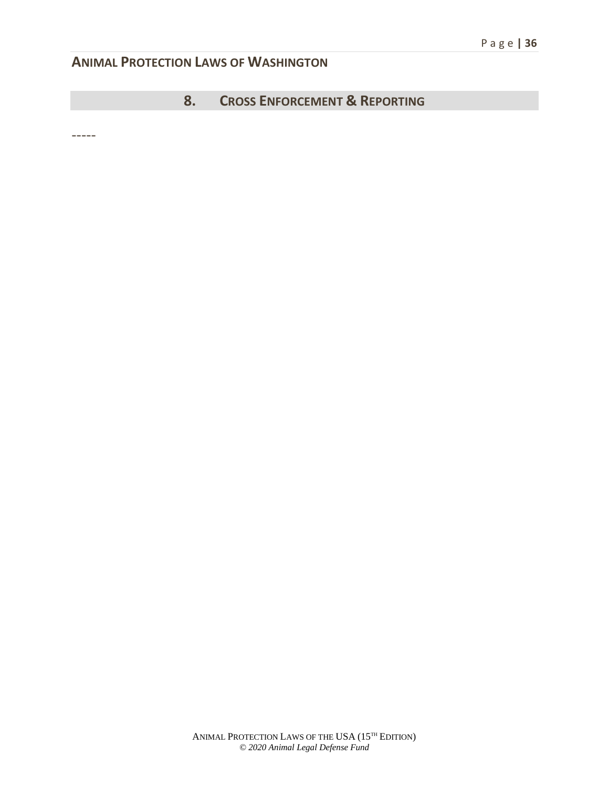**8. CROSS ENFORCEMENT & REPORTING**

-----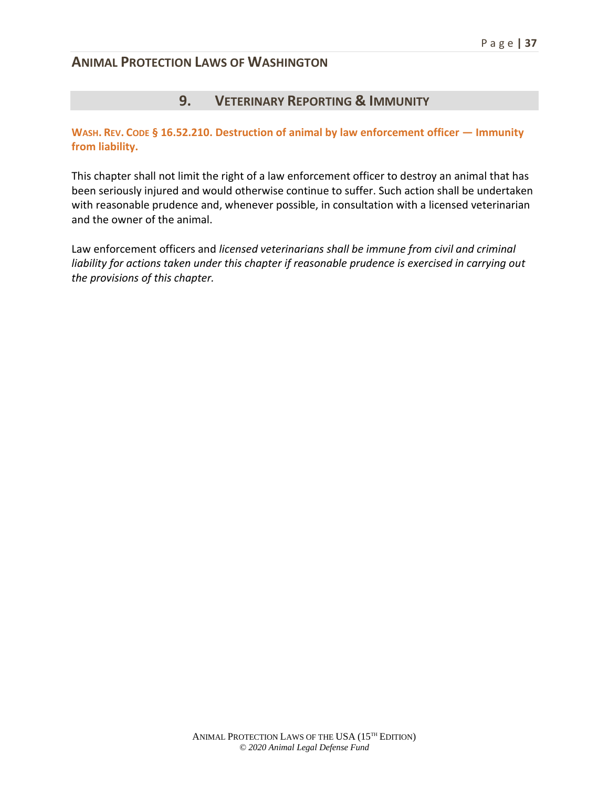### **9. VETERINARY REPORTING & IMMUNITY**

**WASH. REV. CODE § 16.52.210. Destruction of animal by law enforcement officer — Immunity from liability.** 

This chapter shall not limit the right of a law enforcement officer to destroy an animal that has been seriously injured and would otherwise continue to suffer. Such action shall be undertaken with reasonable prudence and, whenever possible, in consultation with a licensed veterinarian and the owner of the animal.

Law enforcement officers and *licensed veterinarians shall be immune from civil and criminal liability for actions taken under this chapter if reasonable prudence is exercised in carrying out the provisions of this chapter.*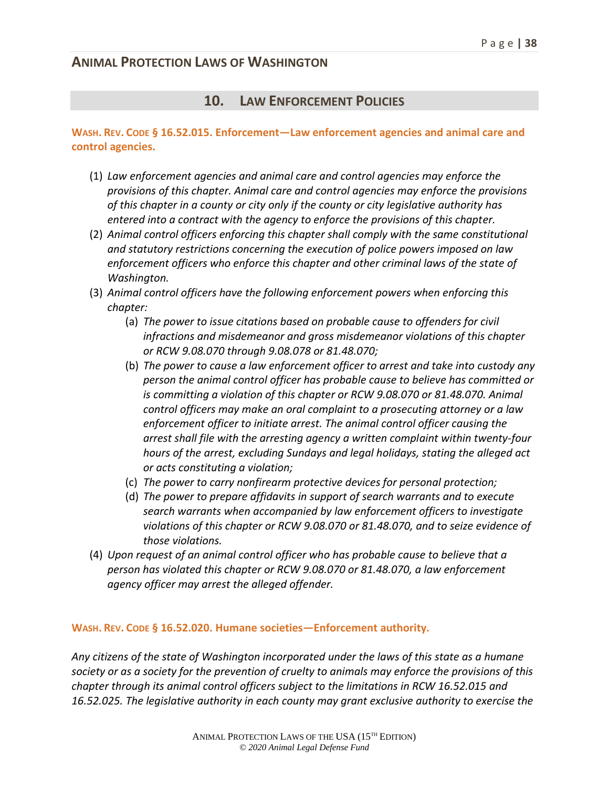#### **10. LAW ENFORCEMENT POLICIES**

#### **WASH. REV. CODE § 16.52.015. Enforcement—Law enforcement agencies and animal care and control agencies.**

- (1) *Law enforcement agencies and animal care and control agencies may enforce the provisions of this chapter. Animal care and control agencies may enforce the provisions of this chapter in a county or city only if the county or city legislative authority has entered into a contract with the agency to enforce the provisions of this chapter.*
- (2) *Animal control officers enforcing this chapter shall comply with the same constitutional and statutory restrictions concerning the execution of police powers imposed on law*  enforcement officers who enforce this chapter and other criminal laws of the state of *Washington.*
- (3) *Animal control officers have the following enforcement powers when enforcing this chapter:*
	- (a) *The power to issue citations based on probable cause to offenders for civil infractions and misdemeanor and gross misdemeanor violations of this chapter or RCW 9.08.070 through 9.08.078 or 81.48.070;*
	- (b) *The power to cause a law enforcement officer to arrest and take into custody any person the animal control officer has probable cause to believe has committed or is committing a violation of this chapter or RCW 9.08.070 or 81.48.070. Animal control officers may make an oral complaint to a prosecuting attorney or a law enforcement officer to initiate arrest. The animal control officer causing the arrest shall file with the arresting agency a written complaint within twenty-four hours of the arrest, excluding Sundays and legal holidays, stating the alleged act or acts constituting a violation;*
	- (c) *The power to carry nonfirearm protective devices for personal protection;*
	- (d) *The power to prepare affidavits in support of search warrants and to execute search warrants when accompanied by law enforcement officers to investigate violations of this chapter or RCW 9.08.070 or 81.48.070, and to seize evidence of those violations.*
- (4) *Upon request of an animal control officer who has probable cause to believe that a person has violated this chapter or RCW 9.08.070 or 81.48.070, a law enforcement agency officer may arrest the alleged offender.*

#### **WASH. REV. CODE § 16.52.020. Humane societies—Enforcement authority.**

*Any citizens of the state of Washington incorporated under the laws of this state as a humane society or as a society for the prevention of cruelty to animals may enforce the provisions of this chapter through its animal control officers subject to the limitations in RCW 16.52.015 and 16.52.025. The legislative authority in each county may grant exclusive authority to exercise the*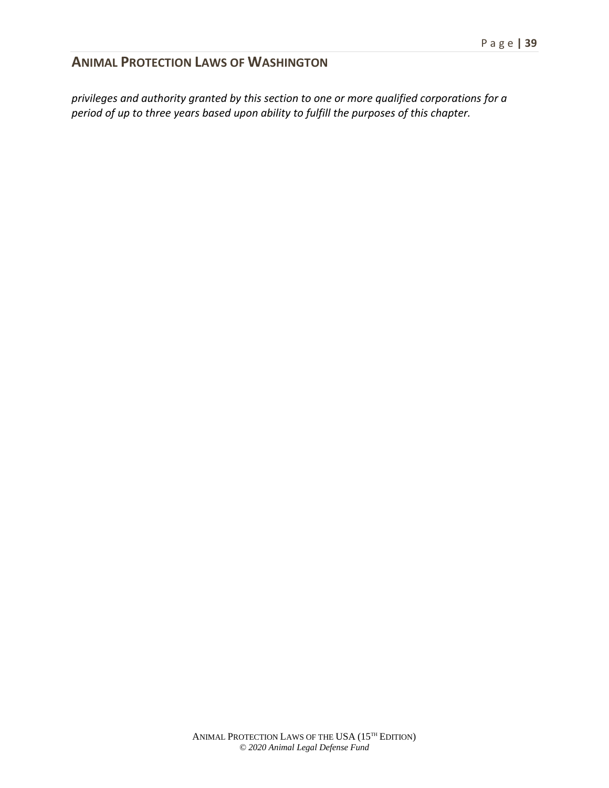*privileges and authority granted by this section to one or more qualified corporations for a period of up to three years based upon ability to fulfill the purposes of this chapter.*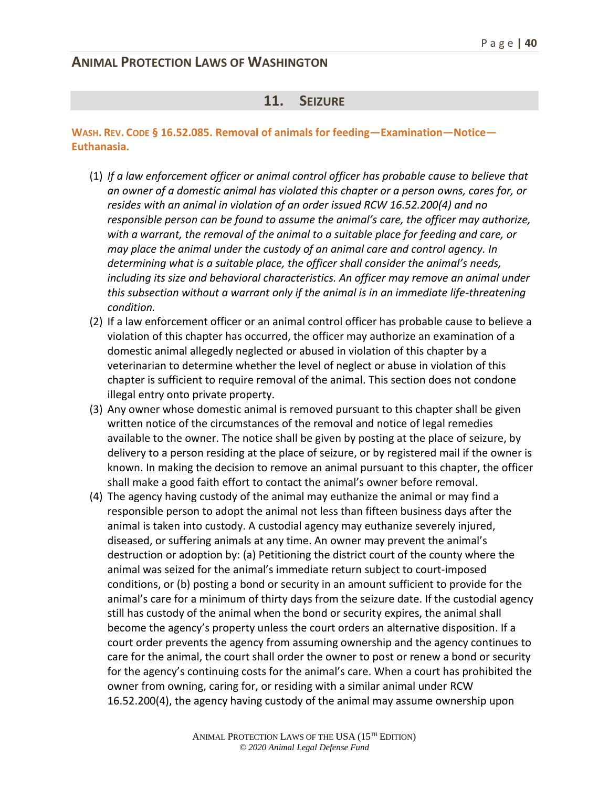#### **11. SEIZURE**

#### **WASH. REV. CODE § 16.52.085. Removal of animals for feeding—Examination—Notice— Euthanasia.**

- (1) *If a law enforcement officer or animal control officer has probable cause to believe that an owner of a domestic animal has violated this chapter or a person owns, cares for, or resides with an animal in violation of an order issued RCW 16.52.200(4) and no responsible person can be found to assume the animal's care, the officer may authorize, with a warrant, the removal of the animal to a suitable place for feeding and care, or may place the animal under the custody of an animal care and control agency. In determining what is a suitable place, the officer shall consider the animal's needs, including its size and behavioral characteristics. An officer may remove an animal under this subsection without a warrant only if the animal is in an immediate life-threatening condition.*
- (2) If a law enforcement officer or an animal control officer has probable cause to believe a violation of this chapter has occurred, the officer may authorize an examination of a domestic animal allegedly neglected or abused in violation of this chapter by a veterinarian to determine whether the level of neglect or abuse in violation of this chapter is sufficient to require removal of the animal. This section does not condone illegal entry onto private property.
- (3) Any owner whose domestic animal is removed pursuant to this chapter shall be given written notice of the circumstances of the removal and notice of legal remedies available to the owner. The notice shall be given by posting at the place of seizure, by delivery to a person residing at the place of seizure, or by registered mail if the owner is known. In making the decision to remove an animal pursuant to this chapter, the officer shall make a good faith effort to contact the animal's owner before removal.
- (4) The agency having custody of the animal may euthanize the animal or may find a responsible person to adopt the animal not less than fifteen business days after the animal is taken into custody. A custodial agency may euthanize severely injured, diseased, or suffering animals at any time. An owner may prevent the animal's destruction or adoption by: (a) Petitioning the district court of the county where the animal was seized for the animal's immediate return subject to court-imposed conditions, or (b) posting a bond or security in an amount sufficient to provide for the animal's care for a minimum of thirty days from the seizure date. If the custodial agency still has custody of the animal when the bond or security expires, the animal shall become the agency's property unless the court orders an alternative disposition. If a court order prevents the agency from assuming ownership and the agency continues to care for the animal, the court shall order the owner to post or renew a bond or security for the agency's continuing costs for the animal's care. When a court has prohibited the owner from owning, caring for, or residing with a similar animal under RCW 16.52.200(4), the agency having custody of the animal may assume ownership upon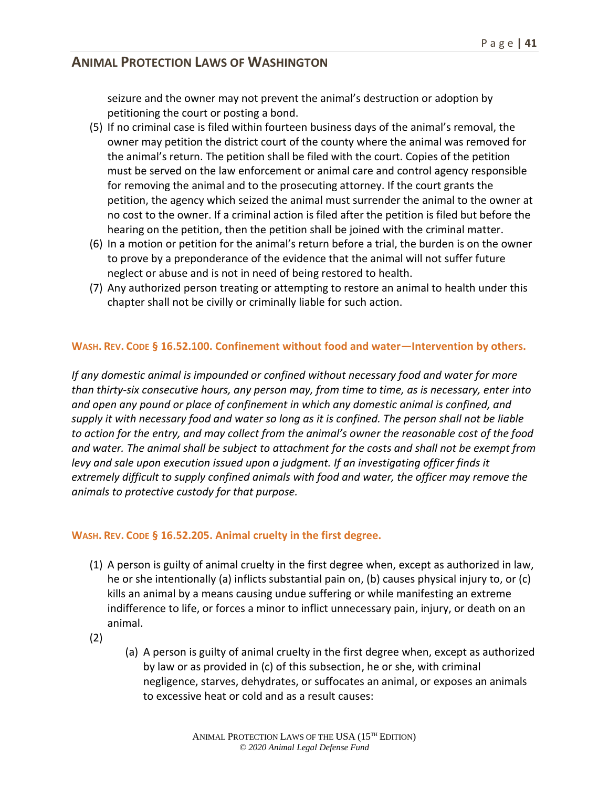seizure and the owner may not prevent the animal's destruction or adoption by petitioning the court or posting a bond.

- (5) If no criminal case is filed within fourteen business days of the animal's removal, the owner may petition the district court of the county where the animal was removed for the animal's return. The petition shall be filed with the court. Copies of the petition must be served on the law enforcement or animal care and control agency responsible for removing the animal and to the prosecuting attorney. If the court grants the petition, the agency which seized the animal must surrender the animal to the owner at no cost to the owner. If a criminal action is filed after the petition is filed but before the hearing on the petition, then the petition shall be joined with the criminal matter.
- (6) In a motion or petition for the animal's return before a trial, the burden is on the owner to prove by a preponderance of the evidence that the animal will not suffer future neglect or abuse and is not in need of being restored to health.
- (7) Any authorized person treating or attempting to restore an animal to health under this chapter shall not be civilly or criminally liable for such action.

#### **WASH. REV. CODE § 16.52.100. Confinement without food and water—Intervention by others.**

*If any domestic animal is impounded or confined without necessary food and water for more than thirty-six consecutive hours, any person may, from time to time, as is necessary, enter into and open any pound or place of confinement in which any domestic animal is confined, and supply it with necessary food and water so long as it is confined. The person shall not be liable to action for the entry, and may collect from the animal's owner the reasonable cost of the food and water. The animal shall be subject to attachment for the costs and shall not be exempt from levy and sale upon execution issued upon a judgment. If an investigating officer finds it extremely difficult to supply confined animals with food and water, the officer may remove the animals to protective custody for that purpose.*

#### **WASH. REV. CODE § 16.52.205. Animal cruelty in the first degree.**

- (1) A person is guilty of animal cruelty in the first degree when, except as authorized in law, he or she intentionally (a) inflicts substantial pain on, (b) causes physical injury to, or (c) kills an animal by a means causing undue suffering or while manifesting an extreme indifference to life, or forces a minor to inflict unnecessary pain, injury, or death on an animal.
- (2)
- (a) A person is guilty of animal cruelty in the first degree when, except as authorized by law or as provided in (c) of this subsection, he or she, with criminal negligence, starves, dehydrates, or suffocates an animal, or exposes an animals to excessive heat or cold and as a result causes: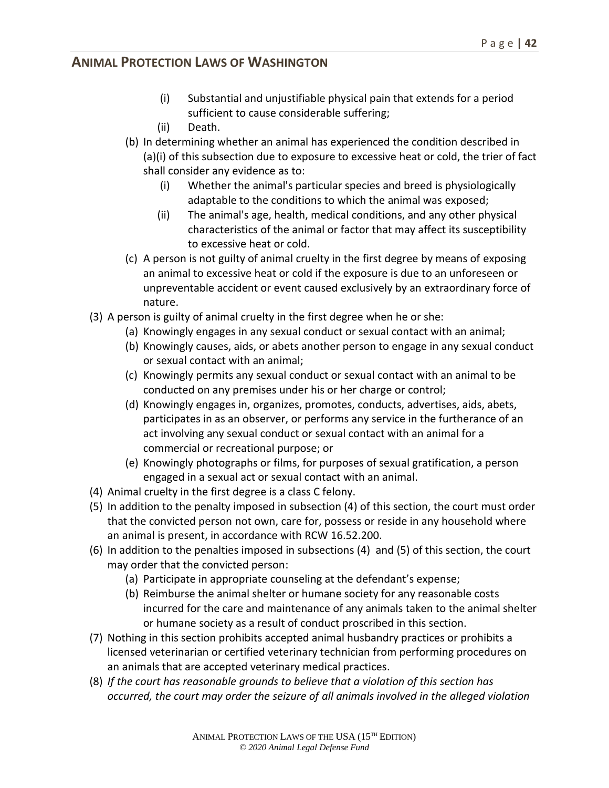- (i) Substantial and unjustifiable physical pain that extends for a period sufficient to cause considerable suffering;
- (ii) Death.
- (b) In determining whether an animal has experienced the condition described in (a)(i) of this subsection due to exposure to excessive heat or cold, the trier of fact shall consider any evidence as to:
	- (i) Whether the animal's particular species and breed is physiologically adaptable to the conditions to which the animal was exposed;
	- (ii) The animal's age, health, medical conditions, and any other physical characteristics of the animal or factor that may affect its susceptibility to excessive heat or cold.
- (c) A person is not guilty of animal cruelty in the first degree by means of exposing an animal to excessive heat or cold if the exposure is due to an unforeseen or unpreventable accident or event caused exclusively by an extraordinary force of nature.
- (3) A person is guilty of animal cruelty in the first degree when he or she:
	- (a) Knowingly engages in any sexual conduct or sexual contact with an animal;
	- (b) Knowingly causes, aids, or abets another person to engage in any sexual conduct or sexual contact with an animal;
	- (c) Knowingly permits any sexual conduct or sexual contact with an animal to be conducted on any premises under his or her charge or control;
	- (d) Knowingly engages in, organizes, promotes, conducts, advertises, aids, abets, participates in as an observer, or performs any service in the furtherance of an act involving any sexual conduct or sexual contact with an animal for a commercial or recreational purpose; or
	- (e) Knowingly photographs or films, for purposes of sexual gratification, a person engaged in a sexual act or sexual contact with an animal.
- (4) Animal cruelty in the first degree is a class C felony.
- (5) In addition to the penalty imposed in subsection (4) of this section, the court must order that the convicted person not own, care for, possess or reside in any household where an animal is present, in accordance with RCW 16.52.200.
- (6) In addition to the penalties imposed in subsections (4) and (5) of this section, the court may order that the convicted person:
	- (a) Participate in appropriate counseling at the defendant's expense;
	- (b) Reimburse the animal shelter or humane society for any reasonable costs incurred for the care and maintenance of any animals taken to the animal shelter or humane society as a result of conduct proscribed in this section.
- (7) Nothing in this section prohibits accepted animal husbandry practices or prohibits a licensed veterinarian or certified veterinary technician from performing procedures on an animals that are accepted veterinary medical practices.
- (8) *If the court has reasonable grounds to believe that a violation of this section has occurred, the court may order the seizure of all animals involved in the alleged violation*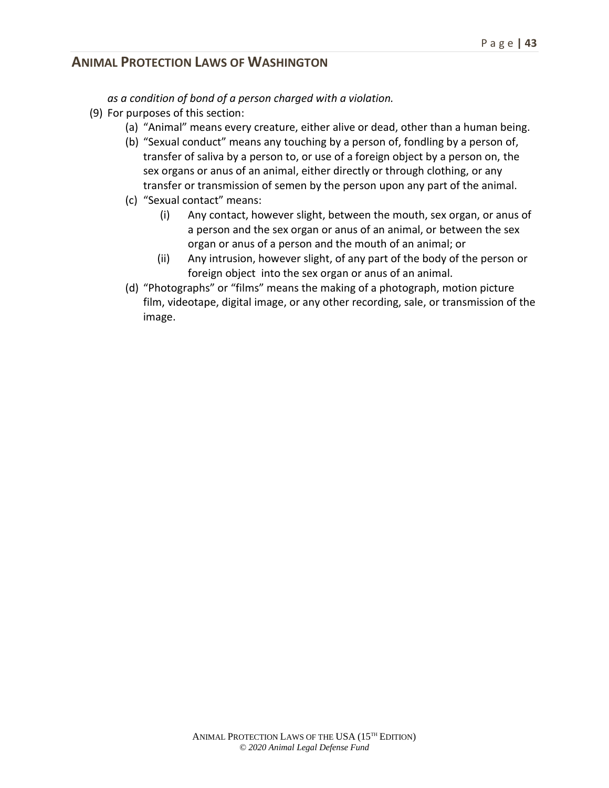*as a condition of bond of a person charged with a violation.*

- (9) For purposes of this section:
	- (a) "Animal" means every creature, either alive or dead, other than a human being.
	- (b) "Sexual conduct" means any touching by a person of, fondling by a person of, transfer of saliva by a person to, or use of a foreign object by a person on, the sex organs or anus of an animal, either directly or through clothing, or any transfer or transmission of semen by the person upon any part of the animal.
	- (c) "Sexual contact" means:
		- (i) Any contact, however slight, between the mouth, sex organ, or anus of a person and the sex organ or anus of an animal, or between the sex organ or anus of a person and the mouth of an animal; or
		- (ii) Any intrusion, however slight, of any part of the body of the person or foreign object into the sex organ or anus of an animal.
	- (d) "Photographs" or "films" means the making of a photograph, motion picture film, videotape, digital image, or any other recording, sale, or transmission of the image.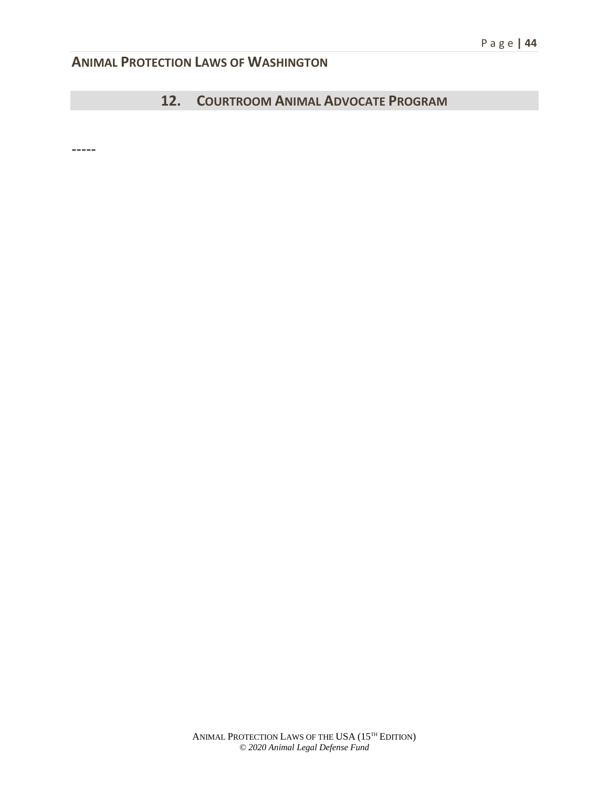## **12. COURTROOM ANIMAL ADVOCATE PROGRAM**

-----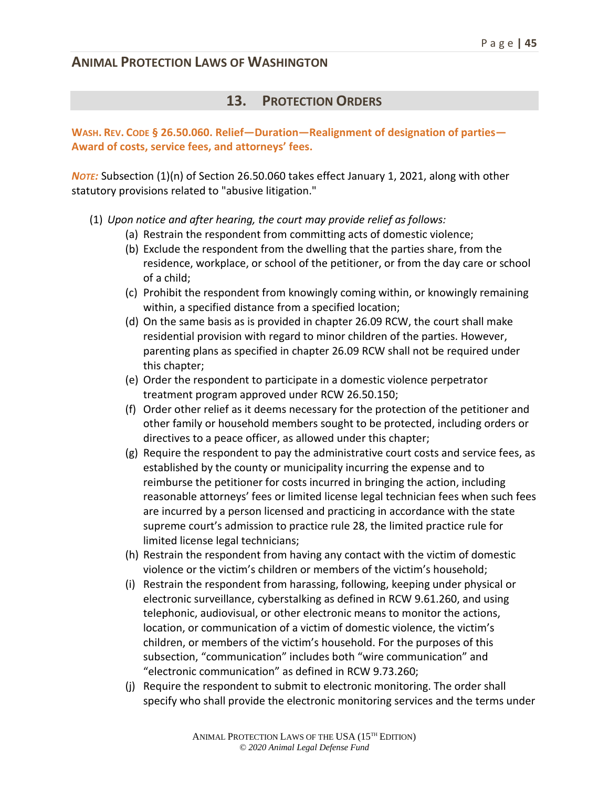#### **13. PROTECTION ORDERS**

#### **WASH. REV. CODE § 26.50.060. Relief—Duration—Realignment of designation of parties— Award of costs, service fees, and attorneys' fees.**

*NOTE:* Subsection (1)(n) of Section 26.50.060 takes effect January 1, 2021, along with other statutory provisions related to "abusive litigation."

- (1) *Upon notice and after hearing, the court may provide relief as follows:*
	- (a) Restrain the respondent from committing acts of domestic violence;
	- (b) Exclude the respondent from the dwelling that the parties share, from the residence, workplace, or school of the petitioner, or from the day care or school of a child;
	- (c) Prohibit the respondent from knowingly coming within, or knowingly remaining within, a specified distance from a specified location;
	- (d) On the same basis as is provided in chapter 26.09 RCW, the court shall make residential provision with regard to minor children of the parties. However, parenting plans as specified in chapter 26.09 RCW shall not be required under this chapter;
	- (e) Order the respondent to participate in a domestic violence perpetrator treatment program approved under RCW 26.50.150;
	- (f) Order other relief as it deems necessary for the protection of the petitioner and other family or household members sought to be protected, including orders or directives to a peace officer, as allowed under this chapter;
	- (g) Require the respondent to pay the administrative court costs and service fees, as established by the county or municipality incurring the expense and to reimburse the petitioner for costs incurred in bringing the action, including reasonable attorneys' fees or limited license legal technician fees when such fees are incurred by a person licensed and practicing in accordance with the state supreme court's admission to practice rule 28, the limited practice rule for limited license legal technicians;
	- (h) Restrain the respondent from having any contact with the victim of domestic violence or the victim's children or members of the victim's household;
	- (i) Restrain the respondent from harassing, following, keeping under physical or electronic surveillance, cyberstalking as defined in RCW 9.61.260, and using telephonic, audiovisual, or other electronic means to monitor the actions, location, or communication of a victim of domestic violence, the victim's children, or members of the victim's household. For the purposes of this subsection, "communication" includes both "wire communication" and "electronic communication" as defined in RCW 9.73.260;
	- (j) Require the respondent to submit to electronic monitoring. The order shall specify who shall provide the electronic monitoring services and the terms under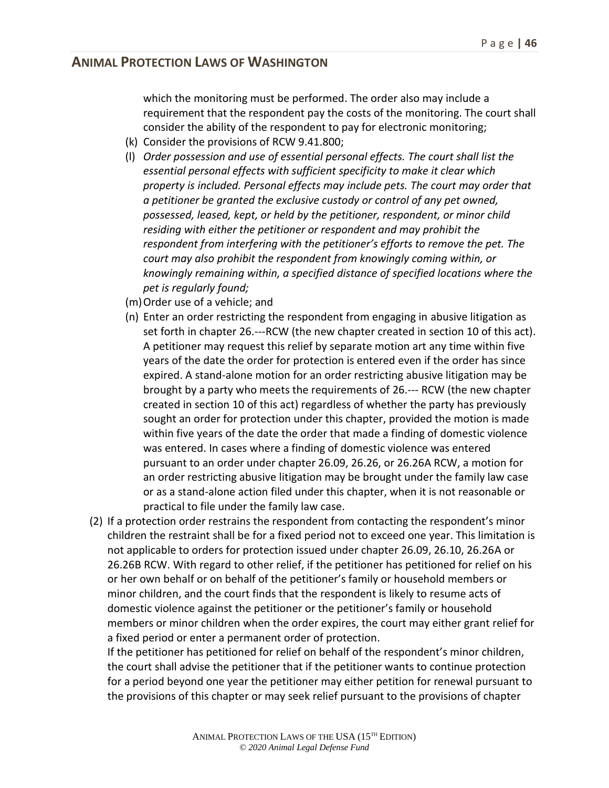which the monitoring must be performed. The order also may include a requirement that the respondent pay the costs of the monitoring. The court shall consider the ability of the respondent to pay for electronic monitoring;

- (k) Consider the provisions of RCW 9.41.800;
- (l) *Order possession and use of essential personal effects. The court shall list the essential personal effects with sufficient specificity to make it clear which property is included. Personal effects may include pets. The court may order that a petitioner be granted the exclusive custody or control of any pet owned, possessed, leased, kept, or held by the petitioner, respondent, or minor child residing with either the petitioner or respondent and may prohibit the respondent from interfering with the petitioner's efforts to remove the pet. The court may also prohibit the respondent from knowingly coming within, or knowingly remaining within, a specified distance of specified locations where the pet is regularly found;*
- (m)Order use of a vehicle; and
- (n) Enter an order restricting the respondent from engaging in abusive litigation as set forth in chapter 26.---RCW (the new chapter created in section 10 of this act). A petitioner may request this relief by separate motion art any time within five years of the date the order for protection is entered even if the order has since expired. A stand-alone motion for an order restricting abusive litigation may be brought by a party who meets the requirements of 26.--- RCW (the new chapter created in section 10 of this act) regardless of whether the party has previously sought an order for protection under this chapter, provided the motion is made within five years of the date the order that made a finding of domestic violence was entered. In cases where a finding of domestic violence was entered pursuant to an order under chapter 26.09, 26.26, or 26.26A RCW, a motion for an order restricting abusive litigation may be brought under the family law case or as a stand-alone action filed under this chapter, when it is not reasonable or practical to file under the family law case.
- (2) If a protection order restrains the respondent from contacting the respondent's minor children the restraint shall be for a fixed period not to exceed one year. This limitation is not applicable to orders for protection issued under chapter 26.09, 26.10, 26.26A or 26.26B RCW. With regard to other relief, if the petitioner has petitioned for relief on his or her own behalf or on behalf of the petitioner's family or household members or minor children, and the court finds that the respondent is likely to resume acts of domestic violence against the petitioner or the petitioner's family or household members or minor children when the order expires, the court may either grant relief for a fixed period or enter a permanent order of protection.

If the petitioner has petitioned for relief on behalf of the respondent's minor children, the court shall advise the petitioner that if the petitioner wants to continue protection for a period beyond one year the petitioner may either petition for renewal pursuant to the provisions of this chapter or may seek relief pursuant to the provisions of chapter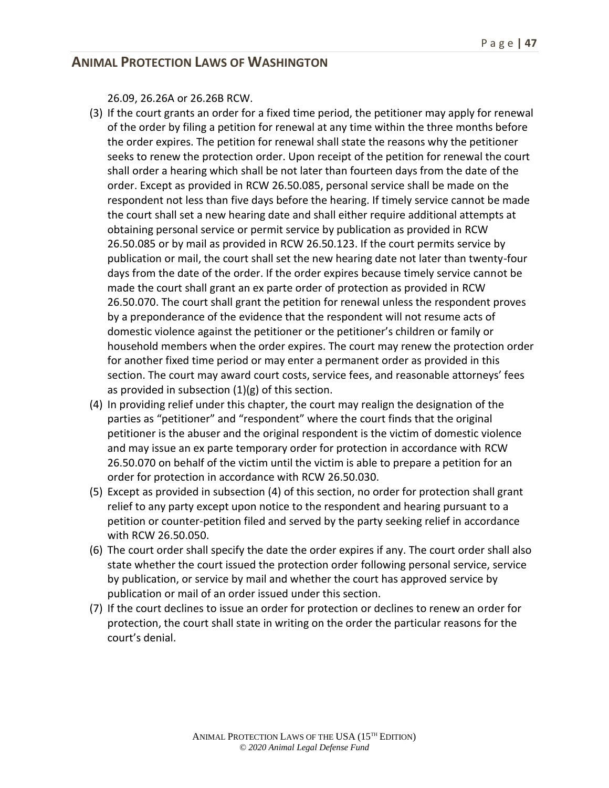26.09, 26.26A or 26.26B RCW.

- (3) If the court grants an order for a fixed time period, the petitioner may apply for renewal of the order by filing a petition for renewal at any time within the three months before the order expires. The petition for renewal shall state the reasons why the petitioner seeks to renew the protection order. Upon receipt of the petition for renewal the court shall order a hearing which shall be not later than fourteen days from the date of the order. Except as provided in RCW 26.50.085, personal service shall be made on the respondent not less than five days before the hearing. If timely service cannot be made the court shall set a new hearing date and shall either require additional attempts at obtaining personal service or permit service by publication as provided in RCW 26.50.085 or by mail as provided in RCW 26.50.123. If the court permits service by publication or mail, the court shall set the new hearing date not later than twenty-four days from the date of the order. If the order expires because timely service cannot be made the court shall grant an ex parte order of protection as provided in RCW 26.50.070. The court shall grant the petition for renewal unless the respondent proves by a preponderance of the evidence that the respondent will not resume acts of domestic violence against the petitioner or the petitioner's children or family or household members when the order expires. The court may renew the protection order for another fixed time period or may enter a permanent order as provided in this section. The court may award court costs, service fees, and reasonable attorneys' fees as provided in subsection (1)(g) of this section.
- (4) In providing relief under this chapter, the court may realign the designation of the parties as "petitioner" and "respondent" where the court finds that the original petitioner is the abuser and the original respondent is the victim of domestic violence and may issue an ex parte temporary order for protection in accordance with RCW 26.50.070 on behalf of the victim until the victim is able to prepare a petition for an order for protection in accordance with RCW 26.50.030.
- (5) Except as provided in subsection (4) of this section, no order for protection shall grant relief to any party except upon notice to the respondent and hearing pursuant to a petition or counter-petition filed and served by the party seeking relief in accordance with RCW 26.50.050.
- (6) The court order shall specify the date the order expires if any. The court order shall also state whether the court issued the protection order following personal service, service by publication, or service by mail and whether the court has approved service by publication or mail of an order issued under this section.
- (7) If the court declines to issue an order for protection or declines to renew an order for protection, the court shall state in writing on the order the particular reasons for the court's denial.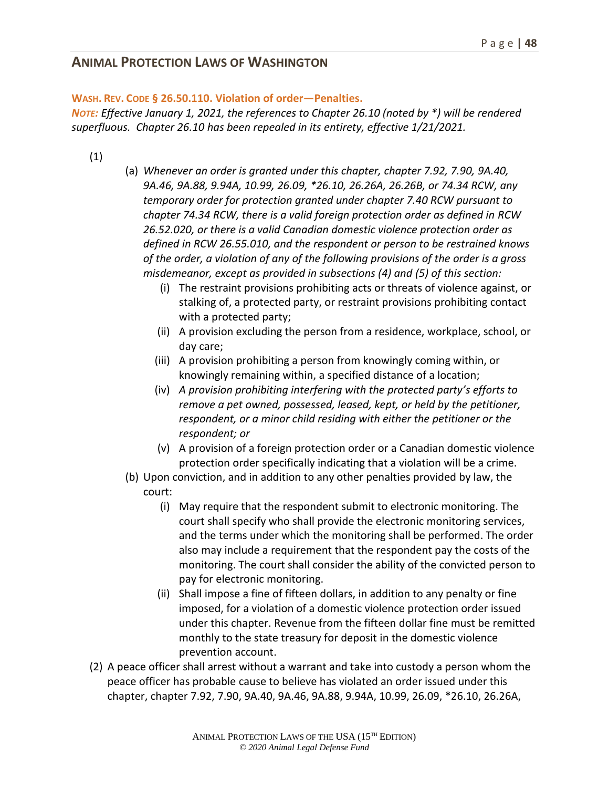#### **WASH. REV. CODE § 26.50.110. Violation of order—Penalties.**

*NOTE: Effective January 1, 2021, the references to Chapter 26.10 (noted by \*) will be rendered superfluous. Chapter 26.10 has been repealed in its entirety, effective 1/21/2021.*

- (1)
- (a) *Whenever an order is granted under this chapter, chapter 7.92, 7.90, 9A.40, 9A.46, 9A.88, 9.94A, 10.99, 26.09, \*26.10, 26.26A, 26.26B, or 74.34 RCW, any temporary order for protection granted under chapter 7.40 RCW pursuant to chapter 74.34 RCW, there is a valid foreign protection order as defined in RCW 26.52.020, or there is a valid Canadian domestic violence protection order as defined in RCW 26.55.010, and the respondent or person to be restrained knows of the order, a violation of any of the following provisions of the order is a gross misdemeanor, except as provided in subsections (4) and (5) of this section:*
	- (i) The restraint provisions prohibiting acts or threats of violence against, or stalking of, a protected party, or restraint provisions prohibiting contact with a protected party;
	- (ii) A provision excluding the person from a residence, workplace, school, or day care;
	- (iii) A provision prohibiting a person from knowingly coming within, or knowingly remaining within, a specified distance of a location;
	- (iv) *A provision prohibiting interfering with the protected party's efforts to remove a pet owned, possessed, leased, kept, or held by the petitioner, respondent, or a minor child residing with either the petitioner or the respondent; or*
	- (v) A provision of a foreign protection order or a Canadian domestic violence protection order specifically indicating that a violation will be a crime.
- (b) Upon conviction, and in addition to any other penalties provided by law, the court:
	- (i) May require that the respondent submit to electronic monitoring. The court shall specify who shall provide the electronic monitoring services, and the terms under which the monitoring shall be performed. The order also may include a requirement that the respondent pay the costs of the monitoring. The court shall consider the ability of the convicted person to pay for electronic monitoring.
	- (ii) Shall impose a fine of fifteen dollars, in addition to any penalty or fine imposed, for a violation of a domestic violence protection order issued under this chapter. Revenue from the fifteen dollar fine must be remitted monthly to the state treasury for deposit in the domestic violence prevention account.
- (2) A peace officer shall arrest without a warrant and take into custody a person whom the peace officer has probable cause to believe has violated an order issued under this chapter, chapter 7.92, 7.90, 9A.40, 9A.46, 9A.88, 9.94A, 10.99, 26.09, \*26.10, 26.26A,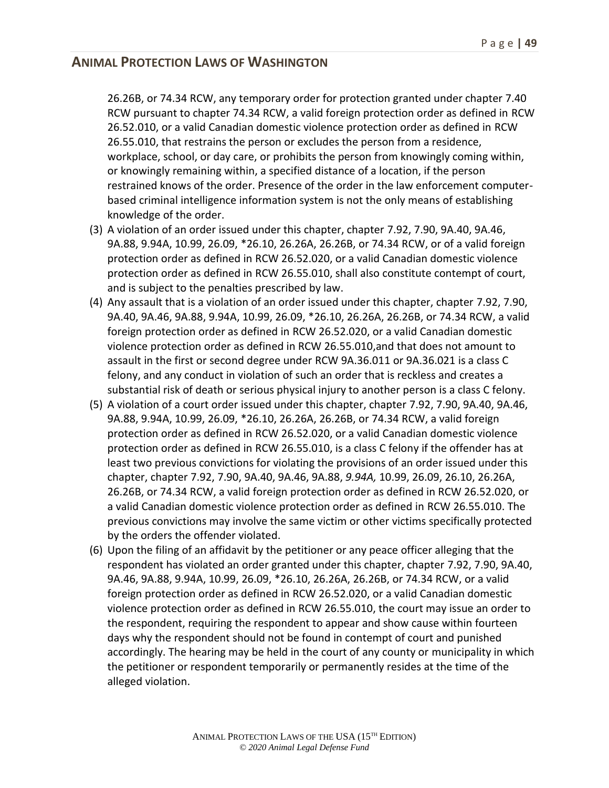26.26B, or 74.34 RCW, any temporary order for protection granted under chapter 7.40 RCW pursuant to chapter 74.34 RCW, a valid foreign protection order as defined in RCW 26.52.010, or a valid Canadian domestic violence protection order as defined in RCW 26.55.010, that restrains the person or excludes the person from a residence, workplace, school, or day care, or prohibits the person from knowingly coming within, or knowingly remaining within, a specified distance of a location, if the person restrained knows of the order. Presence of the order in the law enforcement computerbased criminal intelligence information system is not the only means of establishing knowledge of the order.

- (3) A violation of an order issued under this chapter, chapter 7.92, 7.90, 9A.40, 9A.46, 9A.88, 9.94A, 10.99, 26.09, \*26.10, 26.26A, 26.26B, or 74.34 RCW, or of a valid foreign protection order as defined in RCW 26.52.020, or a valid Canadian domestic violence protection order as defined in RCW 26.55.010, shall also constitute contempt of court, and is subject to the penalties prescribed by law.
- (4) Any assault that is a violation of an order issued under this chapter, chapter 7.92, 7.90, 9A.40, 9A.46, 9A.88, 9.94A, 10.99, 26.09, \*26.10, 26.26A, 26.26B, or 74.34 RCW, a valid foreign protection order as defined in RCW 26.52.020, or a valid Canadian domestic violence protection order as defined in RCW 26.55.010,and that does not amount to assault in the first or second degree under RCW 9A.36.011 or 9A.36.021 is a class C felony, and any conduct in violation of such an order that is reckless and creates a substantial risk of death or serious physical injury to another person is a class C felony.
- (5) A violation of a court order issued under this chapter, chapter 7.92, 7.90, 9A.40, 9A.46, 9A.88, 9.94A, 10.99, 26.09, \*26.10, 26.26A, 26.26B, or 74.34 RCW, a valid foreign protection order as defined in RCW 26.52.020, or a valid Canadian domestic violence protection order as defined in RCW 26.55.010, is a class C felony if the offender has at least two previous convictions for violating the provisions of an order issued under this chapter, chapter 7.92, 7.90, 9A.40, 9A.46, 9A.88, *9.94A,* 10.99, 26.09, 26.10, 26.26A, 26.26B, or 74.34 RCW, a valid foreign protection order as defined in RCW 26.52.020, or a valid Canadian domestic violence protection order as defined in RCW 26.55.010. The previous convictions may involve the same victim or other victims specifically protected by the orders the offender violated.
- (6) Upon the filing of an affidavit by the petitioner or any peace officer alleging that the respondent has violated an order granted under this chapter, chapter 7.92, 7.90, 9A.40, 9A.46, 9A.88, 9.94A, 10.99, 26.09, \*26.10, 26.26A, 26.26B, or 74.34 RCW, or a valid foreign protection order as defined in RCW 26.52.020, or a valid Canadian domestic violence protection order as defined in RCW 26.55.010, the court may issue an order to the respondent, requiring the respondent to appear and show cause within fourteen days why the respondent should not be found in contempt of court and punished accordingly. The hearing may be held in the court of any county or municipality in which the petitioner or respondent temporarily or permanently resides at the time of the alleged violation.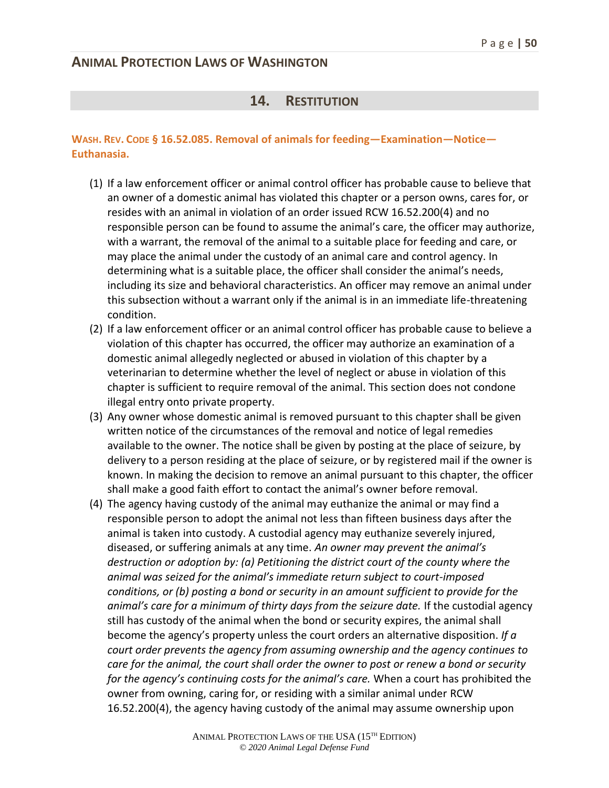#### **14. RESTITUTION**

#### **WASH. REV. CODE § 16.52.085. Removal of animals for feeding—Examination—Notice— Euthanasia.**

- (1) If a law enforcement officer or animal control officer has probable cause to believe that an owner of a domestic animal has violated this chapter or a person owns, cares for, or resides with an animal in violation of an order issued RCW 16.52.200(4) and no responsible person can be found to assume the animal's care, the officer may authorize, with a warrant, the removal of the animal to a suitable place for feeding and care, or may place the animal under the custody of an animal care and control agency. In determining what is a suitable place, the officer shall consider the animal's needs, including its size and behavioral characteristics. An officer may remove an animal under this subsection without a warrant only if the animal is in an immediate life-threatening condition.
- (2) If a law enforcement officer or an animal control officer has probable cause to believe a violation of this chapter has occurred, the officer may authorize an examination of a domestic animal allegedly neglected or abused in violation of this chapter by a veterinarian to determine whether the level of neglect or abuse in violation of this chapter is sufficient to require removal of the animal. This section does not condone illegal entry onto private property.
- (3) Any owner whose domestic animal is removed pursuant to this chapter shall be given written notice of the circumstances of the removal and notice of legal remedies available to the owner. The notice shall be given by posting at the place of seizure, by delivery to a person residing at the place of seizure, or by registered mail if the owner is known. In making the decision to remove an animal pursuant to this chapter, the officer shall make a good faith effort to contact the animal's owner before removal.
- (4) The agency having custody of the animal may euthanize the animal or may find a responsible person to adopt the animal not less than fifteen business days after the animal is taken into custody. A custodial agency may euthanize severely injured, diseased, or suffering animals at any time. *An owner may prevent the animal's destruction or adoption by: (a) Petitioning the district court of the county where the animal was seized for the animal's immediate return subject to court-imposed conditions, or (b) posting a bond or security in an amount sufficient to provide for the animal's care for a minimum of thirty days from the seizure date.* If the custodial agency still has custody of the animal when the bond or security expires, the animal shall become the agency's property unless the court orders an alternative disposition. *If a court order prevents the agency from assuming ownership and the agency continues to care for the animal, the court shall order the owner to post or renew a bond or security for the agency's continuing costs for the animal's care.* When a court has prohibited the owner from owning, caring for, or residing with a similar animal under RCW 16.52.200(4), the agency having custody of the animal may assume ownership upon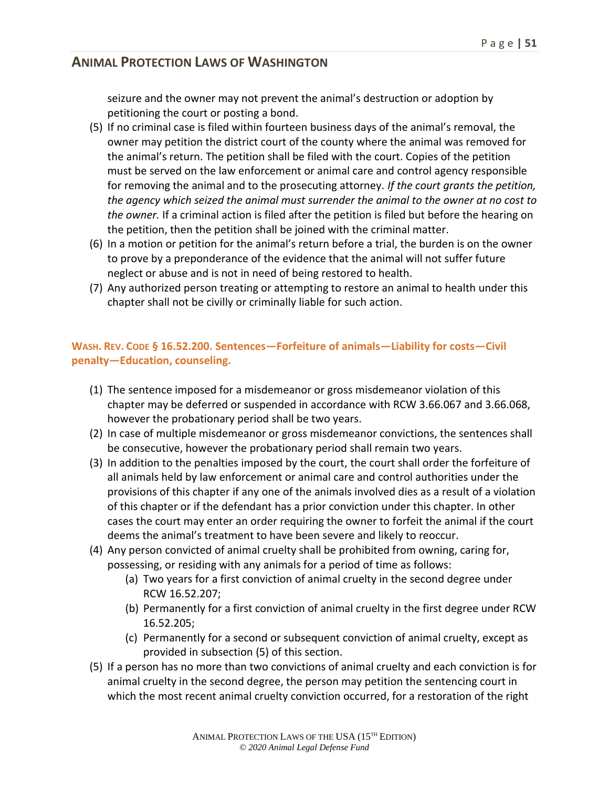seizure and the owner may not prevent the animal's destruction or adoption by petitioning the court or posting a bond.

- (5) If no criminal case is filed within fourteen business days of the animal's removal, the owner may petition the district court of the county where the animal was removed for the animal's return. The petition shall be filed with the court. Copies of the petition must be served on the law enforcement or animal care and control agency responsible for removing the animal and to the prosecuting attorney. *If the court grants the petition, the agency which seized the animal must surrender the animal to the owner at no cost to the owner.* If a criminal action is filed after the petition is filed but before the hearing on the petition, then the petition shall be joined with the criminal matter.
- (6) In a motion or petition for the animal's return before a trial, the burden is on the owner to prove by a preponderance of the evidence that the animal will not suffer future neglect or abuse and is not in need of being restored to health.
- (7) Any authorized person treating or attempting to restore an animal to health under this chapter shall not be civilly or criminally liable for such action.

#### **WASH. REV. CODE § 16.52.200. Sentences—Forfeiture of animals—Liability for costs—Civil penalty—Education, counseling.**

- (1) The sentence imposed for a misdemeanor or gross misdemeanor violation of this chapter may be deferred or suspended in accordance with RCW 3.66.067 and 3.66.068, however the probationary period shall be two years.
- (2) In case of multiple misdemeanor or gross misdemeanor convictions, the sentences shall be consecutive, however the probationary period shall remain two years.
- (3) In addition to the penalties imposed by the court, the court shall order the forfeiture of all animals held by law enforcement or animal care and control authorities under the provisions of this chapter if any one of the animals involved dies as a result of a violation of this chapter or if the defendant has a prior conviction under this chapter. In other cases the court may enter an order requiring the owner to forfeit the animal if the court deems the animal's treatment to have been severe and likely to reoccur.
- (4) Any person convicted of animal cruelty shall be prohibited from owning, caring for, possessing, or residing with any animals for a period of time as follows:
	- (a) Two years for a first conviction of animal cruelty in the second degree under RCW 16.52.207;
	- (b) Permanently for a first conviction of animal cruelty in the first degree under RCW 16.52.205;
	- (c) Permanently for a second or subsequent conviction of animal cruelty, except as provided in subsection (5) of this section.
- (5) If a person has no more than two convictions of animal cruelty and each conviction is for animal cruelty in the second degree, the person may petition the sentencing court in which the most recent animal cruelty conviction occurred, for a restoration of the right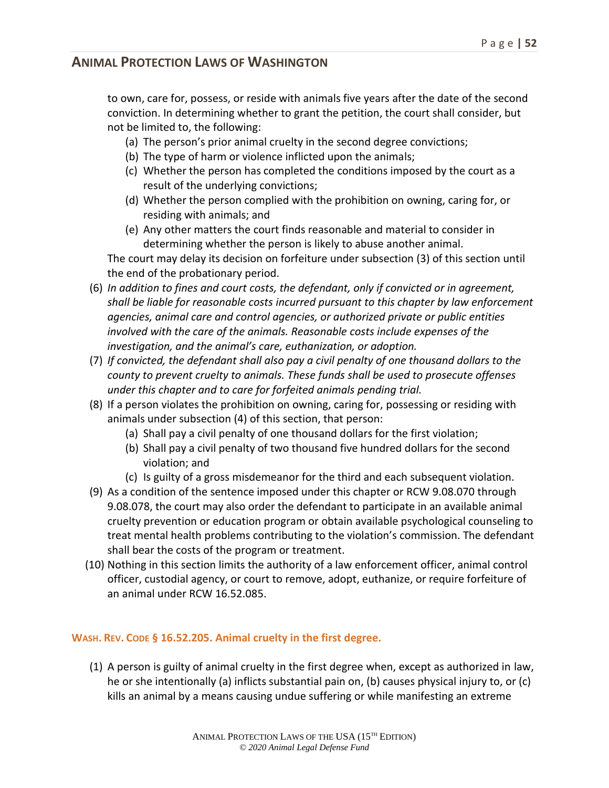to own, care for, possess, or reside with animals five years after the date of the second conviction. In determining whether to grant the petition, the court shall consider, but not be limited to, the following:

- (a) The person's prior animal cruelty in the second degree convictions;
- (b) The type of harm or violence inflicted upon the animals;
- (c) Whether the person has completed the conditions imposed by the court as a result of the underlying convictions;
- (d) Whether the person complied with the prohibition on owning, caring for, or residing with animals; and
- (e) Any other matters the court finds reasonable and material to consider in determining whether the person is likely to abuse another animal.

The court may delay its decision on forfeiture under subsection (3) of this section until the end of the probationary period.

- (6) *In addition to fines and court costs, the defendant, only if convicted or in agreement, shall be liable for reasonable costs incurred pursuant to this chapter by law enforcement agencies, animal care and control agencies, or authorized private or public entities involved with the care of the animals. Reasonable costs include expenses of the investigation, and the animal's care, euthanization, or adoption.*
- (7) *If convicted, the defendant shall also pay a civil penalty of one thousand dollars to the county to prevent cruelty to animals. These funds shall be used to prosecute offenses under this chapter and to care for forfeited animals pending trial.*
- (8) If a person violates the prohibition on owning, caring for, possessing or residing with animals under subsection (4) of this section, that person:
	- (a) Shall pay a civil penalty of one thousand dollars for the first violation;
	- (b) Shall pay a civil penalty of two thousand five hundred dollars for the second violation; and
	- (c) Is guilty of a gross misdemeanor for the third and each subsequent violation.
- (9) As a condition of the sentence imposed under this chapter or RCW 9.08.070 through 9.08.078, the court may also order the defendant to participate in an available animal cruelty prevention or education program or obtain available psychological counseling to treat mental health problems contributing to the violation's commission. The defendant shall bear the costs of the program or treatment.
- (10) Nothing in this section limits the authority of a law enforcement officer, animal control officer, custodial agency, or court to remove, adopt, euthanize, or require forfeiture of an animal under RCW 16.52.085.

#### **WASH. REV. CODE § 16.52.205. Animal cruelty in the first degree.**

(1) A person is guilty of animal cruelty in the first degree when, except as authorized in law, he or she intentionally (a) inflicts substantial pain on, (b) causes physical injury to, or (c) kills an animal by a means causing undue suffering or while manifesting an extreme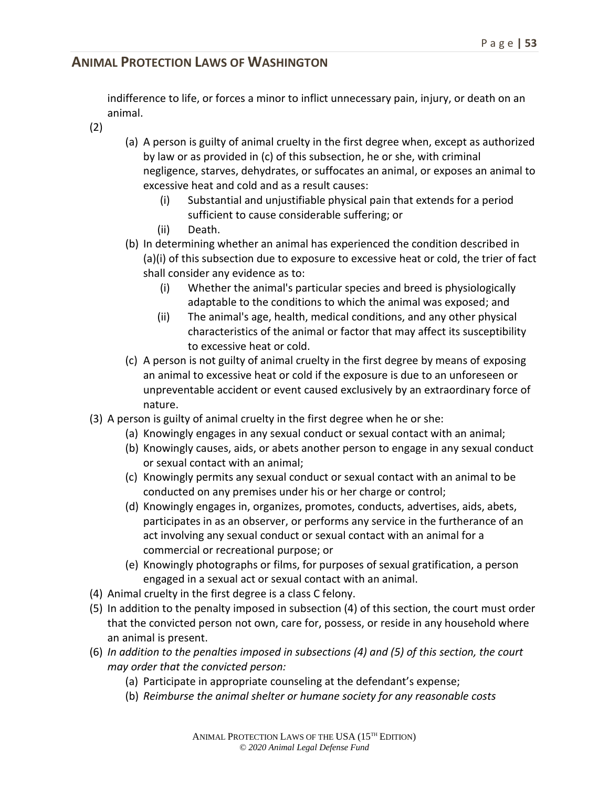indifference to life, or forces a minor to inflict unnecessary pain, injury, or death on an animal.

- (2)
- (a) A person is guilty of animal cruelty in the first degree when, except as authorized by law or as provided in (c) of this subsection, he or she, with criminal negligence, starves, dehydrates, or suffocates an animal, or exposes an animal to excessive heat and cold and as a result causes:
	- (i) Substantial and unjustifiable physical pain that extends for a period sufficient to cause considerable suffering; or
	- (ii) Death.
- (b) In determining whether an animal has experienced the condition described in (a)(i) of this subsection due to exposure to excessive heat or cold, the trier of fact shall consider any evidence as to:
	- (i) Whether the animal's particular species and breed is physiologically adaptable to the conditions to which the animal was exposed; and
	- (ii) The animal's age, health, medical conditions, and any other physical characteristics of the animal or factor that may affect its susceptibility to excessive heat or cold.
- (c) A person is not guilty of animal cruelty in the first degree by means of exposing an animal to excessive heat or cold if the exposure is due to an unforeseen or unpreventable accident or event caused exclusively by an extraordinary force of nature.
- (3) A person is guilty of animal cruelty in the first degree when he or she:
	- (a) Knowingly engages in any sexual conduct or sexual contact with an animal;
	- (b) Knowingly causes, aids, or abets another person to engage in any sexual conduct or sexual contact with an animal;
	- (c) Knowingly permits any sexual conduct or sexual contact with an animal to be conducted on any premises under his or her charge or control;
	- (d) Knowingly engages in, organizes, promotes, conducts, advertises, aids, abets, participates in as an observer, or performs any service in the furtherance of an act involving any sexual conduct or sexual contact with an animal for a commercial or recreational purpose; or
	- (e) Knowingly photographs or films, for purposes of sexual gratification, a person engaged in a sexual act or sexual contact with an animal.
- (4) Animal cruelty in the first degree is a class C felony.
- (5) In addition to the penalty imposed in subsection (4) of this section, the court must order that the convicted person not own, care for, possess, or reside in any household where an animal is present.
- (6) *In addition to the penalties imposed in subsections (4) and (5) of this section, the court may order that the convicted person:*
	- (a) Participate in appropriate counseling at the defendant's expense;
	- (b) *Reimburse the animal shelter or humane society for any reasonable costs*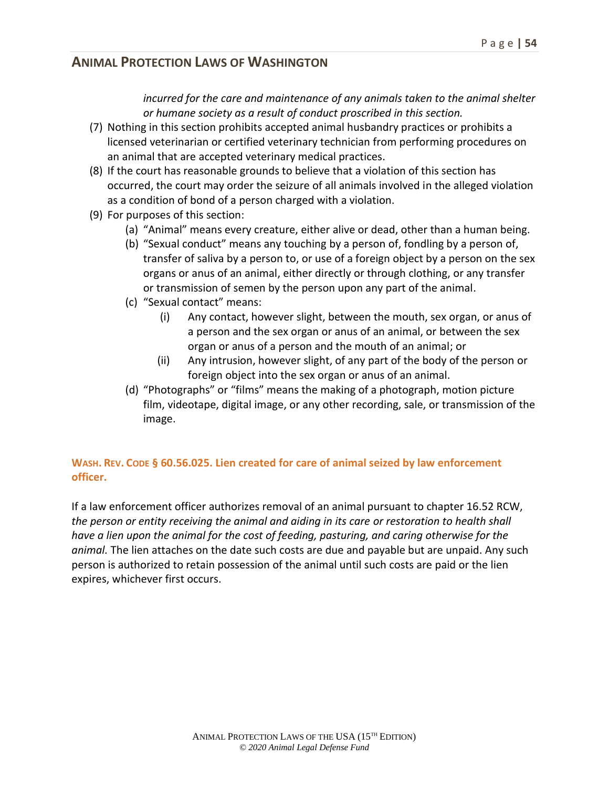*incurred for the care and maintenance of any animals taken to the animal shelter or humane society as a result of conduct proscribed in this section.*

- (7) Nothing in this section prohibits accepted animal husbandry practices or prohibits a licensed veterinarian or certified veterinary technician from performing procedures on an animal that are accepted veterinary medical practices.
- (8) If the court has reasonable grounds to believe that a violation of this section has occurred, the court may order the seizure of all animals involved in the alleged violation as a condition of bond of a person charged with a violation.
- (9) For purposes of this section:
	- (a) "Animal" means every creature, either alive or dead, other than a human being.
	- (b) "Sexual conduct" means any touching by a person of, fondling by a person of, transfer of saliva by a person to, or use of a foreign object by a person on the sex organs or anus of an animal, either directly or through clothing, or any transfer or transmission of semen by the person upon any part of the animal.
	- (c) "Sexual contact" means:
		- (i) Any contact, however slight, between the mouth, sex organ, or anus of a person and the sex organ or anus of an animal, or between the sex organ or anus of a person and the mouth of an animal; or
		- (ii) Any intrusion, however slight, of any part of the body of the person or foreign object into the sex organ or anus of an animal.
	- (d) "Photographs" or "films" means the making of a photograph, motion picture film, videotape, digital image, or any other recording, sale, or transmission of the image.

#### **WASH. REV. CODE § 60.56.025. Lien created for care of animal seized by law enforcement officer.**

If a law enforcement officer authorizes removal of an animal pursuant to chapter 16.52 RCW, *the person or entity receiving the animal and aiding in its care or restoration to health shall have a lien upon the animal for the cost of feeding, pasturing, and caring otherwise for the animal.* The lien attaches on the date such costs are due and payable but are unpaid. Any such person is authorized to retain possession of the animal until such costs are paid or the lien expires, whichever first occurs.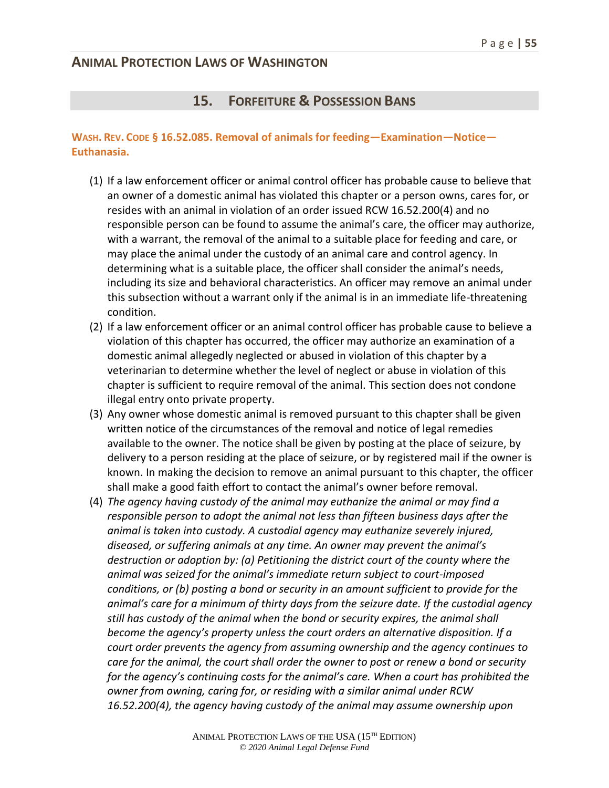#### **15. FORFEITURE & POSSESSION BANS**

#### **WASH. REV. CODE § 16.52.085. Removal of animals for feeding—Examination—Notice— Euthanasia.**

- (1) If a law enforcement officer or animal control officer has probable cause to believe that an owner of a domestic animal has violated this chapter or a person owns, cares for, or resides with an animal in violation of an order issued RCW 16.52.200(4) and no responsible person can be found to assume the animal's care, the officer may authorize, with a warrant, the removal of the animal to a suitable place for feeding and care, or may place the animal under the custody of an animal care and control agency. In determining what is a suitable place, the officer shall consider the animal's needs, including its size and behavioral characteristics. An officer may remove an animal under this subsection without a warrant only if the animal is in an immediate life-threatening condition.
- (2) If a law enforcement officer or an animal control officer has probable cause to believe a violation of this chapter has occurred, the officer may authorize an examination of a domestic animal allegedly neglected or abused in violation of this chapter by a veterinarian to determine whether the level of neglect or abuse in violation of this chapter is sufficient to require removal of the animal. This section does not condone illegal entry onto private property.
- (3) Any owner whose domestic animal is removed pursuant to this chapter shall be given written notice of the circumstances of the removal and notice of legal remedies available to the owner. The notice shall be given by posting at the place of seizure, by delivery to a person residing at the place of seizure, or by registered mail if the owner is known. In making the decision to remove an animal pursuant to this chapter, the officer shall make a good faith effort to contact the animal's owner before removal.
- (4) *The agency having custody of the animal may euthanize the animal or may find a responsible person to adopt the animal not less than fifteen business days after the animal is taken into custody. A custodial agency may euthanize severely injured, diseased, or suffering animals at any time. An owner may prevent the animal's destruction or adoption by: (a) Petitioning the district court of the county where the animal was seized for the animal's immediate return subject to court-imposed conditions, or (b) posting a bond or security in an amount sufficient to provide for the animal's care for a minimum of thirty days from the seizure date. If the custodial agency still has custody of the animal when the bond or security expires, the animal shall become the agency's property unless the court orders an alternative disposition. If a court order prevents the agency from assuming ownership and the agency continues to care for the animal, the court shall order the owner to post or renew a bond or security for the agency's continuing costs for the animal's care. When a court has prohibited the owner from owning, caring for, or residing with a similar animal under RCW 16.52.200(4), the agency having custody of the animal may assume ownership upon*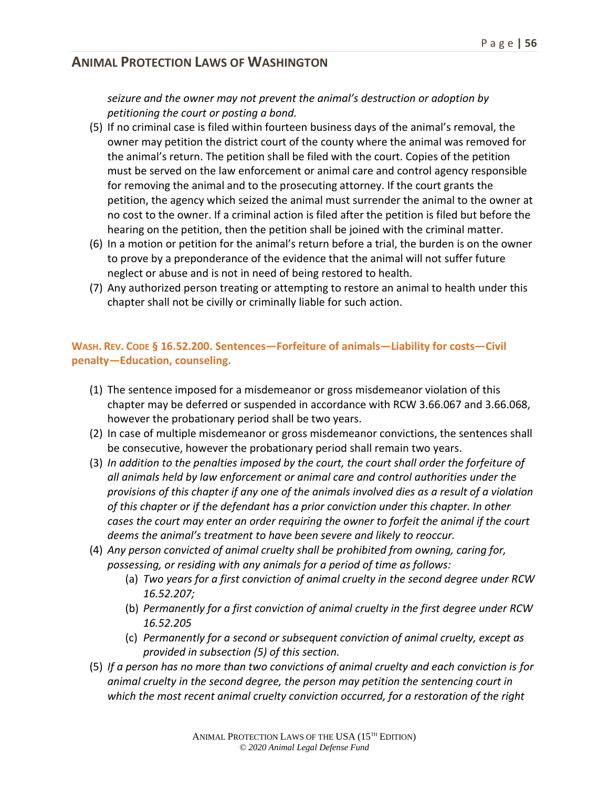#### *seizure and the owner may not prevent the animal's destruction or adoption by petitioning the court or posting a bond.*

- (5) If no criminal case is filed within fourteen business days of the animal's removal, the owner may petition the district court of the county where the animal was removed for the animal's return. The petition shall be filed with the court. Copies of the petition must be served on the law enforcement or animal care and control agency responsible for removing the animal and to the prosecuting attorney. If the court grants the petition, the agency which seized the animal must surrender the animal to the owner at no cost to the owner. If a criminal action is filed after the petition is filed but before the hearing on the petition, then the petition shall be joined with the criminal matter.
- (6) In a motion or petition for the animal's return before a trial, the burden is on the owner to prove by a preponderance of the evidence that the animal will not suffer future neglect or abuse and is not in need of being restored to health.
- (7) Any authorized person treating or attempting to restore an animal to health under this chapter shall not be civilly or criminally liable for such action.

#### **WASH. REV. CODE § 16.52.200. Sentences—Forfeiture of animals—Liability for costs—Civil penalty—Education, counseling.**

- (1) The sentence imposed for a misdemeanor or gross misdemeanor violation of this chapter may be deferred or suspended in accordance with RCW 3.66.067 and 3.66.068, however the probationary period shall be two years.
- (2) In case of multiple misdemeanor or gross misdemeanor convictions, the sentences shall be consecutive, however the probationary period shall remain two years.
- (3) *In addition to the penalties imposed by the court, the court shall order the forfeiture of all animals held by law enforcement or animal care and control authorities under the provisions of this chapter if any one of the animals involved dies as a result of a violation of this chapter or if the defendant has a prior conviction under this chapter. In other cases the court may enter an order requiring the owner to forfeit the animal if the court deems the animal's treatment to have been severe and likely to reoccur.*
- (4) *Any person convicted of animal cruelty shall be prohibited from owning, caring for, possessing, or residing with any animals for a period of time as follows:* 
	- (a) *Two years for a first conviction of animal cruelty in the second degree under RCW 16.52.207;*
	- (b) *Permanently for a first conviction of animal cruelty in the first degree under RCW 16.52.205*
	- (c) *Permanently for a second or subsequent conviction of animal cruelty, except as provided in subsection (5) of this section.*
- (5) *If a person has no more than two convictions of animal cruelty and each conviction is for animal cruelty in the second degree, the person may petition the sentencing court in which the most recent animal cruelty conviction occurred, for a restoration of the right*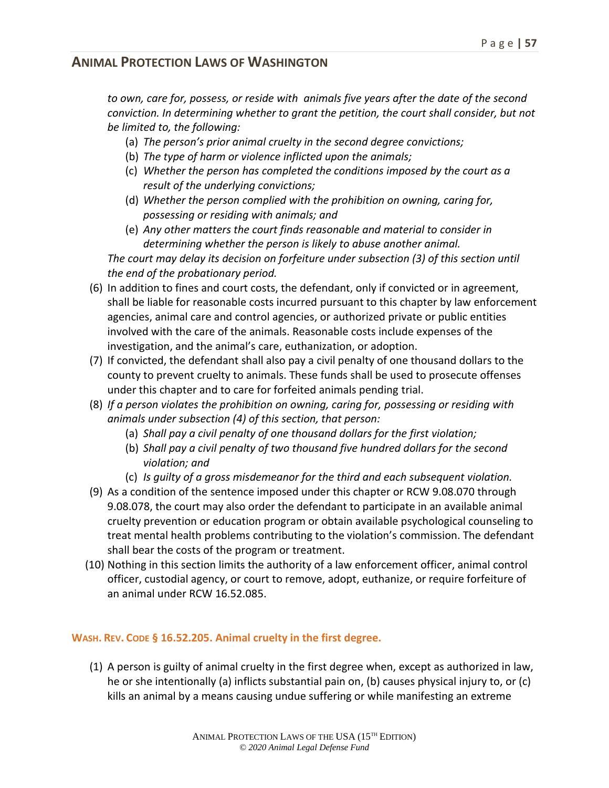*to own, care for, possess, or reside with animals five years after the date of the second conviction. In determining whether to grant the petition, the court shall consider, but not be limited to, the following:*

- (a) *The person's prior animal cruelty in the second degree convictions;*
- (b) *The type of harm or violence inflicted upon the animals;*
- (c) *Whether the person has completed the conditions imposed by the court as a result of the underlying convictions;*
- (d) *Whether the person complied with the prohibition on owning, caring for, possessing or residing with animals; and*
- (e) *Any other matters the court finds reasonable and material to consider in determining whether the person is likely to abuse another animal.*

*The court may delay its decision on forfeiture under subsection (3) of this section until the end of the probationary period.*

- (6) In addition to fines and court costs, the defendant, only if convicted or in agreement, shall be liable for reasonable costs incurred pursuant to this chapter by law enforcement agencies, animal care and control agencies, or authorized private or public entities involved with the care of the animals. Reasonable costs include expenses of the investigation, and the animal's care, euthanization, or adoption.
- (7) If convicted, the defendant shall also pay a civil penalty of one thousand dollars to the county to prevent cruelty to animals. These funds shall be used to prosecute offenses under this chapter and to care for forfeited animals pending trial.
- (8) *If a person violates the prohibition on owning, caring for, possessing or residing with animals under subsection (4) of this section, that person:*
	- (a) *Shall pay a civil penalty of one thousand dollars for the first violation;*
	- (b) *Shall pay a civil penalty of two thousand five hundred dollars for the second violation; and*
	- (c) *Is guilty of a gross misdemeanor for the third and each subsequent violation.*
- (9) As a condition of the sentence imposed under this chapter or RCW 9.08.070 through 9.08.078, the court may also order the defendant to participate in an available animal cruelty prevention or education program or obtain available psychological counseling to treat mental health problems contributing to the violation's commission. The defendant shall bear the costs of the program or treatment.
- (10) Nothing in this section limits the authority of a law enforcement officer, animal control officer, custodial agency, or court to remove, adopt, euthanize, or require forfeiture of an animal under RCW 16.52.085.

#### **WASH. REV. CODE § 16.52.205. Animal cruelty in the first degree.**

(1) A person is guilty of animal cruelty in the first degree when, except as authorized in law, he or she intentionally (a) inflicts substantial pain on, (b) causes physical injury to, or (c) kills an animal by a means causing undue suffering or while manifesting an extreme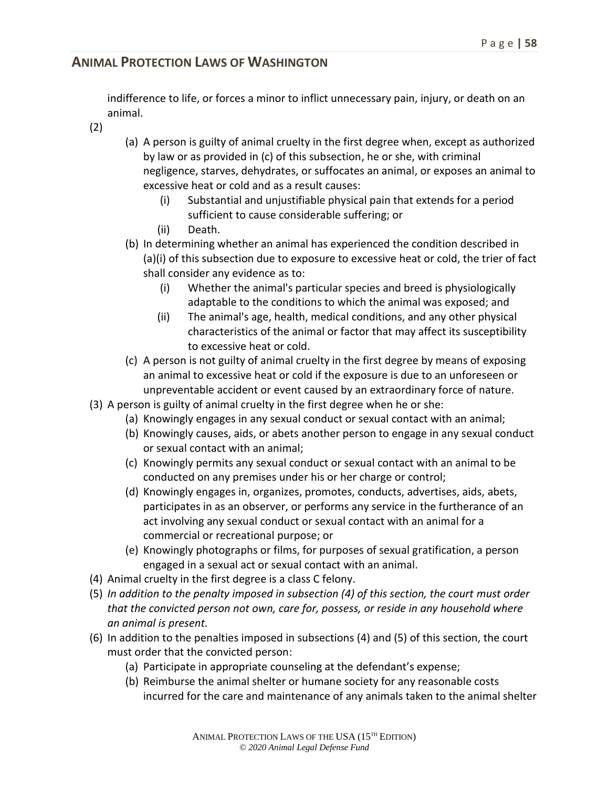indifference to life, or forces a minor to inflict unnecessary pain, injury, or death on an animal.

- (2)
- (a) A person is guilty of animal cruelty in the first degree when, except as authorized by law or as provided in (c) of this subsection, he or she, with criminal negligence, starves, dehydrates, or suffocates an animal, or exposes an animal to excessive heat or cold and as a result causes:
	- (i) Substantial and unjustifiable physical pain that extends for a period sufficient to cause considerable suffering; or
	- (ii) Death.
- (b) In determining whether an animal has experienced the condition described in (a)(i) of this subsection due to exposure to excessive heat or cold, the trier of fact shall consider any evidence as to:
	- (i) Whether the animal's particular species and breed is physiologically adaptable to the conditions to which the animal was exposed; and
	- (ii) The animal's age, health, medical conditions, and any other physical characteristics of the animal or factor that may affect its susceptibility to excessive heat or cold.
- (c) A person is not guilty of animal cruelty in the first degree by means of exposing an animal to excessive heat or cold if the exposure is due to an unforeseen or unpreventable accident or event caused by an extraordinary force of nature.
- (3) A person is guilty of animal cruelty in the first degree when he or she:
	- (a) Knowingly engages in any sexual conduct or sexual contact with an animal;
	- (b) Knowingly causes, aids, or abets another person to engage in any sexual conduct or sexual contact with an animal;
	- (c) Knowingly permits any sexual conduct or sexual contact with an animal to be conducted on any premises under his or her charge or control;
	- (d) Knowingly engages in, organizes, promotes, conducts, advertises, aids, abets, participates in as an observer, or performs any service in the furtherance of an act involving any sexual conduct or sexual contact with an animal for a commercial or recreational purpose; or
	- (e) Knowingly photographs or films, for purposes of sexual gratification, a person engaged in a sexual act or sexual contact with an animal.
- (4) Animal cruelty in the first degree is a class C felony.
- (5) *In addition to the penalty imposed in subsection (4) of this section, the court must order that the convicted person not own, care for, possess, or reside in any household where an animal is present.*
- (6) In addition to the penalties imposed in subsections (4) and (5) of this section, the court must order that the convicted person:
	- (a) Participate in appropriate counseling at the defendant's expense;
	- (b) Reimburse the animal shelter or humane society for any reasonable costs incurred for the care and maintenance of any animals taken to the animal shelter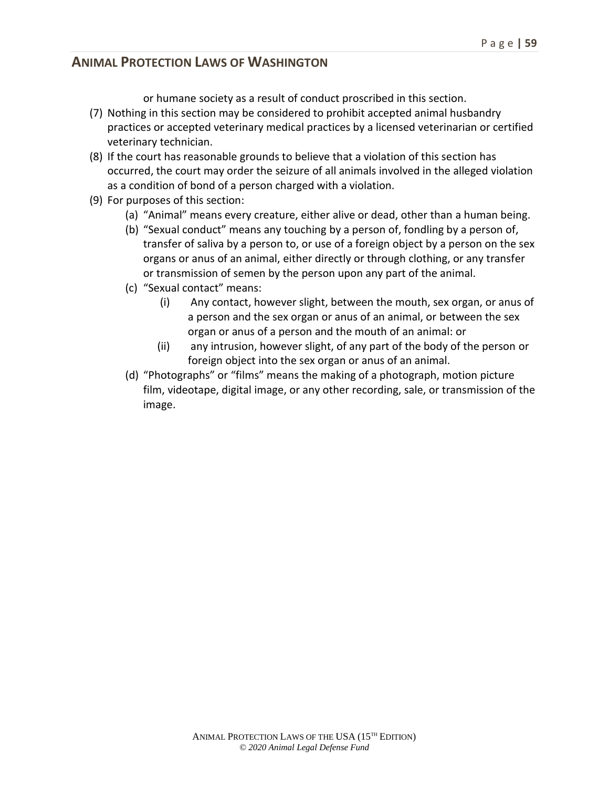or humane society as a result of conduct proscribed in this section.

- (7) Nothing in this section may be considered to prohibit accepted animal husbandry practices or accepted veterinary medical practices by a licensed veterinarian or certified veterinary technician.
- (8) If the court has reasonable grounds to believe that a violation of this section has occurred, the court may order the seizure of all animals involved in the alleged violation as a condition of bond of a person charged with a violation.
- (9) For purposes of this section:
	- (a) "Animal" means every creature, either alive or dead, other than a human being.
	- (b) "Sexual conduct" means any touching by a person of, fondling by a person of, transfer of saliva by a person to, or use of a foreign object by a person on the sex organs or anus of an animal, either directly or through clothing, or any transfer or transmission of semen by the person upon any part of the animal.
	- (c) "Sexual contact" means:
		- (i) Any contact, however slight, between the mouth, sex organ, or anus of a person and the sex organ or anus of an animal, or between the sex organ or anus of a person and the mouth of an animal: or
		- (ii) any intrusion, however slight, of any part of the body of the person or foreign object into the sex organ or anus of an animal.
	- (d) "Photographs" or "films" means the making of a photograph, motion picture film, videotape, digital image, or any other recording, sale, or transmission of the image.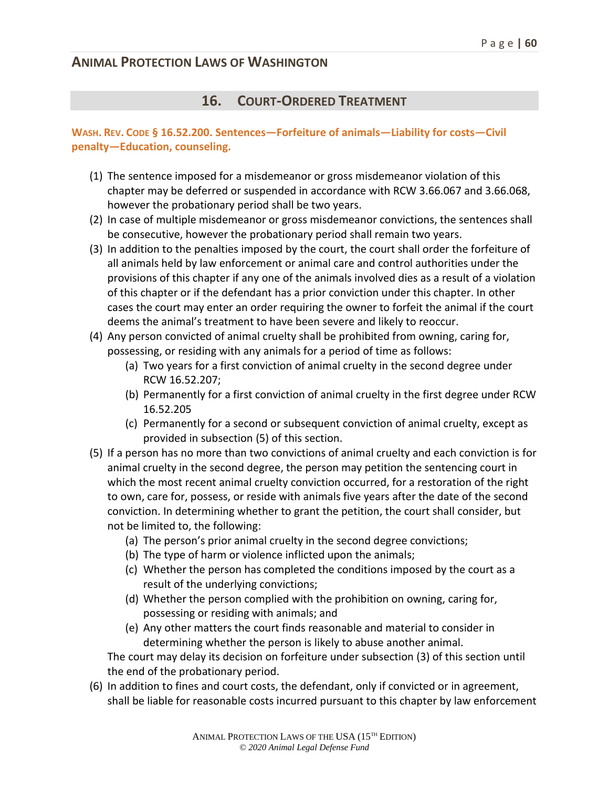#### **16. COURT-ORDERED TREATMENT**

#### **WASH. REV. CODE § 16.52.200. Sentences—Forfeiture of animals—Liability for costs—Civil penalty—Education, counseling.**

- (1) The sentence imposed for a misdemeanor or gross misdemeanor violation of this chapter may be deferred or suspended in accordance with RCW 3.66.067 and 3.66.068, however the probationary period shall be two years.
- (2) In case of multiple misdemeanor or gross misdemeanor convictions, the sentences shall be consecutive, however the probationary period shall remain two years.
- (3) In addition to the penalties imposed by the court, the court shall order the forfeiture of all animals held by law enforcement or animal care and control authorities under the provisions of this chapter if any one of the animals involved dies as a result of a violation of this chapter or if the defendant has a prior conviction under this chapter. In other cases the court may enter an order requiring the owner to forfeit the animal if the court deems the animal's treatment to have been severe and likely to reoccur.
- (4) Any person convicted of animal cruelty shall be prohibited from owning, caring for, possessing, or residing with any animals for a period of time as follows:
	- (a) Two years for a first conviction of animal cruelty in the second degree under RCW 16.52.207;
	- (b) Permanently for a first conviction of animal cruelty in the first degree under RCW 16.52.205
	- (c) Permanently for a second or subsequent conviction of animal cruelty, except as provided in subsection (5) of this section.
- (5) If a person has no more than two convictions of animal cruelty and each conviction is for animal cruelty in the second degree, the person may petition the sentencing court in which the most recent animal cruelty conviction occurred, for a restoration of the right to own, care for, possess, or reside with animals five years after the date of the second conviction. In determining whether to grant the petition, the court shall consider, but not be limited to, the following:
	- (a) The person's prior animal cruelty in the second degree convictions;
	- (b) The type of harm or violence inflicted upon the animals;
	- (c) Whether the person has completed the conditions imposed by the court as a result of the underlying convictions;
	- (d) Whether the person complied with the prohibition on owning, caring for, possessing or residing with animals; and
	- (e) Any other matters the court finds reasonable and material to consider in determining whether the person is likely to abuse another animal.

The court may delay its decision on forfeiture under subsection (3) of this section until the end of the probationary period.

(6) In addition to fines and court costs, the defendant, only if convicted or in agreement, shall be liable for reasonable costs incurred pursuant to this chapter by law enforcement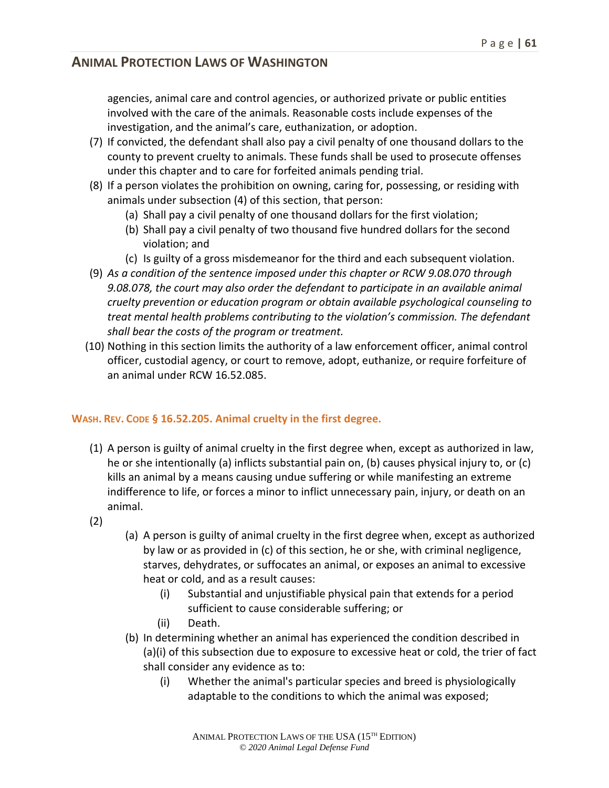agencies, animal care and control agencies, or authorized private or public entities involved with the care of the animals. Reasonable costs include expenses of the investigation, and the animal's care, euthanization, or adoption.

- (7) If convicted, the defendant shall also pay a civil penalty of one thousand dollars to the county to prevent cruelty to animals. These funds shall be used to prosecute offenses under this chapter and to care for forfeited animals pending trial.
- (8) If a person violates the prohibition on owning, caring for, possessing, or residing with animals under subsection (4) of this section, that person:
	- (a) Shall pay a civil penalty of one thousand dollars for the first violation;
	- (b) Shall pay a civil penalty of two thousand five hundred dollars for the second violation; and
	- (c) Is guilty of a gross misdemeanor for the third and each subsequent violation.
- (9) *As a condition of the sentence imposed under this chapter or RCW 9.08.070 through 9.08.078, the court may also order the defendant to participate in an available animal cruelty prevention or education program or obtain available psychological counseling to treat mental health problems contributing to the violation's commission. The defendant shall bear the costs of the program or treatment.*
- (10) Nothing in this section limits the authority of a law enforcement officer, animal control officer, custodial agency, or court to remove, adopt, euthanize, or require forfeiture of an animal under RCW 16.52.085.

#### **WASH. REV. CODE § 16.52.205. Animal cruelty in the first degree.**

- (1) A person is guilty of animal cruelty in the first degree when, except as authorized in law, he or she intentionally (a) inflicts substantial pain on, (b) causes physical injury to, or (c) kills an animal by a means causing undue suffering or while manifesting an extreme indifference to life, or forces a minor to inflict unnecessary pain, injury, or death on an animal.
- (2)
- (a) A person is guilty of animal cruelty in the first degree when, except as authorized by law or as provided in (c) of this section, he or she, with criminal negligence, starves, dehydrates, or suffocates an animal, or exposes an animal to excessive heat or cold, and as a result causes:
	- (i) Substantial and unjustifiable physical pain that extends for a period sufficient to cause considerable suffering; or
	- (ii) Death.
- (b) In determining whether an animal has experienced the condition described in (a)(i) of this subsection due to exposure to excessive heat or cold, the trier of fact shall consider any evidence as to:
	- (i) Whether the animal's particular species and breed is physiologically adaptable to the conditions to which the animal was exposed;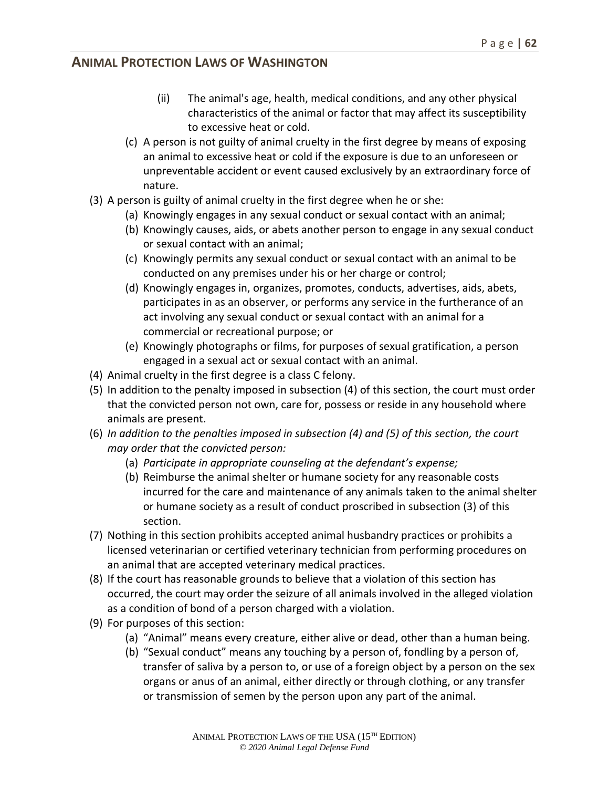- (ii) The animal's age, health, medical conditions, and any other physical characteristics of the animal or factor that may affect its susceptibility to excessive heat or cold.
- (c) A person is not guilty of animal cruelty in the first degree by means of exposing an animal to excessive heat or cold if the exposure is due to an unforeseen or unpreventable accident or event caused exclusively by an extraordinary force of nature.
- (3) A person is guilty of animal cruelty in the first degree when he or she:
	- (a) Knowingly engages in any sexual conduct or sexual contact with an animal;
	- (b) Knowingly causes, aids, or abets another person to engage in any sexual conduct or sexual contact with an animal;
	- (c) Knowingly permits any sexual conduct or sexual contact with an animal to be conducted on any premises under his or her charge or control;
	- (d) Knowingly engages in, organizes, promotes, conducts, advertises, aids, abets, participates in as an observer, or performs any service in the furtherance of an act involving any sexual conduct or sexual contact with an animal for a commercial or recreational purpose; or
	- (e) Knowingly photographs or films, for purposes of sexual gratification, a person engaged in a sexual act or sexual contact with an animal.
- (4) Animal cruelty in the first degree is a class C felony.
- (5) In addition to the penalty imposed in subsection (4) of this section, the court must order that the convicted person not own, care for, possess or reside in any household where animals are present.
- (6) *In addition to the penalties imposed in subsection (4) and (5) of this section, the court may order that the convicted person:*
	- (a) *Participate in appropriate counseling at the defendant's expense;*
	- (b) Reimburse the animal shelter or humane society for any reasonable costs incurred for the care and maintenance of any animals taken to the animal shelter or humane society as a result of conduct proscribed in subsection (3) of this section.
- (7) Nothing in this section prohibits accepted animal husbandry practices or prohibits a licensed veterinarian or certified veterinary technician from performing procedures on an animal that are accepted veterinary medical practices.
- (8) If the court has reasonable grounds to believe that a violation of this section has occurred, the court may order the seizure of all animals involved in the alleged violation as a condition of bond of a person charged with a violation.
- (9) For purposes of this section:
	- (a) "Animal" means every creature, either alive or dead, other than a human being.
	- (b) "Sexual conduct" means any touching by a person of, fondling by a person of, transfer of saliva by a person to, or use of a foreign object by a person on the sex organs or anus of an animal, either directly or through clothing, or any transfer or transmission of semen by the person upon any part of the animal.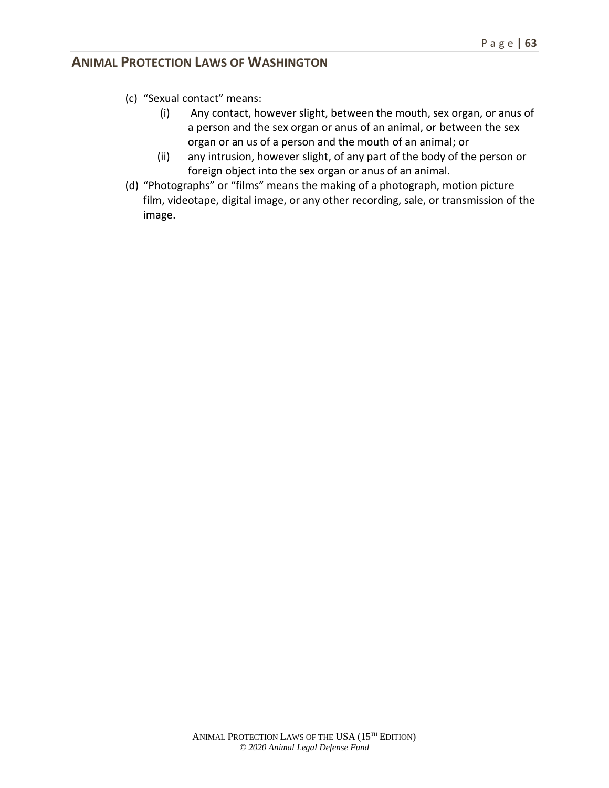- (c) "Sexual contact" means:
	- (i) Any contact, however slight, between the mouth, sex organ, or anus of a person and the sex organ or anus of an animal, or between the sex organ or an us of a person and the mouth of an animal; or
	- (ii) any intrusion, however slight, of any part of the body of the person or foreign object into the sex organ or anus of an animal.
- (d) "Photographs" or "films" means the making of a photograph, motion picture film, videotape, digital image, or any other recording, sale, or transmission of the image.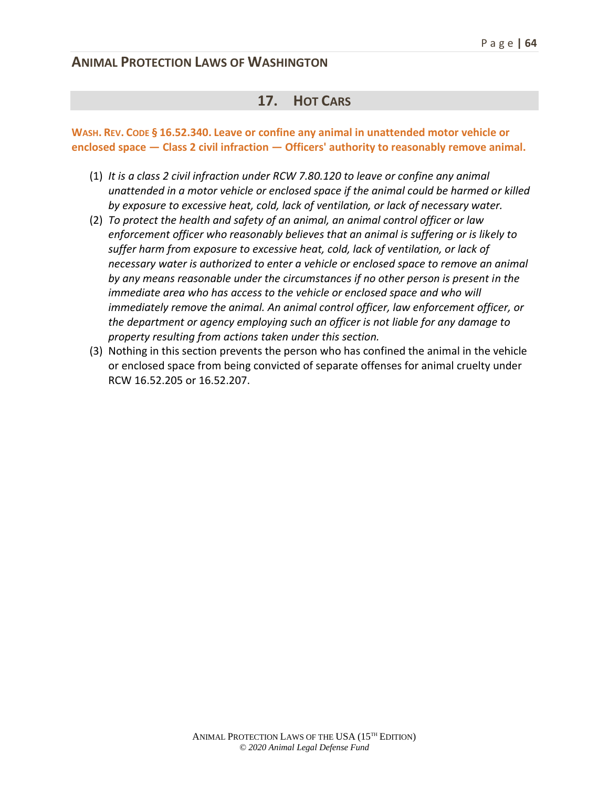#### **17. HOT CARS**

**WASH. REV. CODE § 16.52.340. Leave or confine any animal in unattended motor vehicle or enclosed space — Class 2 civil infraction — Officers' authority to reasonably remove animal.**

- (1) *It is a class 2 civil infraction under RCW 7.80.120 to leave or confine any animal unattended in a motor vehicle or enclosed space if the animal could be harmed or killed by exposure to excessive heat, cold, lack of ventilation, or lack of necessary water.*
- (2) *To protect the health and safety of an animal, an animal control officer or law enforcement officer who reasonably believes that an animal is suffering or is likely to suffer harm from exposure to excessive heat, cold, lack of ventilation, or lack of necessary water is authorized to enter a vehicle or enclosed space to remove an animal by any means reasonable under the circumstances if no other person is present in the immediate area who has access to the vehicle or enclosed space and who will immediately remove the animal. An animal control officer, law enforcement officer, or the department or agency employing such an officer is not liable for any damage to property resulting from actions taken under this section.*
- (3) Nothing in this section prevents the person who has confined the animal in the vehicle or enclosed space from being convicted of separate offenses for animal cruelty under RCW 16.52.205 or 16.52.207.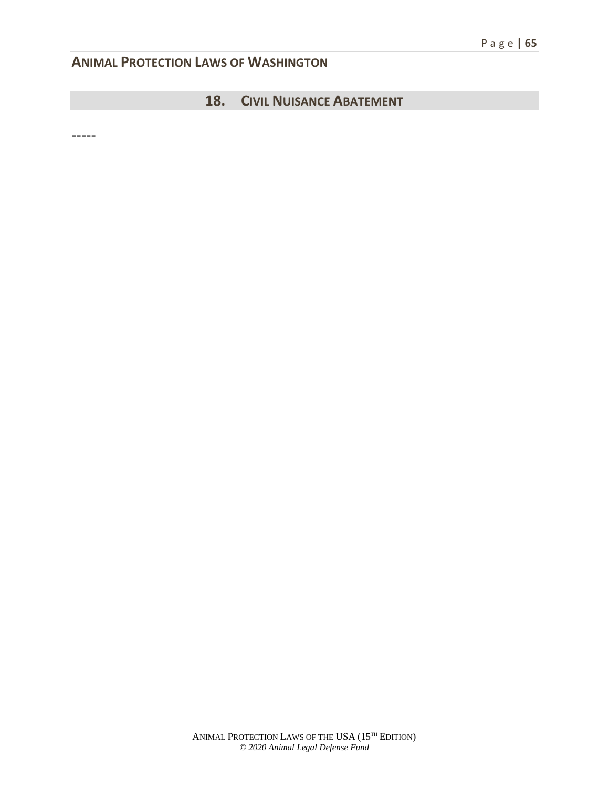## **18. CIVIL NUISANCE ABATEMENT**

-----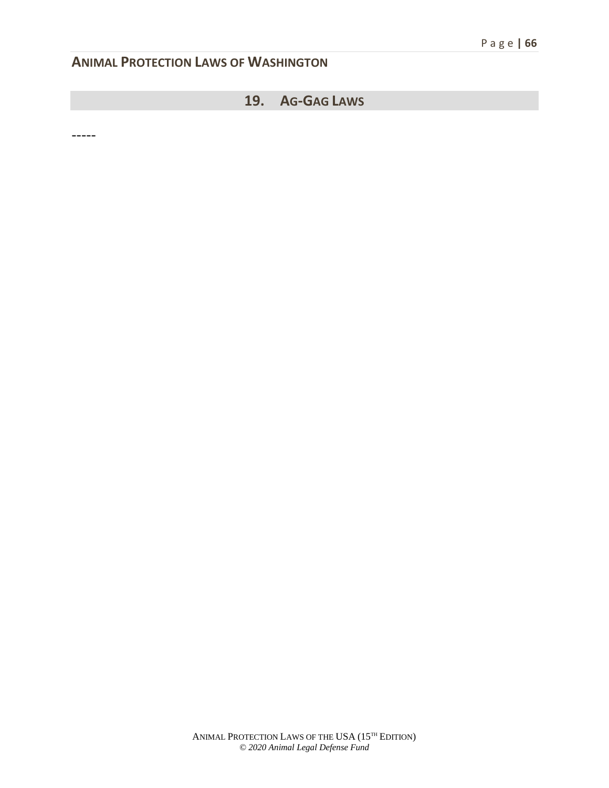## **19. AG-GAG LAWS**

-----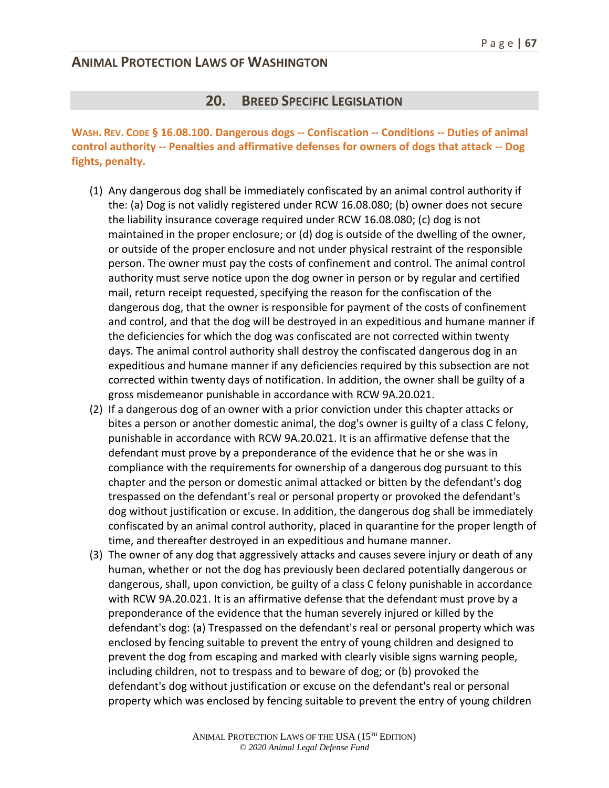#### **20. BREED SPECIFIC LEGISLATION**

**WASH. REV. CODE § 16.08.100. Dangerous dogs -- Confiscation -- Conditions -- Duties of animal control authority -- Penalties and affirmative defenses for owners of dogs that attack -- Dog fights, penalty.**

- (1) Any dangerous dog shall be immediately confiscated by an animal control authority if the: (a) Dog is not validly registered under RCW 16.08.080; (b) owner does not secure the liability insurance coverage required under RCW 16.08.080; (c) dog is not maintained in the proper enclosure; or (d) dog is outside of the dwelling of the owner, or outside of the proper enclosure and not under physical restraint of the responsible person. The owner must pay the costs of confinement and control. The animal control authority must serve notice upon the dog owner in person or by regular and certified mail, return receipt requested, specifying the reason for the confiscation of the dangerous dog, that the owner is responsible for payment of the costs of confinement and control, and that the dog will be destroyed in an expeditious and humane manner if the deficiencies for which the dog was confiscated are not corrected within twenty days. The animal control authority shall destroy the confiscated dangerous dog in an expeditious and humane manner if any deficiencies required by this subsection are not corrected within twenty days of notification. In addition, the owner shall be guilty of a gross misdemeanor punishable in accordance with RCW 9A.20.021.
- (2) If a dangerous dog of an owner with a prior conviction under this chapter attacks or bites a person or another domestic animal, the dog's owner is guilty of a class C felony, punishable in accordance with RCW 9A.20.021. It is an affirmative defense that the defendant must prove by a preponderance of the evidence that he or she was in compliance with the requirements for ownership of a dangerous dog pursuant to this chapter and the person or domestic animal attacked or bitten by the defendant's dog trespassed on the defendant's real or personal property or provoked the defendant's dog without justification or excuse. In addition, the dangerous dog shall be immediately confiscated by an animal control authority, placed in quarantine for the proper length of time, and thereafter destroyed in an expeditious and humane manner.
- (3) The owner of any dog that aggressively attacks and causes severe injury or death of any human, whether or not the dog has previously been declared potentially dangerous or dangerous, shall, upon conviction, be guilty of a class C felony punishable in accordance with RCW 9A.20.021. It is an affirmative defense that the defendant must prove by a preponderance of the evidence that the human severely injured or killed by the defendant's dog: (a) Trespassed on the defendant's real or personal property which was enclosed by fencing suitable to prevent the entry of young children and designed to prevent the dog from escaping and marked with clearly visible signs warning people, including children, not to trespass and to beware of dog; or (b) provoked the defendant's dog without justification or excuse on the defendant's real or personal property which was enclosed by fencing suitable to prevent the entry of young children